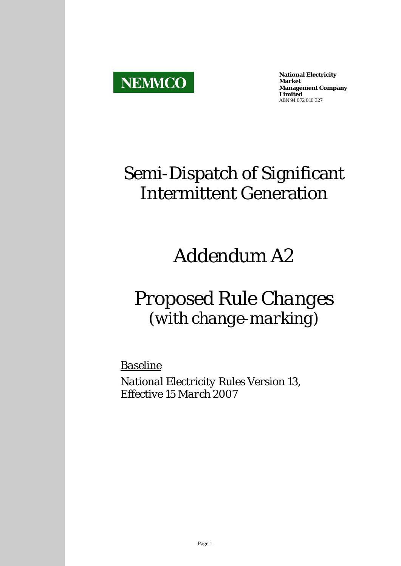

**National Electricity Market Management Company Limited**  ABN 94 072 010 327

## Semi-Dispatch of Significant Intermittent Generation

# *Addendum A2*

## *Proposed Rule Changes (with change-marking)*

*Baseline*

*National Electricity Rules Version 13, Effective 15 March 2007*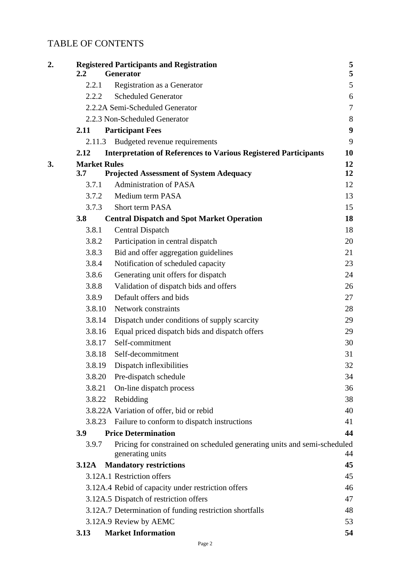## TABLE OF CONTENTS

| $2.2\,$             | <b>Registered Participants and Registration</b><br><b>Generator</b>                          | 5<br>5           |
|---------------------|----------------------------------------------------------------------------------------------|------------------|
| 2.2.1               | Registration as a Generator                                                                  | 5                |
| 2.2.2               | <b>Scheduled Generator</b>                                                                   | 6                |
|                     | 2.2.2A Semi-Scheduled Generator                                                              | $\boldsymbol{7}$ |
|                     | 2.2.3 Non-Scheduled Generator                                                                | 8                |
| 2.11                | <b>Participant Fees</b>                                                                      | $\boldsymbol{9}$ |
| 2.11.3              | Budgeted revenue requirements                                                                | 9                |
| 2.12                | <b>Interpretation of References to Various Registered Participants</b>                       | 10               |
| <b>Market Rules</b> |                                                                                              | 12               |
| 3.7                 | <b>Projected Assessment of System Adequacy</b>                                               | 12               |
| 3.7.1               | <b>Administration of PASA</b>                                                                | 12               |
| 3.7.2               | Medium term PASA                                                                             | 13               |
| 3.7.3               | Short term PASA                                                                              | 15               |
| 3.8                 | <b>Central Dispatch and Spot Market Operation</b>                                            | 18               |
| 3.8.1               | <b>Central Dispatch</b>                                                                      | 18               |
| 3.8.2               | Participation in central dispatch                                                            | 20               |
| 3.8.3               | Bid and offer aggregation guidelines                                                         | 21               |
| 3.8.4               | Notification of scheduled capacity                                                           | 23               |
| 3.8.6               | Generating unit offers for dispatch                                                          | 24               |
| 3.8.8               | Validation of dispatch bids and offers                                                       | 26               |
| 3.8.9               | Default offers and bids                                                                      | 27               |
| 3.8.10              | Network constraints                                                                          | 28               |
| 3.8.14              | Dispatch under conditions of supply scarcity                                                 | 29               |
| 3.8.16              | Equal priced dispatch bids and dispatch offers                                               | 29               |
| 3.8.17              | Self-commitment                                                                              | 30               |
| 3.8.18              | Self-decommitment                                                                            | 31               |
| 3.8.19              | Dispatch inflexibilities                                                                     | 32               |
| 3.8.20              | Pre-dispatch schedule                                                                        | 34               |
| 3.8.21              | On-line dispatch process                                                                     | 36               |
| 3.8.22              | Rebidding                                                                                    | 38               |
|                     | 3.8.22A Variation of offer, bid or rebid                                                     | 40               |
| 3.8.23              | Failure to conform to dispatch instructions                                                  | 41               |
| 3.9                 | <b>Price Determination</b>                                                                   | 44               |
| 3.9.7               | Pricing for constrained on scheduled generating units and semi-scheduled<br>generating units | 44               |
| 3.12A               | <b>Mandatory restrictions</b>                                                                | 45               |
|                     | 3.12A.1 Restriction offers                                                                   | 45               |
|                     | 3.12A.4 Rebid of capacity under restriction offers                                           | 46               |
|                     | 3.12A.5 Dispatch of restriction offers                                                       | 47               |
|                     | 3.12A.7 Determination of funding restriction shortfalls                                      | 48               |
|                     | 3.12A.9 Review by AEMC                                                                       | 53               |
| 3.13                | <b>Market Information</b>                                                                    | 54               |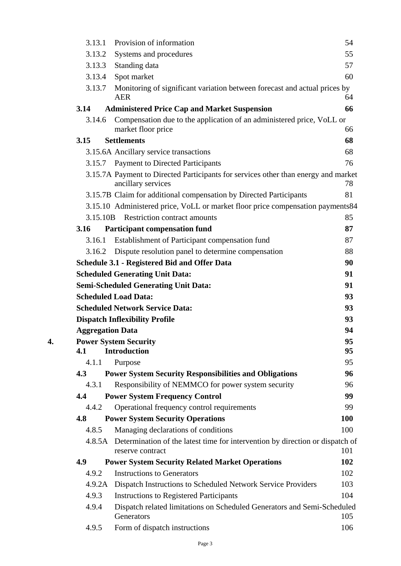|    | 3.13.1                  | Provision of information                                                                                 | 54         |
|----|-------------------------|----------------------------------------------------------------------------------------------------------|------------|
|    | 3.13.2                  | Systems and procedures                                                                                   | 55         |
|    | 3.13.3                  | Standing data                                                                                            | 57         |
|    | 3.13.4                  | Spot market                                                                                              | 60         |
|    | 3.13.7                  | Monitoring of significant variation between forecast and actual prices by<br><b>AER</b>                  | 64         |
|    | 3.14                    | <b>Administered Price Cap and Market Suspension</b>                                                      | 66         |
|    | 3.14.6                  | Compensation due to the application of an administered price, VoLL or<br>market floor price              | 66         |
|    | 3.15                    | <b>Settlements</b>                                                                                       | 68         |
|    |                         | 3.15.6A Ancillary service transactions                                                                   | 68         |
|    |                         | 3.15.7 Payment to Directed Participants                                                                  | 76         |
|    |                         | 3.15.7A Payment to Directed Participants for services other than energy and market<br>ancillary services | 78         |
|    |                         | 3.15.7B Claim for additional compensation by Directed Participants                                       | 81         |
|    |                         | 3.15.10 Administered price, VoLL or market floor price compensation payments84                           |            |
|    | 3.15.10B                | <b>Restriction contract amounts</b>                                                                      | 85         |
|    | <b>3.16</b>             | <b>Participant compensation fund</b>                                                                     | 87         |
|    | 3.16.1                  | Establishment of Participant compensation fund                                                           | 87         |
|    |                         | 3.16.2 Dispute resolution panel to determine compensation                                                | 88         |
|    |                         | <b>Schedule 3.1 - Registered Bid and Offer Data</b>                                                      | 90         |
|    |                         | <b>Scheduled Generating Unit Data:</b>                                                                   | 91         |
|    |                         | <b>Semi-Scheduled Generating Unit Data:</b>                                                              | 91         |
|    |                         | <b>Scheduled Load Data:</b>                                                                              | 93         |
|    |                         | <b>Scheduled Network Service Data:</b>                                                                   | 93         |
|    |                         | <b>Dispatch Inflexibility Profile</b>                                                                    | 93         |
|    | <b>Aggregation Data</b> |                                                                                                          | 94         |
| 4. |                         | <b>Power System Security</b>                                                                             | 95         |
|    | 4.1                     | <b>Introduction</b>                                                                                      | 95         |
|    | 4.1.1                   | Purpose                                                                                                  | 95         |
|    | 4.3                     | <b>Power System Security Responsibilities and Obligations</b>                                            | 96         |
|    | 4.3.1                   | Responsibility of NEMMCO for power system security                                                       | 96         |
|    | 4.4                     | <b>Power System Frequency Control</b>                                                                    | 99         |
|    | 4.4.2                   | Operational frequency control requirements                                                               | 99         |
|    | 4.8                     | <b>Power System Security Operations</b>                                                                  | <b>100</b> |
|    | 4.8.5                   | Managing declarations of conditions                                                                      | 100        |
|    |                         | 4.8.5A Determination of the latest time for intervention by direction or dispatch of<br>reserve contract | 101        |
|    | 4.9                     | <b>Power System Security Related Market Operations</b>                                                   | 102        |
|    | 4.9.2                   | <b>Instructions to Generators</b>                                                                        | 102        |
|    | 4.9.2A                  | Dispatch Instructions to Scheduled Network Service Providers                                             | 103        |
|    | 4.9.3                   | <b>Instructions to Registered Participants</b>                                                           | 104        |
|    | 4.9.4                   | Dispatch related limitations on Scheduled Generators and Semi-Scheduled<br>Generators                    | 105        |
|    | 4.9.5                   | Form of dispatch instructions                                                                            | 106        |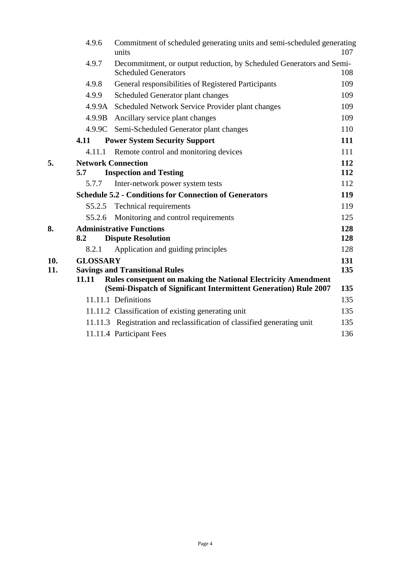|     | 4.9.6                           | Commitment of scheduled generating units and semi-scheduled generating<br>units                                                          | 107 |
|-----|---------------------------------|------------------------------------------------------------------------------------------------------------------------------------------|-----|
|     | 4.9.7                           | Decommitment, or output reduction, by Scheduled Generators and Semi-<br><b>Scheduled Generators</b>                                      | 108 |
|     | 4.9.8                           | General responsibilities of Registered Participants                                                                                      | 109 |
|     | 4.9.9                           | Scheduled Generator plant changes                                                                                                        | 109 |
|     |                                 | 4.9.9A Scheduled Network Service Provider plant changes                                                                                  | 109 |
|     | 4.9.9B                          | Ancillary service plant changes                                                                                                          | 109 |
|     |                                 | 4.9.9C Semi-Scheduled Generator plant changes                                                                                            | 110 |
|     | 4.11                            | <b>Power System Security Support</b>                                                                                                     | 111 |
|     | 4.11.1                          | Remote control and monitoring devices                                                                                                    | 111 |
| 5.  |                                 | <b>Network Connection</b>                                                                                                                | 112 |
|     | 5.7                             | <b>Inspection and Testing</b>                                                                                                            | 112 |
|     | 5.7.7                           | Inter-network power system tests                                                                                                         | 112 |
|     |                                 | <b>Schedule 5.2 - Conditions for Connection of Generators</b>                                                                            | 119 |
|     |                                 | S5.2.5 Technical requirements                                                                                                            | 119 |
|     | S5.2.6                          | Monitoring and control requirements                                                                                                      | 125 |
| 8.  | <b>Administrative Functions</b> |                                                                                                                                          | 128 |
|     | 8.2                             | <b>Dispute Resolution</b>                                                                                                                | 128 |
|     | 8.2.1                           | Application and guiding principles                                                                                                       | 128 |
| 10. | <b>GLOSSARY</b>                 |                                                                                                                                          | 131 |
| 11. |                                 | <b>Savings and Transitional Rules</b>                                                                                                    | 135 |
|     | 11.11                           | <b>Rules consequent on making the National Electricity Amendment</b><br>(Semi-Dispatch of Significant Intermittent Generation) Rule 2007 | 135 |
|     |                                 | 11.11.1 Definitions                                                                                                                      | 135 |
|     |                                 | 11.11.2 Classification of existing generating unit                                                                                       | 135 |
|     |                                 | 11.11.3 Registration and reclassification of classified generating unit                                                                  | 135 |
|     |                                 | 11.11.4 Participant Fees                                                                                                                 | 136 |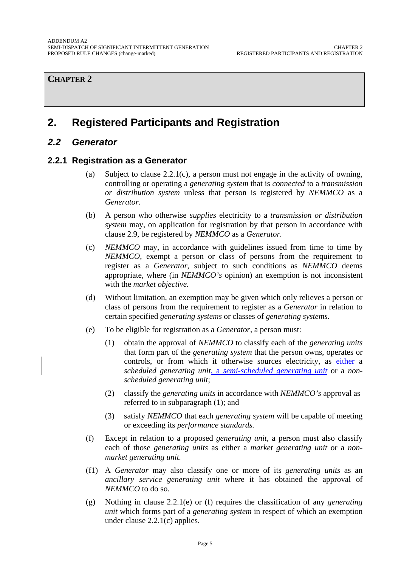#### **CHAPTER 2**

## **2. Registered Participants and Registration**

#### *2.2 Generator*

#### **2.2.1 Registration as a Generator**

- (a) Subject to clause 2.2.1(c), a person must not engage in the activity of owning, controlling or operating a *generating system* that is *connected* to a *transmission or distribution system* unless that person is registered by *NEMMCO* as a *Generator*.
- (b) A person who otherwise *supplies* electricity to a *transmission or distribution system* may, on application for registration by that person in accordance with clause 2.9, be registered by *NEMMCO* as a *Generator.*
- (c) *NEMMCO* may, in accordance with guidelines issued from time to time by *NEMMCO*, exempt a person or class of persons from the requirement to register as a *Generator*, subject to such conditions as *NEMMCO* deems appropriate, where (in *NEMMCO's* opinion) an exemption is not inconsistent with the *market objective.*
- (d) Without limitation, an exemption may be given which only relieves a person or class of persons from the requirement to register as a *Generator* in relation to certain specified *generating systems* or classes of *generating systems.*
- (e) To be eligible for registration as a *Generator,* a person must:
	- (1) obtain the approval of *NEMMCO* to classify each of the *generating units* that form part of the *generating system* that the person owns, operates or controls, or from which it otherwise sources electricity, as either a *scheduled generating unit*, a *semi-scheduled generating unit* or a *nonscheduled generating unit*;
	- (2) classify the *generating units* in accordance with *NEMMCO's* approval as referred to in subparagraph (1); and
	- (3) satisfy *NEMMCO* that each *generating system* will be capable of meeting or exceeding its *performance standards.*
- (f) Except in relation to a proposed *generating unit,* a person must also classify each of those *generating units* as either a *market generating unit* or a *nonmarket generating unit.*
- (f1) A *Generator* may also classify one or more of its *generating units* as an *ancillary service generating unit* where it has obtained the approval of *NEMMCO* to do so.
- (g) Nothing in clause 2.2.1(e) or (f) requires the classification of any *generating unit* which forms part of a *generating system* in respect of which an exemption under clause 2.2.1(c) applies.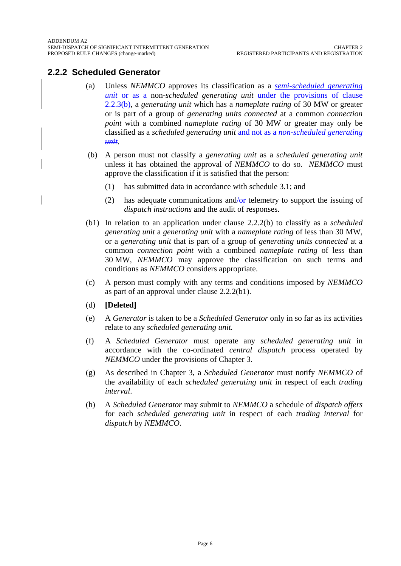#### **2.2.2 Scheduled Generator**

- (a) Unless *NEMMCO* approves its classification as a *semi-scheduled generating unit* or as a non-scheduled generating unit—under the provisions of clause 2.2.3(b), a *generating unit* which has a *nameplate rating* of 30 MW or greater or is part of a group of *generating units connected* at a common *connection point* with a combined *nameplate rating* of 30 MW or greater may only be classified as a *scheduled generating unit* and not as a *non-scheduled generating unit*.
- (b) A person must not classify a *generating unit* as a *scheduled generating unit*  unless it has obtained the approval of *NEMMCO* to do so*. NEMMCO* must approve the classification if it is satisfied that the person:
	- (1) has submitted data in accordance with schedule 3.1; and
	- (2) has adequate communications and  $\sqrt{a}$  telemetry to support the issuing of *dispatch instructions* and the audit of responses.
- (b1) In relation to an application under clause 2.2.2(b) to classify as a *scheduled generating unit* a *generating unit* with a *nameplate rating* of less than 30 MW, or a *generating unit* that is part of a group of *generating units connected* at a common *connection point* with a combined *nameplate rating* of less than 30 MW, *NEMMCO* may approve the classification on such terms and conditions as *NEMMCO* considers appropriate.
- (c) A person must comply with any terms and conditions imposed by *NEMMCO* as part of an approval under clause 2.2.2(b1).
- (d) **[Deleted]**
- (e) A *Generator* is taken to be a *Scheduled Generator* only in so far as its activities relate to any *scheduled generating unit.*
- (f) A *Scheduled Generator* must operate any *scheduled generating unit* in accordance with the co-ordinated *central dispatch* process operated by *NEMMCO* under the provisions of Chapter 3.
- (g) As described in Chapter 3, a *Scheduled Generator* must notify *NEMMCO* of the availability of each *scheduled generating unit* in respect of each *trading interval*.
- (h) A *Scheduled Generator* may submit to *NEMMCO* a schedule of *dispatch offers*  for each *scheduled generating unit* in respect of each *trading interval* for *dispatch* by *NEMMCO*.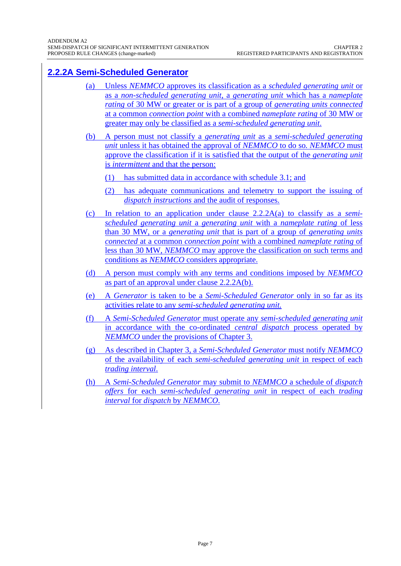## **2.2.2A Semi-Scheduled Generator**

- (a) Unless *NEMMCO* approves its classification as a *scheduled generating unit* or as a *non-scheduled generating unit*, a *generating unit* which has a *nameplate rating* of 30 MW or greater or is part of a group of *generating units connected* at a common *connection point* with a combined *nameplate rating* of 30 MW or greater may only be classified as a *semi-scheduled generating unit*.
- (b) A person must not classify a *generating unit* as a *semi-scheduled generating unit* unless it has obtained the approval of *NEMMCO* to do so*. NEMMCO* must approve the classification if it is satisfied that the output of the *generating unit*  is *intermittent* and that the person:
	- (1) has submitted data in accordance with schedule 3.1; and
	- (2) has adequate communications and telemetry to support the issuing of *dispatch instructions* and the audit of responses.
- (c) In relation to an application under clause 2.2.2A(a) to classify as a *semischeduled generating unit* a *generating unit* with a *nameplate rating* of less than 30 MW, or a *generating unit* that is part of a group of *generating units connected* at a common *connection point* with a combined *nameplate rating* of less than 30 MW, *NEMMCO* may approve the classification on such terms and conditions as *NEMMCO* considers appropriate.
- (d) A person must comply with any terms and conditions imposed by *NEMMCO* as part of an approval under clause 2.2.2A(b).
- (e) A *Generator* is taken to be a *Semi-Scheduled Generator* only in so far as its activities relate to any *semi-scheduled generating unit.*
- (f) A *Semi-Scheduled Generator* must operate any *semi-scheduled generating unit* in accordance with the co-ordinated *central dispatch* process operated by *NEMMCO* under the provisions of Chapter 3.
- (g) As described in Chapter 3, a *Semi-Scheduled Generator* must notify *NEMMCO* of the availability of each *semi-scheduled generating unit* in respect of each *trading interval*.
- (h) A *Semi-Scheduled Generator* may submit to *NEMMCO* a schedule of *dispatch offers* for each *semi-scheduled generating unit* in respect of each *trading interval* for *dispatch* by *NEMMCO*.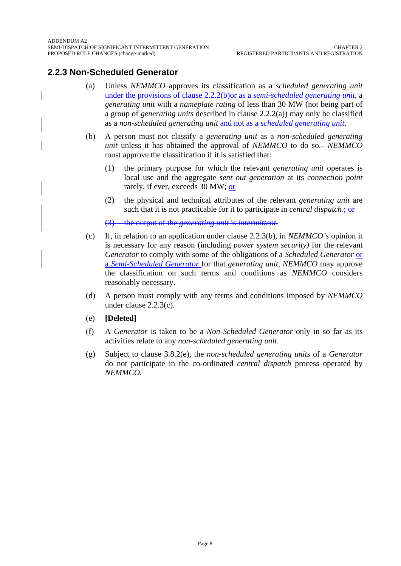#### **2.2.3 Non-Scheduled Generator**

- (a) Unless *NEMMCO* approves its classification as a *scheduled generating unit* under the provisions of clause 2.2.2(b)or as a *semi-scheduled generating unit*, a *generating unit* with a *nameplate rating* of less than 30 MW (not being part of a group of *generating units* described in clause 2.2.2(a)) may only be classified as a *non-scheduled generating unit* and not as a *scheduled generating unit*.
- (b) A person must not classify a *generating unit* as a *non-scheduled generating unit* unless it has obtained the approval of *NEMMCO* to do so. *NEMMCO* must approve the classification if it is satisfied that:
	- (1) the primary purpose for which the relevant *generating unit* operates is local use and the aggregate *sent out generation* at its *connection point* rarely, if ever, exceeds 30 MW; or
	- (2) the physical and technical attributes of the relevant *generating unit* are such that it is not practicable for it to participate in *central dispatch*.; or

(3) the output of the *generating unit* is *intermittent*.

- (c) If, in relation to an application under clause 2.2.3(b), in *NEMMCO's* opinion it is necessary for any reason (including *power system security)* for the relevant *Generator* to comply with some of the obligations of a *Scheduled Generator* or a *Semi-Scheduled Generator* for that *generating unit, NEMMCO* may approve the classification on such terms and conditions as *NEMMCO* considers reasonably necessary.
- (d) A person must comply with any terms and conditions imposed by *NEMMCO* under clause 2.2.3(c).
- (e) **[Deleted]**
- (f) A *Generator* is taken to be a *Non-Scheduled Generator* only in so far as its activities relate to any *non-scheduled generating unit*.
- (g) Subject to clause 3.8.2(e), the *non-scheduled generating units* of a *Generator*  do not participate in the co-ordinated *central dispatch* process operated by *NEMMCO.*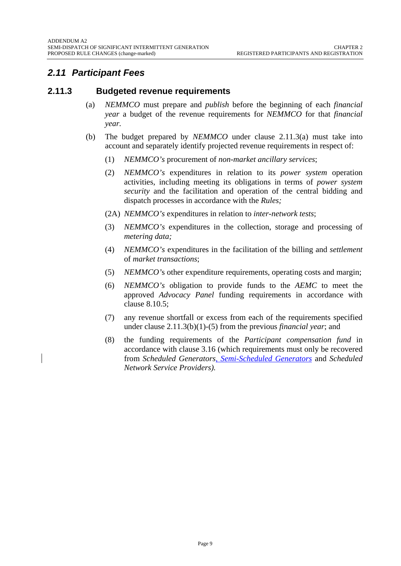### *2.11 Participant Fees*

#### **2.11.3 Budgeted revenue requirements**

- (a) *NEMMCO* must prepare and *publish* before the beginning of each *financial year* a budget of the revenue requirements for *NEMMCO* for that *financial year.*
- (b) The budget prepared by *NEMMCO* under clause 2.11.3(a) must take into account and separately identify projected revenue requirements in respect of:
	- (1) *NEMMCO's* procurement of *non-market ancillary services*;
	- (2) *NEMMCO's* expenditures in relation to its *power system* operation activities*,* including meeting its obligations in terms of *power system security* and the facilitation and operation of the central bidding and dispatch processes in accordance with the *Rules;*
	- (2A) *NEMMCO's* expenditures in relation to *inter-network tests*;
	- (3) *NEMMCO's* expenditures in the collection, storage and processing of *metering data;*
	- (4) *NEMMCO's* expenditures in the facilitation of the billing and *settlement*  of *market transactions*;
	- (5) *NEMMCO'*s other expenditure requirements, operating costs and margin;
	- (6) *NEMMCO's* obligation to provide funds to the *AEMC* to meet the approved *Advocacy Panel* funding requirements in accordance with clause 8.10.5;
	- (7) any revenue shortfall or excess from each of the requirements specified under clause 2.11.3(b)(1)-(5) from the previous *financial year*; and
	- (8) the funding requirements of the *Participant compensation fund* in accordance with clause 3.16 (which requirements must only be recovered from *Scheduled Generators, Semi-Scheduled Generators* and *Scheduled Network Service Providers).*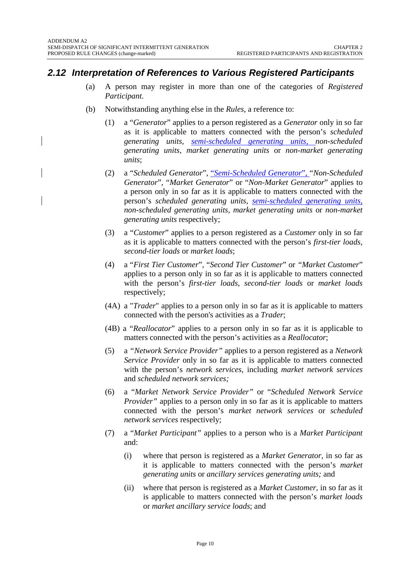#### *2.12 Interpretation of References to Various Registered Participants*

- (a) A person may register in more than one of the categories of *Registered Participant.*
- (b) Notwithstanding anything else in the *Rules*, a reference to:
	- (1) a "*Generator*" applies to a person registered as a *Generator* only in so far as it is applicable to matters connected with the person's *scheduled generating units, semi-scheduled generating units, non-scheduled generating units, market generating units* or *non-market generating units*;
	- (2) a "*Scheduled Generator*", "*Semi-Scheduled Generator*", "*Non-Scheduled Generator*", "*Market Generator*" or "*Non-Market Generator*" applies to a person only in so far as it is applicable to matters connected with the person's *scheduled generating units*, *semi-scheduled generating units*, *non-scheduled generating units, market generating units* or *non-market generating units* respectively;
	- (3) a "*Customer*" applies to a person registered as a *Customer* only in so far as it is applicable to matters connected with the person's *first-tier loads, second-tier loads* or *market loads*;
	- (4) a "*First Tier Customer*", "*Second Tier Customer*" or *"Market Customer*" applies to a person only in so far as it is applicable to matters connected with the person's *first-tier loads*, *second-tier loads* or *market loads* respectively;
	- (4A) a "*Trader*" applies to a person only in so far as it is applicable to matters connected with the person's activities as a *Trader*;
	- (4B) a "*Reallocator*" applies to a person only in so far as it is applicable to matters connected with the person's activities as a *Reallocator*;
	- (5) a *"Network Service Provider"* applies to a person registered as a *Network Service Provider* only in so far as it is applicable to matters connected with the person's *network services,* including *market network services* and *scheduled network services;*
	- (6) a "*Market Network Service Provider"* or "*Scheduled Network Service Provider*" applies to a person only in so far as it is applicable to matters connected with the person's *market network services* or *scheduled network services* respectively;
	- (7) a "*Market Participant"* applies to a person who is a *Market Participant* and:
		- (i) where that person is registered as a *Market Generator*, in so far as it is applicable to matters connected with the person's *market generating units* or *ancillary services generating units;* and
		- (ii) where that person is registered as a *Market Customer,* in so far as it is applicable to matters connected with the person's *market loads*  or *market ancillary service loads*; and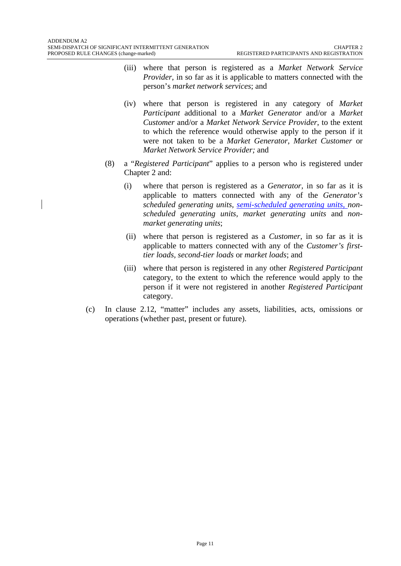- (iii) where that person is registered as a *Market Network Service Provider*, in so far as it is applicable to matters connected with the person's *market network services*; and
- (iv) where that person is registered in any category of *Market Participant* additional to a *Market Generator* and/or a *Market Customer* and/or a *Market Network Service Provider*, to the extent to which the reference would otherwise apply to the person if it were not taken to be a *Market Generator*, *Market Customer* or *Market Network Service Provider;* and
- (8) a "*Registered Participant*" applies to a person who is registered under Chapter 2 and:
	- (i) where that person is registered as a *Generator,* in so far as it is applicable to matters connected with any of the *Generator's scheduled generating units, semi-scheduled generating units, nonscheduled generating units, market generating units* and *nonmarket generating units*;
	- (ii) where that person is registered as a *Customer*, in so far as it is applicable to matters connected with any of the *Customer's firsttier loads, second-tier loads* or *market loads*; and
	- (iii) where that person is registered in any other *Registered Participant* category, to the extent to which the reference would apply to the person if it were not registered in another *Registered Participant* category.
- (c) In clause 2.12, "matter" includes any assets, liabilities, acts, omissions or operations (whether past, present or future).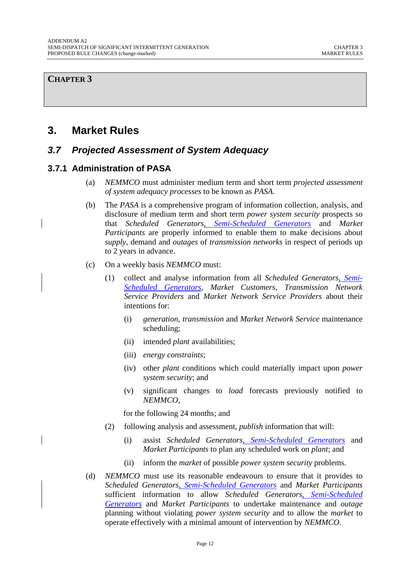#### **CHAPTER 3**

## **3. Market Rules**

#### *3.7 Projected Assessment of System Adequacy*

#### **3.7.1 Administration of PASA**

- (a) *NEMMCO* must administer medium term and short term *projected assessment of system adequacy processes* to be known as *PASA*.
- (b) The *PASA* is a comprehensive program of information collection, analysis, and disclosure of medium term and short term *power system security* prospects so that *Scheduled Generators*, *Semi-Scheduled Generators* and *Market Participants* are properly informed to enable them to make decisions about *supply*, demand and *outages* of *transmission networks* in respect of periods up to 2 years in advance.
- (c) On a weekly basis *NEMMCO* must:
	- (1) collect and analyse information from all *Scheduled Generators*, *Semi-Scheduled Generators*, *Market Customers*, *Transmission Network Service Providers* and *Market Network Service Providers* about their intentions for:
		- (i) *generation, transmission* and *Market Network Service* maintenance scheduling;
		- (ii) intended *plant* availabilities;
		- (iii) *energy constraints*;
		- (iv) other *plant* conditions which could materially impact upon *power system security*; and
		- (v) significant changes to *load* forecasts previously notified to *NEMMCO*,

for the following 24 months; and

- (2) following analysis and assessment, *publish* information that will:
	- (i) assist *Scheduled Generators*, *Semi-Scheduled Generators* and *Market Participants* to plan any scheduled work on *plant*; and
	- (ii) inform the *market* of possible *power system security* problems.
- (d) *NEMMCO* must use its reasonable endeavours to ensure that it provides to *Scheduled Generators*, *Semi-Scheduled Generators* and *Market Participants* sufficient information to allow *Scheduled Generators*, *Semi-Scheduled Generators* and *Market Participants* to undertake maintenance and *outage* planning without violating *power system security* and to allow the *market* to operate effectively with a minimal amount of intervention by *NEMMCO*.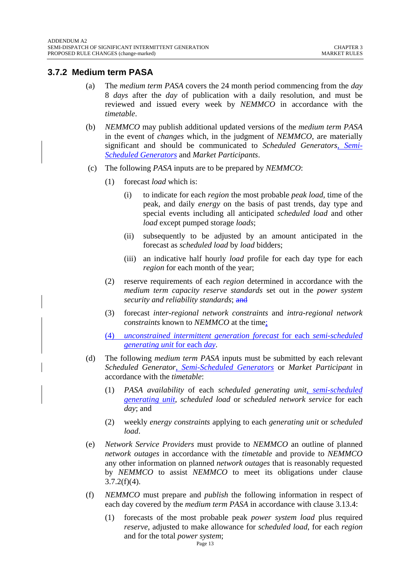#### **3.7.2 Medium term PASA**

- (a) The *medium term PASA* covers the 24 month period commencing from the *day*  8 *days* after the *day* of publication with a daily resolution, and must be reviewed and issued every week by *NEMMCO* in accordance with the *timetable*.
- (b) *NEMMCO* may publish additional updated versions of the *medium term PASA* in the event of *changes* which, in the judgment of *NEMMCO*, are materially significant and should be communicated to *Scheduled Generators*, *Semi-Scheduled Generators* and *Market Participants*.
- (c) The following *PASA* inputs are to be prepared by *NEMMCO*:
	- (1) forecast *load* which is:
		- (i) to indicate for each *region* the most probable *peak load*, time of the peak, and daily *energy* on the basis of past trends, day type and special events including all anticipated *scheduled load* and other *load* except pumped storage *loads*;
		- (ii) subsequently to be adjusted by an amount anticipated in the forecast as *scheduled load* by *load* bidders;
		- (iii) an indicative half hourly *load* profile for each day type for each *region* for each month of the year;
	- (2) reserve requirements of each *region* determined in accordance with the *medium term capacity reserve standards* set out in the *power system security and reliability standards*; and
	- (3) forecast *inter-regional network constraints* and *intra-regional network constraints* known to *NEMMCO* at the time;
	- (4) *unconstrained intermittent generation forecast* for each *semi-scheduled generating unit* for each *day*.
- (d) The following *medium term PASA* inputs must be submitted by each relevant *Scheduled Generator*, *Semi-Scheduled Generators* or *Market Participant* in accordance with the *timetable*:
	- (1) *PASA availability* of each *scheduled generating unit*, *semi-scheduled generating unit, scheduled load* or *scheduled network service* for each *day*; and
	- (2) weekly *energy constraints* applying to each *generating unit* or *scheduled load*.
- (e) *Network Service Providers* must provide to *NEMMCO* an outline of planned *network outages* in accordance with the *timetable* and provide to *NEMMCO* any other information on planned *network outages* that is reasonably requested by *NEMMCO* to assist *NEMMCO* to meet its obligations under clause  $3.7.2(f)(4)$ .
- (f) *NEMMCO* must prepare and *publish* the following information in respect of each day covered by the *medium term PASA* in accordance with clause 3.13.4:
	- (1) forecasts of the most probable peak *power system load* plus required *reserve*, adjusted to make allowance for *scheduled load*, for each *region* and for the total *power system*;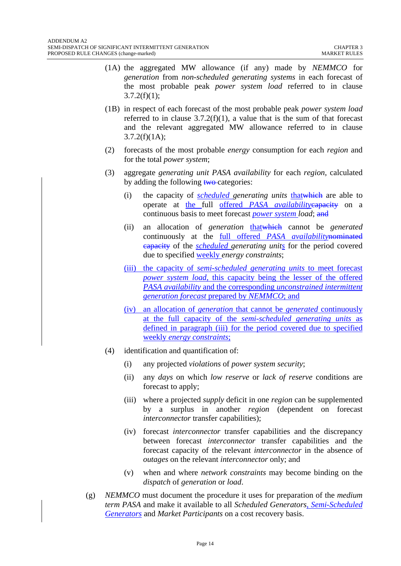- (1A) the aggregated MW allowance (if any) made by *NEMMCO* for *generation* from *non-scheduled generating systems* in each forecast of the most probable peak *power system load* referred to in clause  $3.7.2(f)(1);$
- (1B) in respect of each forecast of the most probable peak *power system load* referred to in clause  $3.7.2(f)(1)$ , a value that is the sum of that forecast and the relevant aggregated MW allowance referred to in clause  $3.7.2(f)(1A);$
- (2) forecasts of the most probable *energy* consumption for each *region* and for the total *power system*;
- (3) aggregate *generating unit PASA availability* for each *region*, calculated by adding the following two categories:
	- (i) the capacity of *scheduled generating units* thatwhich are able to operate at the full offered *PASA availability*capacity on a continuous basis to meet forecast *power system load*; and
	- (ii) an allocation of *generation* thatwhich cannot be *generated* continuously at the full offered *PASA availability*nominated capacity of the *scheduled generating units* for the period covered due to specified weekly *energy constraints*;
	- (iii) the capacity of *semi-scheduled generating units* to meet forecast *power system load*, this capacity being the lesser of the offered *PASA availability* and the corresponding *unconstrained intermittent generation forecast* prepared by *NEMMCO*; and
	- (iv) an allocation of *generation* that cannot be *generated* continuously at the full capacity of the *semi-scheduled generating units* as defined in paragraph (iii) for the period covered due to specified weekly *energy constraints*;
- (4) identification and quantification of:
	- (i) any projected *violations* of *power system security*;
	- (ii) any *days* on which *low reserve* or *lack of reserve* conditions are forecast to apply;
	- (iii) where a projected *supply* deficit in one *region* can be supplemented by a surplus in another *region* (dependent on forecast *interconnector* transfer capabilities);
	- (iv) forecast *interconnector* transfer capabilities and the discrepancy between forecast *interconnector* transfer capabilities and the forecast capacity of the relevant *interconnector* in the absence of *outages* on the relevant *interconnector* only; and
	- (v) when and where *network constraints* may become binding on the *dispatch* of *generation* or *load*.
- (g) *NEMMCO* must document the procedure it uses for preparation of the *medium term PASA* and make it available to all *Scheduled Generators*, *Semi-Scheduled Generators* and *Market Participants* on a cost recovery basis.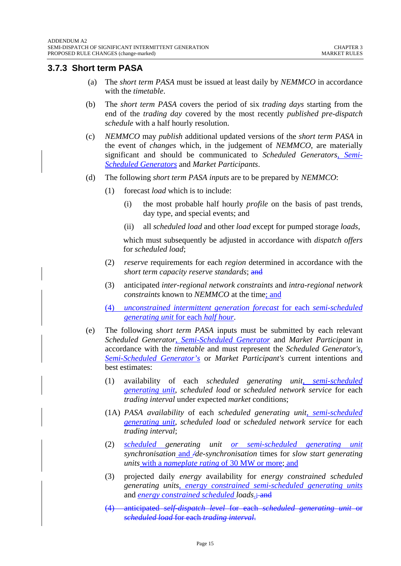#### **3.7.3 Short term PASA**

- (a) The *short term PASA* must be issued at least daily by *NEMMCO* in accordance with the *timetable*.
- (b) The *short term PASA* covers the period of six *trading days* starting from the end of the *trading day* covered by the most recently *published pre-dispatch schedule* with a half hourly resolution.
- (c) *NEMMCO* may *publish* additional updated versions of the *short term PASA* in the event of *changes* which, in the judgement of *NEMMCO*, are materially significant and should be communicated to *Scheduled Generators*, *Semi-Scheduled Generators* and *Market Participants*.
- (d) The following *short term PASA inputs* are to be prepared by *NEMMCO*:
	- (1) forecast *load* which is to include:
		- (i) the most probable half hourly *profile* on the basis of past trends, day type, and special events; and
		- (ii) all *scheduled load* and other *load* except for pumped storage *loads*,

which must subsequently be adjusted in accordance with *dispatch offers*  for *scheduled load*;

- (2) *reserve* requirements for each *region* determined in accordance with the *short term capacity reserve standards*; and
- (3) anticipated *inter-regional network constraints* and *intra-regional network constraints* known to *NEMMCO* at the time; and
- (4) *unconstrained intermittent generation forecast* for each *semi-scheduled generating unit* for each *half hour*.
- (e) The following *short term PASA* inputs must be submitted by each relevant *Scheduled Generator*, *Semi-Scheduled Generator* and *Market Participant* in accordance with the *timetable* and must represent the *Scheduled Generator's*, *Semi-Scheduled Generator's* or *Market Participant's* current intentions and best estimates:
	- (1) availability of each *scheduled generating unit*, *semi-scheduled generating unit*, *scheduled load* or *scheduled network service* for each *trading interval* under expected *market* conditions;
	- (1A) *PASA availability* of each *scheduled generating unit*, *semi-scheduled generating unit*, *scheduled load* or *scheduled network service* for each *trading interval*;
	- (2) *scheduled generating unit or semi-scheduled generating unit synchronisation* and */de-synchronisation* times for *slow start generating units* with a *nameplate rating* of 30 MW or more; and
	- (3) projected daily *energy* availability for *energy constrained scheduled generating units*, *energy constrained semi-scheduled generating units* and *energy constrained scheduled loads*.; and
	- (4) anticipated *self-dispatch level* for each *scheduled generating unit* or *scheduled load* for each *trading interval*.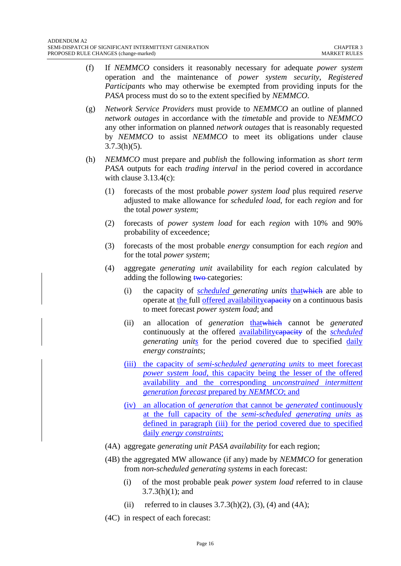- (f) If *NEMMCO* considers it reasonably necessary for adequate *power system* operation and the maintenance of *power system security*, *Registered Participants* who may otherwise be exempted from providing inputs for the *PASA* process must do so to the extent specified by *NEMMCO*.
- (g) *Network Service Providers* must provide to *NEMMCO* an outline of planned *network outages* in accordance with the *timetable* and provide to *NEMMCO* any other information on planned *network outages* that is reasonably requested by *NEMMCO* to assist *NEMMCO* to meet its obligations under clause  $3.7.3(h)(5)$ .
- (h) *NEMMCO* must prepare and *publish* the following information as *short term PASA* outputs for each *trading interval* in the period covered in accordance with clause  $3.13.4(c)$ :
	- (1) forecasts of the most probable *power system load* plus required *reserve* adjusted to make allowance for *scheduled load*, for each *region* and for the total *power system*;
	- (2) forecasts of *power system load* for each *region* with 10% and 90% probability of exceedence;
	- (3) forecasts of the most probable *energy* consumption for each *region* and for the total *power system*;
	- (4) aggregate *generating unit* availability for each *region* calculated by adding the following two-categories:
		- (i) the capacity of *scheduled generating units* thatwhich are able to operate at the full offered availabilitycapacity on a continuous basis to meet forecast *power system load*; and
		- (ii) an allocation of *generation* thatwhich cannot be *generated* continuously at the offered availabilitycapacity of the *scheduled generating units* for the period covered due to specified daily *energy constraints*;
		- (iii) the capacity of *semi-scheduled generating units* to meet forecast *power system load*, this capacity being the lesser of the offered availability and the corresponding *unconstrained intermittent generation forecast* prepared by *NEMMCO*; and
		- (iv) an allocation of *generation* that cannot be *generated* continuously at the full capacity of the *semi-scheduled generating units* as defined in paragraph (iii) for the period covered due to specified daily *energy constraints*;
	- (4A) aggregate *generating unit PASA availability* for each region;
	- (4B) the aggregated MW allowance (if any) made by *NEMMCO* for generation from *non-scheduled generating systems* in each forecast:
		- (i) of the most probable peak *power system load* referred to in clause  $3.7.3(h)(1)$ ; and
		- (ii) referred to in clauses  $3.7.3(h)(2)$ ,  $(3)$ ,  $(4)$  and  $(4A)$ ;
	- (4C) in respect of each forecast: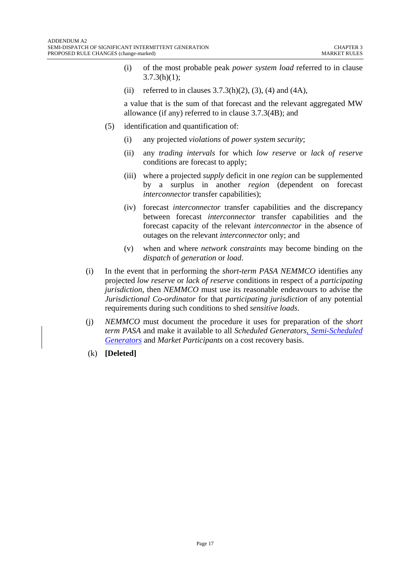- (i) of the most probable peak *power system load* referred to in clause  $3.7.3(h)(1);$
- (ii) referred to in clauses  $3.7.3(h)(2)$ ,  $(3)$ ,  $(4)$  and  $(4A)$ ,

a value that is the sum of that forecast and the relevant aggregated MW allowance (if any) referred to in clause 3.7.3(4B); and

- (5) identification and quantification of:
	- (i) any projected *violations* of *power system security*;
	- (ii) any *trading intervals* for which *low reserve* or *lack of reserve* conditions are forecast to apply;
	- (iii) where a projected *supply* deficit in one *region* can be supplemented by a surplus in another *region* (dependent on forecast *interconnector* transfer capabilities);
	- (iv) forecast *interconnector* transfer capabilities and the discrepancy between forecast *interconnector* transfer capabilities and the forecast capacity of the relevant *interconnector* in the absence of outages on the relevant *interconnector* only; and
	- (v) when and where *network constraints* may become binding on the *dispatch* of *generation* or *load*.
- (i) In the event that in performing the *short-term PASA NEMMCO* identifies any projected *low reserve* or *lack of reserve* conditions in respect of a *participating jurisdiction*, then *NEMMCO* must use its reasonable endeavours to advise the *Jurisdictional Co-ordinator* for that *participating jurisdiction* of any potential requirements during such conditions to shed *sensitive loads*.
- (j) *NEMMCO* must document the procedure it uses for preparation of the *short term PASA* and make it available to all *Scheduled Generators*, *Semi-Scheduled Generators* and *Market Participants* on a cost recovery basis.
- (k) **[Deleted]**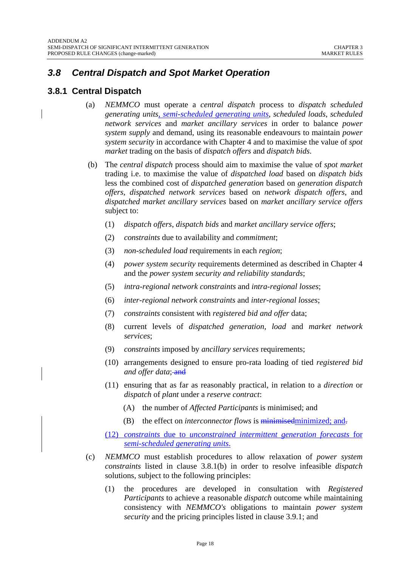### *3.8 Central Dispatch and Spot Market Operation*

#### **3.8.1 Central Dispatch**

- (a) *NEMMCO* must operate a *central dispatch* process to *dispatch scheduled generating units*, *semi-scheduled generating units*, *scheduled loads*, *scheduled network services* and *market ancillary services* in order to balance *power system supply* and demand, using its reasonable endeavours to maintain *power system security* in accordance with Chapter 4 and to maximise the value of *spot market* trading on the basis of *dispatch offers* and *dispatch bids*.
- (b) The *central dispatch* process should aim to maximise the value of *spot market* trading i.e. to maximise the value of *dispatched load* based on *dispatch bids* less the combined cost of *dispatched generation* based on *generation dispatch offers*, *dispatched network services* based on *network dispatch offers*, and *dispatched market ancillary services* based on *market ancillary service offers* subject to:
	- (1) *dispatch offers*, *dispatch bids* and *market ancillary service offers*;
	- (2) *constraints* due to availability and *commitment*;
	- (3) *non-scheduled load* requirements in each *region*;
	- (4) *power system security* requirements determined as described in Chapter 4 and the *power system security and reliability standards*;
	- (5) *intra-regional network constraints* and *intra-regional losses*;
	- (6) *inter-regional network constraints* and *inter-regional losses*;
	- (7) *constraints* consistent with *registered bid and offer* data;
	- (8) current levels of *dispatched generation, load* and *market network services*;
	- (9) *constraints* imposed by *ancillary services* requirements;
	- (10) arrangements designed to ensure pro-rata loading of tied *registered bid*  and offer data; and
	- (11) ensuring that as far as reasonably practical, in relation to a *direction* or *dispatch* of *plant* under a *reserve contract*:
		- (A) the number of *Affected Participants* is minimised; and
		- (B) the effect on *interconnector flows* is minimized minimized; and-
	- (12) *constraints* due to *unconstrained intermittent generation forecasts* for *semi-scheduled generating units*.
- (c) *NEMMCO* must establish procedures to allow relaxation of *power system constraints* listed in clause 3.8.1(b) in order to resolve infeasible *dispatch* solutions, subject to the following principles:
	- (1) the procedures are developed in consultation with *Registered Participants* to achieve a reasonable *dispatch* outcome while maintaining consistency with *NEMMCO's* obligations to maintain *power system security* and the pricing principles listed in clause 3.9.1; and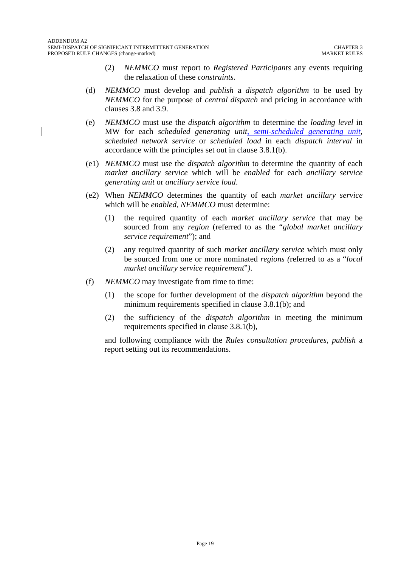- (2) *NEMMCO* must report to *Registered Participants* any events requiring the relaxation of these *constraints*.
- (d) *NEMMCO* must develop and *publish* a *dispatch algorithm* to be used by *NEMMCO* for the purpose of *central dispatch* and pricing in accordance with clauses 3.8 and 3.9.
- (e) *NEMMCO* must use the *dispatch algorithm* to determine the *loading level* in MW for each *scheduled generating unit*, *semi-scheduled generating unit*, *scheduled network service* or *scheduled load* in each *dispatch interval* in accordance with the principles set out in clause 3.8.1(b).
- (e1) *NEMMCO* must use the *dispatch algorithm* to determine the quantity of each *market ancillary service* which will be *enabled* for each *ancillary service generating unit* or *ancillary service load*.
- (e2) When *NEMMCO* determines the quantity of each *market ancillary service*  which will be *enabled, NEMMCO* must determine:
	- (1) the required quantity of each *market ancillary service* that may be sourced from any *region* (referred to as the "*global market ancillary service requirement*"); and
	- (2) any required quantity of such *market ancillary service* which must only be sourced from one or more nominated *regions (*referred to as a "*local market ancillary service requirement*"*)*.
- (f) *NEMMCO* may investigate from time to time:
	- (1) the scope for further development of the *dispatch algorithm* beyond the minimum requirements specified in clause 3.8.1(b); and
	- (2) the sufficiency of the *dispatch algorithm* in meeting the minimum requirements specified in clause 3.8.1(b),

and following compliance with the *Rules consultation procedures*, *publish* a report setting out its recommendations.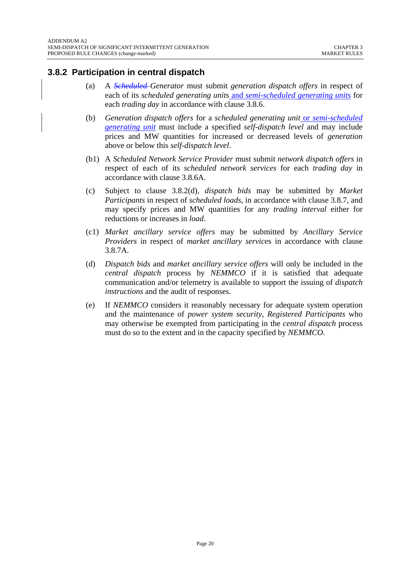#### **3.8.2 Participation in central dispatch**

- (a) A *Scheduled Generator* must submit *generation dispatch offers* in respect of each of its *scheduled generating units* and *semi-scheduled generating units* for each *trading day* in accordance with clause 3.8.6.
- (b) *Generation dispatch offers* for a *scheduled generating unit* or *semi-scheduled generating unit* must include a specified *self-dispatch level* and may include prices and MW quantities for increased or decreased levels of *generation*  above or below this *self-dispatch level*.
- (b1) A *Scheduled Network Service Provider* must submit *network dispatch offers* in respect of each of its *scheduled network services* for each *trading day* in accordance with clause 3.8.6A.
- (c) Subject to clause 3.8.2(d), *dispatch bids* may be submitted by *Market Participants* in respect of *scheduled loads*, in accordance with clause 3.8.7, and may specify prices and MW quantities for any *trading interval* either for reductions or increases in *load*.
- (c1) *Market ancillary service offers* may be submitted by *Ancillary Service Providers* in respect of *market ancillary service*s in accordance with clause 3.8.7A.
- (d) *Dispatch bids* and *market ancillary service offers* will only be included in the *central dispatch* process by *NEMMCO* if it is satisfied that adequate communication and/or telemetry is available to support the issuing of *dispatch instructions* and the audit of responses.
- (e) If *NEMMCO* considers it reasonably necessary for adequate system operation and the maintenance of *power system security*, *Registered Participants* who may otherwise be exempted from participating in the *central dispatch* process must do so to the extent and in the capacity specified by *NEMMCO*.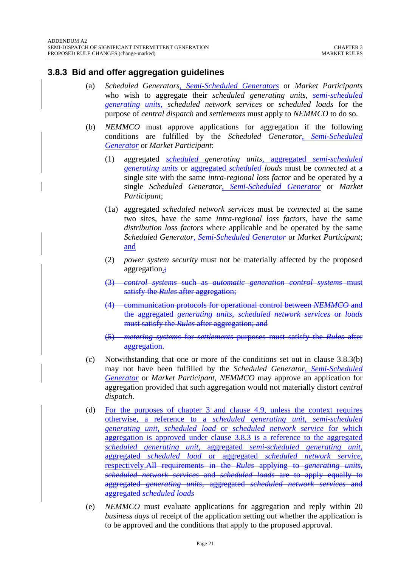#### **3.8.3 Bid and offer aggregation guidelines**

- (a) *Scheduled Generators*, *Semi-Scheduled Generators* or *Market Participants* who wish to aggregate their *scheduled generating units*, *semi-scheduled generating units*, *scheduled network services* or *scheduled loads* for the purpose of *central dispatch* and *settlements* must apply to *NEMMCO* to do so.
- (b) *NEMMCO* must approve applications for aggregation if the following conditions are fulfilled by the *Scheduled Generator*, *Semi-Scheduled Generator* or *Market Participant*:
	- (1) aggregated *scheduled generating units*, aggregated *semi-scheduled generating units* or aggregated *scheduled loads* must be *connected* at a single site with the same *intra-regional loss factor* and be operated by a single *Scheduled Generator*, *Semi-Scheduled Generator* or *Market Participant*;
	- (1a) aggregated *scheduled network services* must be *connected* at the same two sites, have the same *intra-regional loss factors*, have the same *distribution loss factors* where applicable and be operated by the same *Scheduled Generator*, *Semi-Scheduled Generator* or *Market Participant*; and
	- (2) *power system security* must not be materially affected by the proposed aggregation.;
	- (3) *control systems* such as *automatic generation control systems* must satisfy the *Rules* after aggregation;
	- (4) communication protocols for operational control between *NEMMCO* and the aggregated *generating units*, *scheduled network services* or *loads* must satisfy the *Rules* after aggregation; and
	- (5) *metering systems* for *settlements* purposes must satisfy the *Rules* after aggregation.
- (c) Notwithstanding that one or more of the conditions set out in clause 3.8.3(b) may not have been fulfilled by the *Scheduled Generator*, *Semi-Scheduled Generator* or *Market Participant*, *NEMMCO* may approve an application for aggregation provided that such aggregation would not materially distort *central dispatch*.
- (d) For the purposes of chapter 3 and clause 4.9, unless the context requires otherwise, a reference to a *scheduled generating unit*, *semi-scheduled generating unit*, *scheduled load* or *scheduled network service* for which aggregation is approved under clause 3.8.3 is a reference to the aggregated *scheduled generating unit*, aggregated *semi-scheduled generating unit*, aggregated *scheduled load* or aggregated *scheduled network service*, respectively.All requirements in the *Rules* applying to *generating units*, *scheduled network services* and *scheduled loads* are to apply equally to aggregated *generating units*, aggregated *scheduled network services* and aggregated *scheduled loads*
- (e) *NEMMCO* must evaluate applications for aggregation and reply within 20 *business days* of receipt of the application setting out whether the application is to be approved and the conditions that apply to the proposed approval.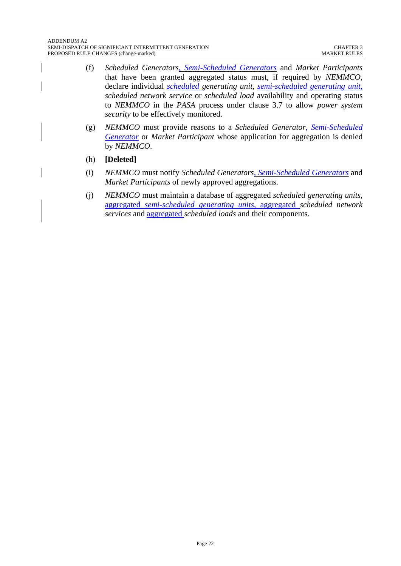- (f) *Scheduled Generators*, *Semi-Scheduled Generators* and *Market Participants*  that have been granted aggregated status must, if required by *NEMMCO,* declare individual *scheduled generating unit, semi-scheduled generating unit, scheduled network service* or *scheduled load* availability and operating status to *NEMMCO* in the *PASA* process under clause 3.7 to allow *power system security* to be effectively monitored.
- (g) *NEMMCO* must provide reasons to a *Scheduled Generator*, *Semi-Scheduled Generator* or *Market Participant* whose application for aggregation is denied by *NEMMCO*.
- (h) **[Deleted]**
- (i) *NEMMCO* must notify *Scheduled Generators*, *Semi-Scheduled Generators* and *Market Participants* of newly approved aggregations.
- (j) *NEMMCO* must maintain a database of aggregated *scheduled generating units*, aggregated *semi-scheduled generating units*, aggregated *scheduled network services* and aggregated *scheduled loads* and their components.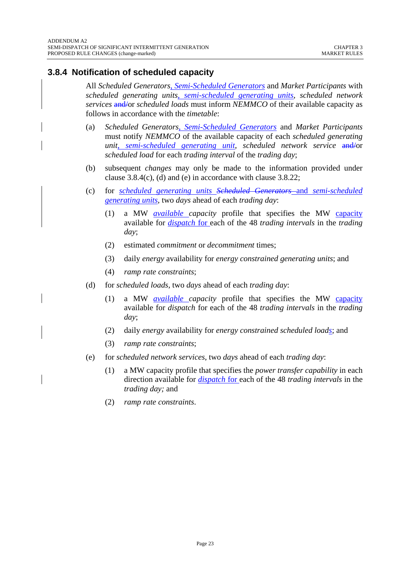#### **3.8.4 Notification of scheduled capacity**

All *Scheduled Generators*, *Semi-Scheduled Generators* and *Market Participants* with *scheduled generating units*, *semi-scheduled generating units*, *scheduled network services* and/or *scheduled loads* must inform *NEMMCO* of their available capacity as follows in accordance with the *timetable*:

- (a) *Scheduled Generators*, *Semi-Scheduled Generators* and *Market Participants* must notify *NEMMCO* of the available capacity of each *scheduled generating unit*, *semi-scheduled generating unit*, *scheduled network service* and/or *scheduled load* for each *trading interval* of the *trading day*;
- (b) subsequent *changes* may only be made to the information provided under clause 3.8.4(c), (d) and (e) in accordance with clause 3.8.22;
- (c) for *scheduled generating units Scheduled Generators* and *semi-scheduled generating units*, two *days* ahead of each *trading day*:
	- (1) a MW *available capacity* profile that specifies the MW capacity available for *dispatch* for each of the 48 *trading intervals* in the *trading day*;
	- (2) estimated *commitment* or *decommitment* times;
	- (3) daily *energy* availability for *energy constrained generating units*; and
	- (4) *ramp rate constraints*;
- (d) for *scheduled loads*, two *days* ahead of each *trading day*:
	- (1) a MW *available capacity* profile that specifies the MW capacity available for *dispatch* for each of the 48 *trading intervals* in the *trading day*;
	- (2) daily *energy* availability for *energy constrained scheduled loads*; and
	- (3) *ramp rate constraints*;
- (e) for *scheduled network services*, two *days* ahead of each *trading day*:
	- (1) a MW capacity profile that specifies the *power transfer capability* in each direction available for *dispatch* for each of the 48 *trading intervals* in the *trading day;* and
	- (2) *ramp rate constraints*.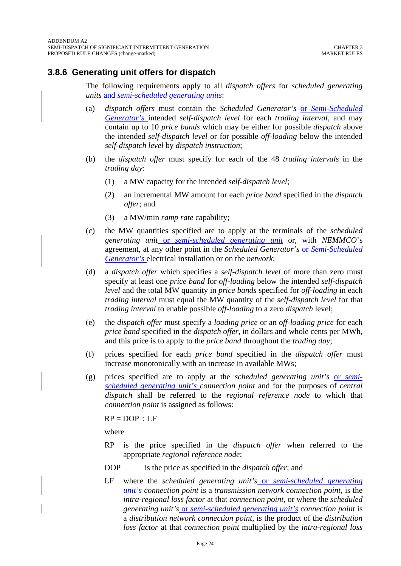#### **3.8.6 Generating unit offers for dispatch**

The following requirements apply to all *dispatch offers* for *scheduled generating units* and *semi-scheduled generating units*:

- (a) *dispatch offers* must contain the *Scheduled Generator's* or *Semi-Scheduled Generator's* intended *self-dispatch level* for each *trading interval*, and may contain up to 10 *price bands* which may be either for possible *dispatch* above the intended *self-dispatch level* or for possible *off-loading* below the intended *self-dispatch level* by *dispatch instruction*;
- (b) the *dispatch offer* must specify for each of the 48 *trading intervals* in the *trading day*:
	- (1) a MW capacity for the intended *self-dispatch level*;
	- (2) an incremental MW amount for each *price band* specified in the *dispatch offer*; and
	- (3) a MW/min *ramp rate* capability;
- (c) the MW quantities specified are to apply at the terminals of the *scheduled generating unit* or *semi-scheduled generating unit* or, with *NEMMCO*'s agreement, at any other point in the *Scheduled Generator's* or *Semi-Scheduled Generator's* electrical installation or on the *network*;
- (d) a *dispatch offer* which specifies a *self-dispatch level* of more than zero must specify at least one *price band* for *off-loading* below the intended *self-dispatch level* and the total MW quantity in *price bands* specified for *off-loading* in each *trading interval* must equal the MW quantity of the *self-dispatch level* for that *trading interval* to enable possible *off-loading* to a zero *dispatch* level;
- (e) the *dispatch offer* must specify a *loading price* or an *off-loading price* for each *price band* specified in the *dispatch offer*, in dollars and whole cents per MWh, and this price is to apply to the *price band* throughout the *trading day*;
- (f) prices specified for each *price band* specified in the *dispatch offer* must increase monotonically with an increase in available MWs;
- (g) prices specified are to apply at the *scheduled generating unit's* or *semischeduled generating unit's connection point* and for the purposes of *central dispatch* shall be referred to the *regional reference node* to which that *connection point* is assigned as follows:

 $RP = DOP \div LF$ 

where

- RP is the price specified in the *dispatch offer* when referred to the appropriate *regional reference node*;
- DOP is the price as specified in the *dispatch offer*; and
- LF where the *scheduled generating unit's* or *semi-scheduled generating unit's connection point* is a *transmission network connection point*, is the *intra-regional loss factor* at that *connection point*, or where the *scheduled generating unit's* or *semi-scheduled generating unit's connection point* is a *distribution network connection point*, is the product of the *distribution loss factor* at that *connection point* multiplied by the *intra-regional loss*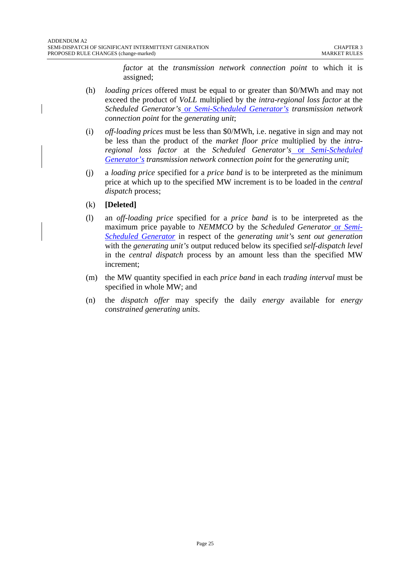*factor* at the *transmission network connection point* to which it is assigned;

- (h) *loading prices* offered must be equal to or greater than \$0/MWh and may not exceed the product of *VoLL* multiplied by the *intra-regional loss factor* at the *Scheduled Generator's* or *Semi-Scheduled Generator's transmission network connection point* for the *generating unit*;
- (i) *off-loading prices* must be less than \$0/MWh, i.e. negative in sign and may not be less than the product of the *market floor price* multiplied by the *intraregional loss factor* at the *Scheduled Generator's* or *Semi-Scheduled Generator's transmission network connection point* for the *generating unit*;
- (j) a *loading price* specified for a *price band* is to be interpreted as the minimum price at which up to the specified MW increment is to be loaded in the *central dispatch* process;
- (k) **[Deleted]**
- (l) an *off-loading price* specified for a *price band* is to be interpreted as the maximum price payable to *NEMMCO* by the *Scheduled Generator* or *Semi-Scheduled Generator* in respect of the *generating unit'*s *sent out generation* with the *generating unit's* output reduced below its specified *self-dispatch level*  in the *central dispatch* process by an amount less than the specified MW increment;
- (m) the MW quantity specified in each *price band* in each *trading interval* must be specified in whole MW; and
- (n) the *dispatch offer* may specify the daily *energy* available for *energy constrained generating units*.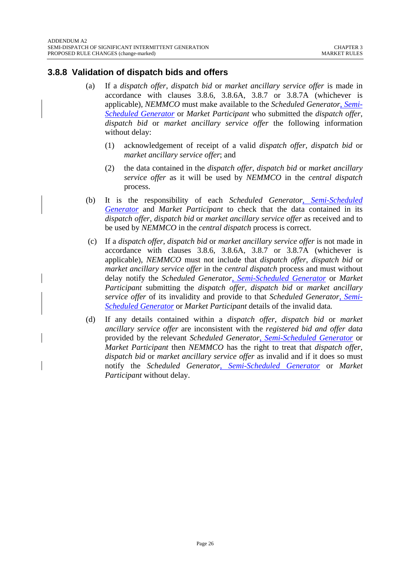#### **3.8.8 Validation of dispatch bids and offers**

- (a) If a *dispatch offer*, *dispatch bid* or *market ancillary service offer* is made in accordance with clauses 3.8.6, 3.8.6A, 3.8.7 or 3.8.7A (whichever is applicable), *NEMMCO* must make available to the *Scheduled Generator*, *Semi-Scheduled Generator* or *Market Participant* who submitted the *dispatch offer*, *dispatch bid* or *market ancillary service offer* the following information without delay:
	- (1) acknowledgement of receipt of a valid *dispatch offer, dispatch bid* or *market ancillary service offer*; and
	- (2) the data contained in the *dispatch offer*, *dispatch bid* or *market ancillary service offer* as it will be used by *NEMMCO* in the *central dispatch* process.
- (b) It is the responsibility of each *Scheduled Generator*, *Semi-Scheduled Generator* and *Market Participant* to check that the data contained in its *dispatch offer*, *dispatch bid* or *market ancillary service offer* as received and to be used by *NEMMCO* in the *central dispatch* process is correct.
- (c) If a *dispatch offer, dispatch bid* or *market ancillary service offer* is not made in accordance with clauses 3.8.6, 3.8.6A, 3.8.7 or 3.8.7A (whichever is applicable), *NEMMCO* must not include that *dispatch offer, dispatch bid* or *market ancillary service offer* in the *central dispatch* process and must without delay notify the *Scheduled Generator*, *Semi-Scheduled Generator* or *Market Participant* submitting the *dispatch offer, dispatch bid* or *market ancillary service offer* of its invalidity and provide to that *Scheduled Generator*, *Semi-Scheduled Generator* or *Market Participant* details of the invalid data*.*
- (d) If any details contained within a *dispatch offer*, *dispatch bid* or *market ancillary service offer* are inconsistent with the *registered bid and offer data* provided by the relevant *Scheduled Generator*, *Semi-Scheduled Generator* or *Market Participant* then *NEMMCO* has the right to treat that *dispatch offer*, *dispatch bid* or *market ancillary service offer* as invalid and if it does so must notify the *Scheduled Generator*, *Semi-Scheduled Generator* or *Market Participant* without delay.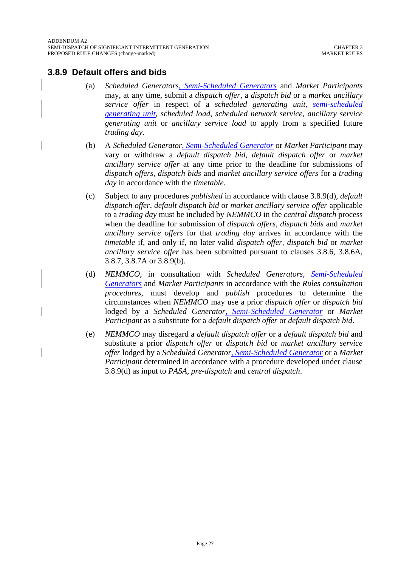#### **3.8.9 Default offers and bids**

- (a) *Scheduled Generators*, *Semi-Scheduled Generators* and *Market Participants* may, at any time, submit a *dispatch offer*, a *dispatch bid* or a *market ancillary service offer* in respect of a *scheduled generating unit*, *semi-scheduled generating unit*, *scheduled load*, *scheduled network service*, *ancillary service generating unit* or *ancillary service load* to apply from a specified future *trading day*.
- (b) A *Scheduled Generator*, *Semi-Scheduled Generator* or *Market Participant* may vary or withdraw a *default dispatch bid*, *default dispatch offer* or *market ancillary service offer* at any time prior to the deadline for submissions of *dispatch offers*, *dispatch bids* and *market ancillary service offers* for a *trading day* in accordance with the *timetable*.
- (c) Subject to any procedures *published* in accordance with clause 3.8.9(d), *default dispatch offer*, *default dispatch bid* or *market ancillary service offer* applicable to a *trading day* must be included by *NEMMCO* in the *central dispatch* process when the deadline for submission of *dispatch offers, dispatch bids* and *market ancillary service offers* for that *trading day* arrives in accordance with the *timetable* if*,* and only if, no later valid *dispatch offer, dispatch bid* or *market ancillary service offer* has been submitted pursuant to clauses 3.8.6, 3.8.6A, 3.8.7, 3.8.7A or 3.8.9(b).
- (d) *NEMMCO*, in consultation with *Scheduled Generators*, *Semi-Scheduled Generators* and *Market Participants* in accordance with the *Rules consultation procedures,* must develop and *publish* procedures to determine the circumstances when *NEMMCO* may use a prior *dispatch offer* or *dispatch bid*  lodged by a *Scheduled Generator*, *Semi-Scheduled Generator* or *Market Participant* as a substitute for a *default dispatch offer* or *default dispatch bid*.
- (e) *NEMMCO* may disregard a *default dispatch offer* or a *default dispatch bid* and substitute a prior *dispatch offer* or *dispatch bid* or *market ancillary service offer* lodged by a *Scheduled Generator*, *Semi-Scheduled Generator* or a *Market Participant* determined in accordance with a procedure developed under clause 3.8.9(d) as input to *PASA, pre-dispatch* and *central dispatch*.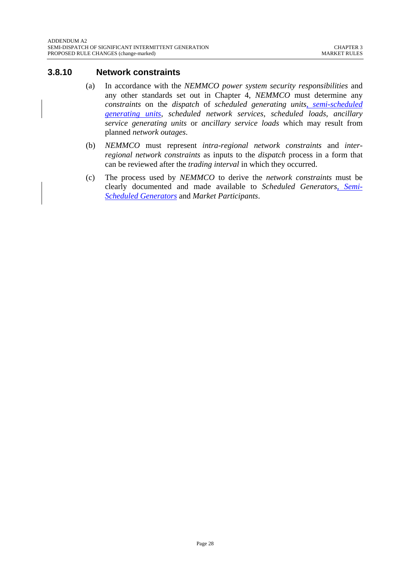#### **3.8.10 Network constraints**

- (a) In accordance with the *NEMMCO power system security responsibilities* and any other standards set out in Chapter 4, *NEMMCO* must determine any *constraints* on the *dispatch* of *scheduled generating units*, *semi-scheduled generating units*, *scheduled network services*, *scheduled loads*, *ancillary service generating units* or *ancillary service loads* which may result from planned *network outages*.
- (b) *NEMMCO* must represent *intra-regional network constraints* and *interregional network constraints* as inputs to the *dispatch* process in a form that can be reviewed after the *trading interval* in which they occurred.
- (c) The process used by *NEMMCO* to derive the *network constraints* must be clearly documented and made available to *Scheduled Generators*, *Semi-Scheduled Generators* and *Market Participants*.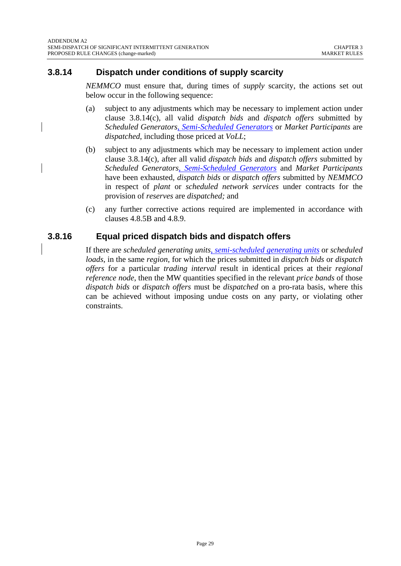#### **3.8.14 Dispatch under conditions of supply scarcity**

*NEMMCO* must ensure that, during times of *supply* scarcity, the actions set out below occur in the following sequence:

- (a) subject to any adjustments which may be necessary to implement action under clause 3.8.14(c), all valid *dispatch bids* and *dispatch offers* submitted by *Scheduled Generators*, *Semi-Scheduled Generators* or *Market Participants* are *dispatched*, including those priced at *VoLL*;
- (b) subject to any adjustments which may be necessary to implement action under clause 3.8.14(c), after all valid *dispatch bids* and *dispatch offers* submitted by *Scheduled Generators*, *Semi-Scheduled Generators* and *Market Participants*  have been exhausted, *dispatch bids* or *dispatch offers* submitted by *NEMMCO*  in respect of *plant* or *scheduled network services* under contracts for the provision of *reserves* are *dispatched;* and
- (c) any further corrective actions required are implemented in accordance with clauses 4.8.5B and 4.8.9.

#### **3.8.16 Equal priced dispatch bids and dispatch offers**

If there are *scheduled generating units*, *semi-scheduled generating units* or *scheduled loads*, in the same *region*, for which the prices submitted in *dispatch bids* or *dispatch offers* for a particular *trading interval* result in identical prices at their *regional reference node*, then the MW quantities specified in the relevant *price bands* of those *dispatch bids* or *dispatch offers* must be *dispatched* on a pro-rata basis, where this can be achieved without imposing undue costs on any party, or violating other constraints.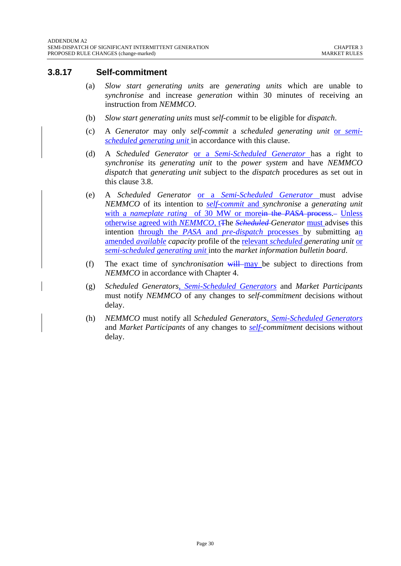#### **3.8.17 Self-commitment**

- (a) *Slow start generating units* are *generating units* which are unable to *synchronise* and increase *generation* within 30 minutes of receiving an instruction from *NEMMCO*.
- (b) *Slow start generating units* must *self-commit* to be eligible for *dispatch*.
- (c) A *Generator* may only *self-commit* a *scheduled generating unit* or *semischeduled generating unit* in accordance with this clause.
- (d) A *Scheduled Generator* or a *Semi-Scheduled Generator* has a right to *synchronise* its *generating unit* to the *power system* and have *NEMMCO dispatch* that *generating unit* subject to the *dispatch* procedures as set out in this clause 3.8.
- (e) A *Scheduled Generator* or a *Semi-Scheduled Generator* must advise *NEMMCO* of its intention to *self-commit* and *synchronise* a *generating unit*  with a *nameplate rating* of 30 MW or morein the *PASA* process - Unless otherwise agreed with *NEMMCO,* tThe *Scheduled Generator* must advises this intention through the *PASA* and *pre-dispatch* processes by submitting an amended *available capacity* profile of the relevant *scheduled generating unit* or *semi-scheduled generating unit* into the *market information bulletin board*.
- (f) The exact time of *synchronisation* will may be subject to directions from *NEMMCO* in accordance with Chapter 4.
- (g) *Scheduled Generators*, *Semi-Scheduled Generators* and *Market Participants* must notify *NEMMCO* of any changes to *self-commitment* decisions without delay.
- (h) *NEMMCO* must notify all *Scheduled Generators*, *Semi-Scheduled Generators* and *Market Participants* of any changes to *self-commitment* decisions without delay.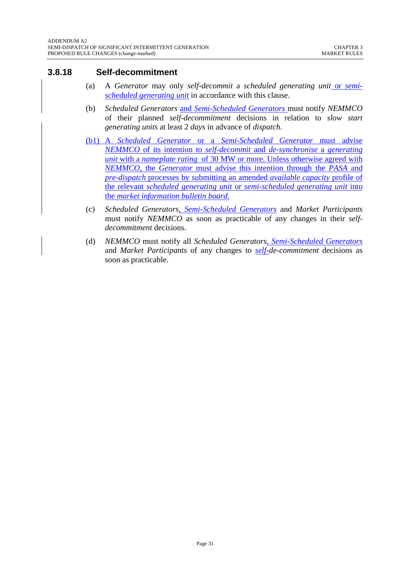#### **3.8.18 Self-decommitment**

- (a) A *Generator* may only *self-decommit* a *scheduled generating unit* or *semischeduled generating unit* in accordance with this clause.
- (b) *Scheduled Generators* and *Semi-Scheduled Generators* must notify *NEMMCO* of their planned *self-decommitment* decisions in relation to *slow start generating units* at least 2 *days* in advance of *dispatch*.
- (b1) A *Scheduled Generator* or a *Semi-Scheduled Generator* must advise *NEMMCO* of its intention to *self-decommit* and *de-synchronise* a *generating unit* with a *nameplate rating* of 30 MW or more. Unless otherwise agreed with *NEMMCO*, the *Generator* must advise this intention through the *PASA* and *pre-dispatch* processes by submitting an amended *available capacity* profile of the relevant *scheduled generating unit* or *semi-scheduled generating unit* into the *market information bulletin board*.
- (c) *Scheduled Generators*, *Semi-Scheduled Generators* and *Market Participants* must notify *NEMMCO* as soon as practicable of any changes in their *selfdecommitment* decisions.
- (d) *NEMMCO* must notify all *Scheduled Generators*, *Semi-Scheduled Generators* and *Market Participants* of any changes to *self-de-commitment* decisions as soon as practicable.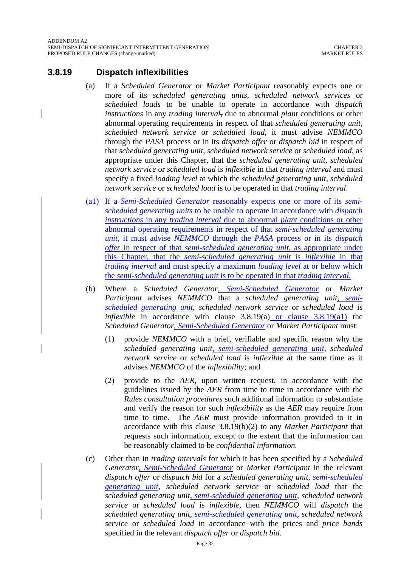#### **3.8.19 Dispatch inflexibilities**

- (a) If a *Scheduled Generator* or *Market Participant* reasonably expects one or more of its *scheduled generating units*, *scheduled network services* or *scheduled loads* to be unable to operate in accordance with *dispatch instructions* in any *trading interval*, due to abnormal *plant* conditions or other abnormal operating requirements in respect of that *scheduled generating unit*, *scheduled network service* or *scheduled load*, it must advise *NEMMCO* through the *PASA* process or in its *dispatch offer* or *dispatch bid* in respect of that *scheduled generating unit*, *scheduled network service* or *scheduled load*, as appropriate under this Chapter, that the *scheduled generating unit*, *scheduled network service* or *scheduled load* is *inflexible* in that *trading interval* and must specify a fixed *loading level* at which the *scheduled generating unit*, *scheduled network service* or *scheduled load* is to be operated in that *trading interval*.
- (a1) If a *Semi-Scheduled Generator* reasonably expects one or more of its *semischeduled generating units* to be unable to operate in accordance with *dispatch instructions* in any *trading interval* due to abnormal *plant* conditions or other abnormal operating requirements in respect of that *semi-scheduled generating unit*, it must advise *NEMMCO* through the *PASA* process or in its *dispatch offer* in respect of that *semi-scheduled generating unit*, as appropriate under this Chapter, that the *semi-scheduled generating unit* is *inflexible* in that *trading interval* and must specify a maximum *loading level* at or below which the *semi-scheduled generating unit* is to be operated in that *trading interval*.
- (b) Where a *Scheduled Generator*, *Semi-Scheduled Generator* or *Market Participant* advises *NEMMCO* that a *scheduled generating unit*, *semischeduled generating unit*, *scheduled network service* or *scheduled load* is *inflexible* in accordance with clause 3.8.19(a) or clause 3.8.19(a1) the *Scheduled Generator*, *Semi-Scheduled Generator* or *Market Participant* must:
	- (1) provide *NEMMCO* with a brief, verifiable and specific reason why the *scheduled generating unit*, *semi-scheduled generating unit, scheduled network service* or *scheduled load* is *inflexible* at the same time as it advises *NEMMCO* of the *inflexibility*; and
	- (2) provide to the *AER,* upon written request, in accordance with the guidelines issued by the *AER* from time to time in accordance with the *Rules consultation procedures* such additional information to substantiate and verify the reason for such *inflexibility* as the *AER* may require from time to time. The *AER* must provide information provided to it in accordance with this clause 3.8.19(b)(2) to any *Market Participant* that requests such information, except to the extent that the information can be reasonably claimed to be *confidential information.*
- (c) Other than in *trading intervals* for which it has been specified by a *Scheduled Generator*, *Semi-Scheduled Generator* or *Market Participant* in the relevant *dispatch offer* or *dispatch bid* for a *scheduled generating unit*, *semi-scheduled generating unit*, *scheduled network service* or *scheduled load* that the *scheduled generating unit*, *semi-scheduled generating unit, scheduled network service* or *scheduled load* is *inflexible*, then *NEMMCO* will *dispatch* the *scheduled generating unit*, *semi-scheduled generating unit*, *scheduled network service* or *scheduled load* in accordance with the prices and *price bands* specified in the relevant *dispatch offer* or *dispatch bid*.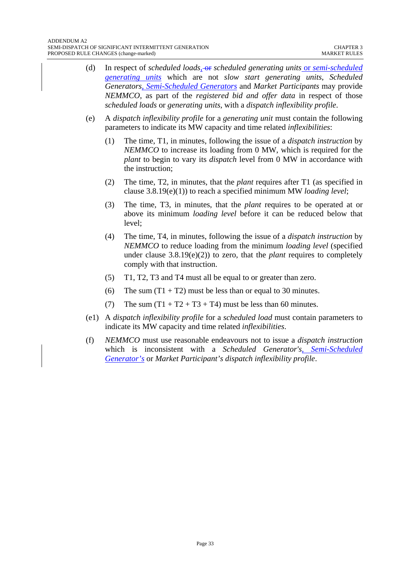- (d) In respect of *scheduled loads*, or *scheduled generating units* or *semi-scheduled generating units* which are not *slow start generating units*, *Scheduled Generators*, *Semi-Scheduled Generators* and *Market Participants* may provide *NEMMCO*, as part of the *registered bid and offer data* in respect of those *scheduled loads* or *generating units*, with a *dispatch inflexibility profile*.
- (e) A *dispatch inflexibility profile* for a *generating unit* must contain the following parameters to indicate its MW capacity and time related *inflexibilities*:
	- (1) The time, T1, in minutes, following the issue of a *dispatch instruction* by *NEMMCO* to increase its loading from 0 MW, which is required for the *plant* to begin to vary its *dispatch* level from 0 MW in accordance with the instruction;
	- (2) The time, T2, in minutes, that the *plant* requires after T1 (as specified in clause 3.8.19(e)(1)) to reach a specified minimum MW *loading level*;
	- (3) The time, T3, in minutes, that the *plant* requires to be operated at or above its minimum *loading level* before it can be reduced below that level;
	- (4) The time, T4, in minutes, following the issue of a *dispatch instruction* by *NEMMCO* to reduce loading from the minimum *loading level* (specified under clause 3.8.19(e)(2)) to zero, that the *plant* requires to completely comply with that instruction.
	- (5) T1, T2, T3 and T4 must all be equal to or greater than zero.
	- (6) The sum  $(T1 + T2)$  must be less than or equal to 30 minutes.
	- (7) The sum  $(T1 + T2 + T3 + T4)$  must be less than 60 minutes.
- (e1) A *dispatch inflexibility profile* for a *scheduled load* must contain parameters to indicate its MW capacity and time related *inflexibilities*.
- (f) *NEMMCO* must use reasonable endeavours not to issue a *dispatch instruction* which is inconsistent with a *Scheduled Generator's*, *Semi-Scheduled Generator's* or *Market Participant's dispatch inflexibility profile*.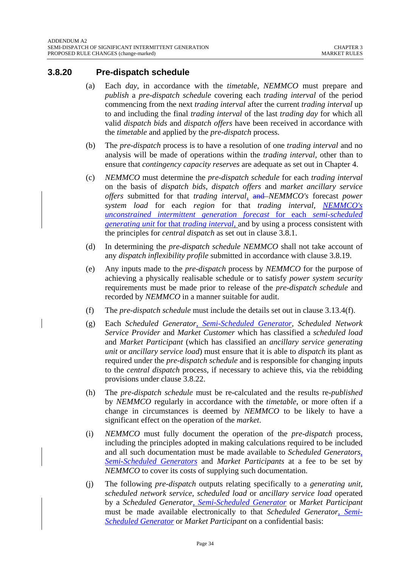#### **3.8.20 Pre-dispatch schedule**

- (a) Each *day*, in accordance with the *timetable*, *NEMMCO* must prepare and *publish* a *pre-dispatch schedule* covering each *trading interval* of the period commencing from the next *trading interval* after the current *trading interval* up to and including the final *trading interval* of the last *trading day* for which all valid *dispatch bids* and *dispatch offers* have been received in accordance with the *timetable* and applied by the *pre-dispatch* process.
- (b) The *pre-dispatch* process is to have a resolution of one *trading interval* and no analysis will be made of operations within the *trading interval*, other than to ensure that *contingency capacity reserves* are adequate as set out in Chapter 4.
- (c) *NEMMCO* must determine the *pre-dispatch schedule* for each *trading interval* on the basis of *dispatch bids*, *dispatch offers* and *market ancillary service offers* submitted for that *trading interval,* and *NEMMCO's* forecast *power system load* for each *region* for that *trading interval*, *NEMMCO's unconstrained intermittent generation forecast* for each *semi-scheduled generating unit* for that *trading interval,* and by using a process consistent with the principles for *central dispatch* as set out in clause 3.8.1.
- (d) In determining the *pre-dispatch schedule NEMMCO* shall not take account of any *dispatch inflexibility profile* submitted in accordance with clause 3.8.19.
- (e) Any inputs made to the *pre-dispatch* process by *NEMMCO* for the purpose of achieving a physically realisable schedule or to satisfy *power system security* requirements must be made prior to release of the *pre-dispatch schedule* and recorded by *NEMMCO* in a manner suitable for audit.
- (f) The *pre-dispatch schedule* must include the details set out in clause 3.13.4(f).
- (g) Each *Scheduled Generator*, *Semi-Scheduled Generator*, *Scheduled Network Service Provider* and *Market Customer* which has classified a *scheduled load* and *Market Participant* (which has classified an *ancillary service generating unit* or *ancillary service load*) must ensure that it is able to *dispatch* its plant as required under the *pre-dispatch schedule* and is responsible for changing inputs to the *central dispatch* process, if necessary to achieve this, via the rebidding provisions under clause 3.8.22.
- (h) The *pre-dispatch schedule* must be re-calculated and the results re-*published* by *NEMMCO* regularly in accordance with the *timetable*, or more often if a change in circumstances is deemed by *NEMMCO* to be likely to have a significant effect on the operation of the *market*.
- (i) *NEMMCO* must fully document the operation of the *pre-dispatch* process, including the principles adopted in making calculations required to be included and all such documentation must be made available to *Scheduled Generators*, *Semi-Scheduled Generators* and *Market Participants* at a fee to be set by *NEMMCO* to cover its costs of supplying such documentation.
- (j) The following *pre-dispatch* outputs relating specifically to a *generating unit*, *scheduled network service*, *scheduled load* or *ancillary service load* operated by a *Scheduled Generator*, *Semi-Scheduled Generator* or *Market Participant* must be made available electronically to that *Scheduled Generator*, *Semi-Scheduled Generator* or *Market Participant* on a confidential basis: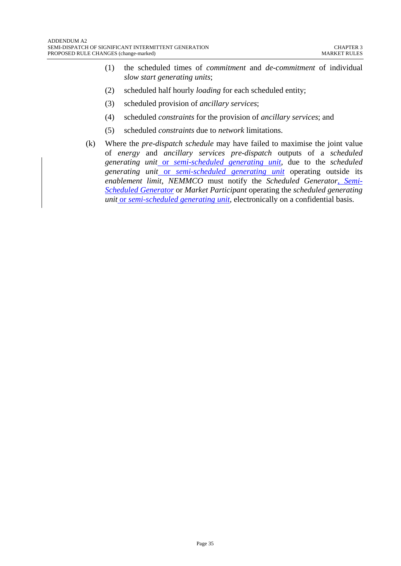- (1) the scheduled times of *commitment* and *de-commitment* of individual *slow start generating units*;
- (2) scheduled half hourly *loading* for each scheduled entity;
- (3) scheduled provision of *ancillary services*;
- (4) scheduled *constraints* for the provision of *ancillary services*; and
- (5) scheduled *constraints* due to *network* limitations.
- (k) Where the *pre-dispatch schedule* may have failed to maximise the joint value of *energy* and *ancillary services pre-dispatch* outputs of a *scheduled generating unit* or *semi-scheduled generating unit*, due to the *scheduled generating unit* or *semi-scheduled generating unit* operating outside its *enablement limit*, *NEMMCO* must notify the *Scheduled Generator*, *Semi-Scheduled Generator* or *Market Participant* operating the *scheduled generating unit* or *semi-scheduled generating unit*, electronically on a confidential basis.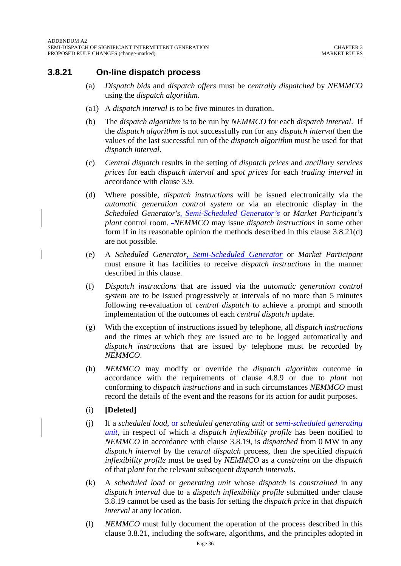#### **3.8.21 On-line dispatch process**

- (a) *Dispatch bids* and *dispatch offers* must be *centrally dispatched* by *NEMMCO*  using the *dispatch algorithm*.
- (a1) A *dispatch interval* is to be five minutes in duration.
- (b) The *dispatch algorithm* is to be run by *NEMMCO* for each *dispatch interval*. If the *dispatch algorithm* is not successfully run for any *dispatch interval* then the values of the last successful run of the *dispatch algorithm* must be used for that *dispatch interval*.
- (c) *Central dispatch* results in the setting of *dispatch prices* and *ancillary services prices* for each *dispatch interval* and *spot prices* for each *trading interval* in accordance with clause 3.9.
- (d) Where possible, *dispatch instructions* will be issued electronically via the *automatic generation control system* or via an electronic display in the *Scheduled Generator's*, *Semi-Scheduled Generator's* or *Market Participant's plant* control room. *NEMMCO* may issue *dispatch instructions* in some other form if in its reasonable opinion the methods described in this clause 3.8.21(d) are not possible.
- (e) A *Scheduled Generator*, *Semi-Scheduled Generator* or *Market Participant* must ensure it has facilities to receive *dispatch instructions* in the manner described in this clause.
- (f) *Dispatch instructions* that are issued via the *automatic generation control system* are to be issued progressively at intervals of no more than 5 minutes following re-evaluation of *central dispatch* to achieve a prompt and smooth implementation of the outcomes of each *central dispatch* update.
- (g) With the exception of instructions issued by telephone, all *dispatch instructions* and the times at which they are issued are to be logged automatically and *dispatch instructions* that are issued by telephone must be recorded by *NEMMCO*.
- (h) *NEMMCO* may modify or override the *dispatch algorithm* outcome in accordance with the requirements of clause 4.8.9 or due to *plant* not conforming to *dispatch instructions* and in such circumstances *NEMMCO* must record the details of the event and the reasons for its action for audit purposes.
- (i) **[Deleted]**
- (j) If a *scheduled load*<sub> $2$ </sub>-or *scheduled generating unit* <u>or *semi-scheduled generating*</u> *unit,* in respect of which a *dispatch inflexibility profile* has been notified to *NEMMCO* in accordance with clause 3.8.19, is *dispatched* from 0 MW in any *dispatch interval* by the *central dispatch* process, then the specified *dispatch inflexibility profile* must be used by *NEMMCO* as a *constraint* on the *dispatch* of that *plant* for the relevant subsequent *dispatch intervals*.
- (k) A *scheduled load* or *generating unit* whose *dispatch* is *constrained* in any *dispatch interval* due to a *dispatch inflexibility profile* submitted under clause 3.8.19 cannot be used as the basis for setting the *dispatch price* in that *dispatch interval* at any location.
- (l) *NEMMCO* must fully document the operation of the process described in this clause 3.8.21, including the software, algorithms, and the principles adopted in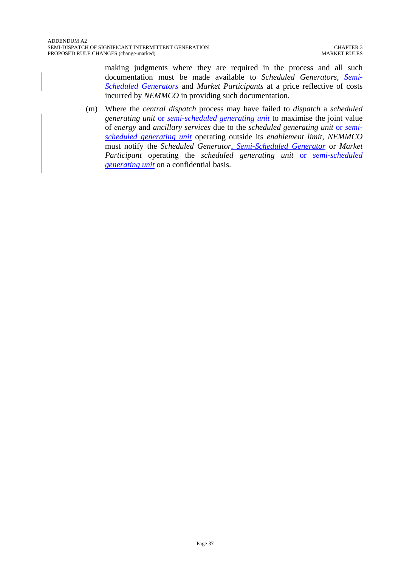making judgments where they are required in the process and all such documentation must be made available to *Scheduled Generators*, *Semi-Scheduled Generators* and *Market Participants* at a price reflective of costs incurred by *NEMMCO* in providing such documentation.

(m) Where the *central dispatch* process may have failed to *dispatch* a *scheduled generating unit* or *semi-scheduled generating unit* to maximise the joint value of *energy* and *ancillary services* due to the *scheduled generating unit* or *semischeduled generating unit* operating outside its *enablement limit*, *NEMMCO* must notify the *Scheduled Generator*, *Semi-Scheduled Generator* or *Market Participant* operating the *scheduled generating unit* or *semi-scheduled generating unit* on a confidential basis.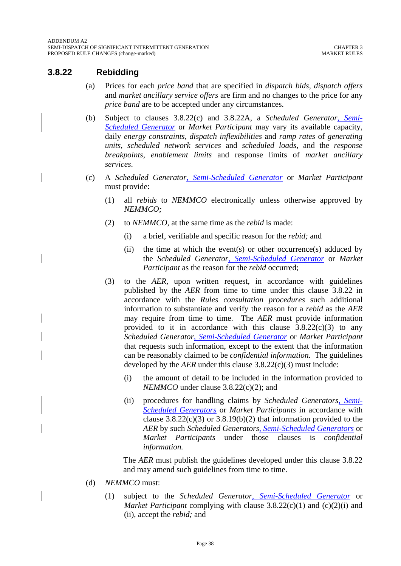#### **3.8.22 Rebidding**

- (a) Prices for each *price band* that are specified in *dispatch bids, dispatch offers* and *market ancillary service offers* are firm and no changes to the price for any *price band* are to be accepted under any circumstances.
- (b) Subject to clauses 3.8.22(c) and 3.8.22A, a *Scheduled Generator*, *Semi-Scheduled Generator* or *Market Participant* may vary its available capacity, daily *energy constraints*, *dispatch inflexibilities* and *ramp rates* of *generating units*, *scheduled network services* and *scheduled loads*, and the *response breakpoints*, *enablement limits* and response limits of *market ancillary services*.
- (c) A *Scheduled Generator*, *Semi-Scheduled Generator* or *Market Participant* must provide:
	- (1) all *rebids* to *NEMMCO* electronically unless otherwise approved by *NEMMCO;*
	- (2) to *NEMMCO*, at the same time as the *rebid* is made:
		- (i) a brief, verifiable and specific reason for the *rebid;* and
		- (ii) the time at which the event(s) or other occurrence(s) adduced by the *Scheduled Generator*, *Semi-Scheduled Generator* or *Market Participant* as the reason for the *rebid* occurred;
	- (3) to the *AER,* upon written request, in accordance with guidelines published by the *AER* from time to time under this clause 3.8.22 in accordance with the *Rules consultation procedures* such additional information to substantiate and verify the reason for a *rebid* as the *AER*  may require from time to time. The *AER* must provide information provided to it in accordance with this clause 3.8.22(c)(3) to any *Scheduled Generator*, *Semi-Scheduled Generator* or *Market Participant* that requests such information, except to the extent that the information can be reasonably claimed to be *confidential information*. The guidelines developed by the *AER* under this clause 3.8.22(c)(3) must include:
		- (i) the amount of detail to be included in the information provided to *NEMMCO* under clause 3.8.22(c)(2); and
		- (ii) procedures for handling claims by *Scheduled Generators*, *Semi-Scheduled Generators* or *Market Participants* in accordance with clause  $3.8.22(c)(3)$  or  $3.8.19(b)(2)$  that information provided to the *AER* by such *Scheduled Generators*, *Semi-Scheduled Generators* or *Market Participants* under those clauses is *confidential information.*

The *AER* must publish the guidelines developed under this clause 3.8.22 and may amend such guidelines from time to time.

- (d) *NEMMCO* must:
	- (1) subject to the *Scheduled Generator*, *Semi-Scheduled Generator* or *Market Participant* complying with clause 3.8.22(c)(1) and (c)(2)(i) and (ii), accept the *rebid;* and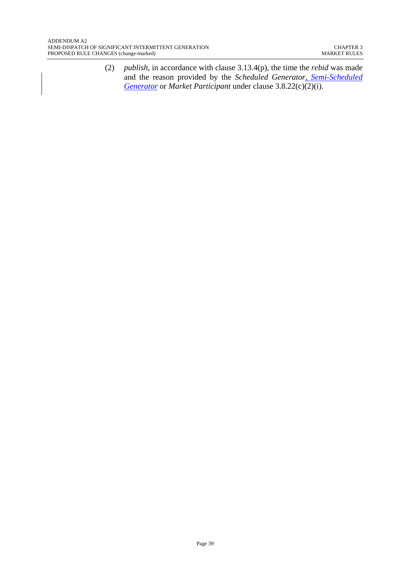(2) *publish,* in accordance with clause 3.13.4(p), the time the *rebid* was made and the reason provided by the *Scheduled Generator*, *Semi-Scheduled Generator* or *Market Participant* under clause 3.8.22(c)(2)(i).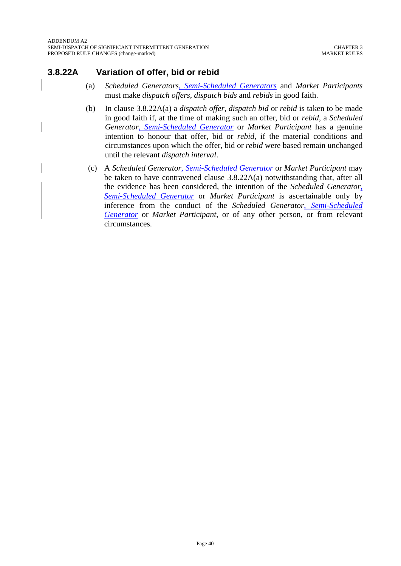## **3.8.22A Variation of offer, bid or rebid**

- (a) *Scheduled Generators*, *Semi-Scheduled Generators* and *Market Participants* must make *dispatch offers, dispatch bids* and *rebids* in good faith.
- (b) In clause 3.8.22A(a) a *dispatch offer*, *dispatch bid* or *rebid* is taken to be made in good faith if, at the time of making such an offer, bid or *rebid*, a *Scheduled Generator*, *Semi-Scheduled Generator* or *Market Participant* has a genuine intention to honour that offer, bid or *rebid*, if the material conditions and circumstances upon which the offer, bid or *rebid* were based remain unchanged until the relevant *dispatch interval*.
- (c) A *Scheduled Generator*, *Semi-Scheduled Generator* or *Market Participant* may be taken to have contravened clause 3.8.22A(a) notwithstanding that, after all the evidence has been considered, the intention of the *Scheduled Generator*, *Semi-Scheduled Generator* or *Market Participant* is ascertainable only by inference from the conduct of the *Scheduled Generator*, *Semi-Scheduled Generator* or *Market Participant*, or of any other person, or from relevant circumstances.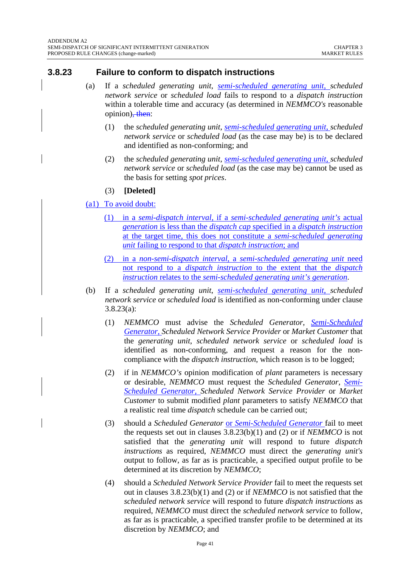#### **3.8.23 Failure to conform to dispatch instructions**

- (a) If a *scheduled generating unit*, *semi-scheduled generating unit*, *scheduled network service* or *scheduled load* fails to respond to a *dispatch instruction* within a tolerable time and accuracy (as determined in *NEMMCO's* reasonable opinion), then:
	- (1) the *scheduled generating unit*, *semi-scheduled generating unit*, *scheduled network service* or *scheduled load* (as the case may be) is to be declared and identified as non-conforming; and
	- (2) the *scheduled generating unit*, *semi-scheduled generating unit*, *scheduled network service* or *scheduled load* (as the case may be) cannot be used as the basis for setting *spot prices*.
	- (3) **[Deleted]**

#### (a1) To avoid doubt:

- (1) in a *semi-dispatch interval*, if a *semi-scheduled generating unit's* actual *generation* is less than the *dispatch cap* specified in a *dispatch instruction* at the target time*,* this does not constitute a *semi-scheduled generating unit* failing to respond to that *dispatch instruction*; and
- (2) in a *non-semi-dispatch interval*, a *semi-scheduled generating unit* need not respond to a *dispatch instruction* to the extent that the *dispatch instruction* relates to the *semi-scheduled generating unit's generation*.
- (b) If a *scheduled generating unit*, *semi-scheduled generating unit*, *scheduled network service* or *scheduled load* is identified as non-conforming under clause 3.8.23(a):
	- (1) *NEMMCO* must advise the *Scheduled Generator*, *Semi-Scheduled Generator*, *Scheduled Network Service Provider* or *Market Customer* that the *generating unit*, *scheduled network service* or *scheduled load* is identified as non-conforming, and request a reason for the noncompliance with the *dispatch instruction*, which reason is to be logged;
	- (2) if in *NEMMCO's* opinion modification of *plant* parameters is necessary or desirable, *NEMMCO* must request the *Scheduled Generator*, *Semi-Scheduled Generator*, *Scheduled Network Service Provider* or *Market Customer* to submit modified *plant* parameters to satisfy *NEMMCO* that a realistic real time *dispatch* schedule can be carried out;
	- (3) should a *Scheduled Generator* or *Semi-Scheduled Generator* fail to meet the requests set out in clauses 3.8.23(b)(1) and (2) or if *NEMMCO* is not satisfied that the *generating unit* will respond to future *dispatch instructions* as required, *NEMMCO* must direct the *generating unit's* output to follow, as far as is practicable, a specified output profile to be determined at its discretion by *NEMMCO*;
	- (4) should a *Scheduled Network Service Provider* fail to meet the requests set out in clauses 3.8.23(b)(1) and (2) or if *NEMMCO* is not satisfied that the *scheduled network service* will respond to future *dispatch instructions* as required, *NEMMCO* must direct the *scheduled network service* to follow, as far as is practicable, a specified transfer profile to be determined at its discretion by *NEMMCO*; and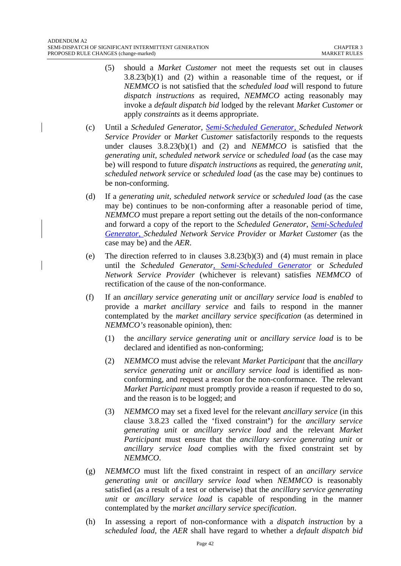- (5) should a *Market Customer* not meet the requests set out in clauses  $3.8.23(b)(1)$  and (2) within a reasonable time of the request, or if *NEMMCO* is not satisfied that the *scheduled load* will respond to future *dispatch instructions* as required, *NEMMCO* acting reasonably may invoke a *default dispatch bid* lodged by the relevant *Market Customer* or apply *constraints* as it deems appropriate.
- (c) Until a *Scheduled Generator*, *Semi-Scheduled Generator*, *Scheduled Network Service Provider* or *Market Customer* satisfactorily responds to the requests under clauses 3.8.23(b)(1) and (2) and *NEMMCO* is satisfied that the *generating unit*, *scheduled network service* or *scheduled load* (as the case may be) will respond to future *dispatch instructions* as required, the *generating unit*, *scheduled network service* or *scheduled load* (as the case may be) continues to be non-conforming.
- (d) If a *generating unit*, *scheduled network service* or *scheduled load* (as the case may be) continues to be non-conforming after a reasonable period of time, *NEMMCO* must prepare a report setting out the details of the non-conformance and forward a copy of the report to the *Scheduled Generator*, *Semi-Scheduled Generator*, *Scheduled Network Service Provider* or *Market Customer* (as the case may be) and the *AER*.
- (e) The direction referred to in clauses 3.8.23(b)(3) and (4) must remain in place until the *Scheduled Generator*, *Semi-Scheduled Generator* or *Scheduled Network Service Provider* (whichever is relevant) satisfies *NEMMCO* of rectification of the cause of the non-conformance.
- (f) If an *ancillary service generating unit* or *ancillary service load* is *enabled* to provide a *market ancillary service* and fails to respond in the manner contemplated by the *market ancillary service specification* (as determined in *NEMMCO's* reasonable opinion), then:
	- (1) the *ancillary service generating unit* or *ancillary service load* is to be declared and identified as non-conforming;
	- (2) *NEMMCO* must advise the relevant *Market Participant* that the *ancillary service generating unit* or *ancillary service load* is identified as nonconforming, and request a reason for the non-conformance. The relevant *Market Participant* must promptly provide a reason if requested to do so, and the reason is to be logged; and
	- (3) *NEMMCO* may set a fixed level for the relevant *ancillary service* (in this clause 3.8.23 called the 'fixed constraint**'**) for the *ancillary service generating unit* or *ancillary service load* and the relevant *Market Participant* must ensure that the *ancillary service generating unit* or *ancillary service load* complies with the fixed constraint set by *NEMMCO*.
- (g) *NEMMCO* must lift the fixed constraint in respect of an *ancillary service generating unit* or *ancillary service load* when *NEMMCO* is reasonably satisfied (as a result of a test or otherwise) that the *ancillary service generating unit* or *ancillary service load* is capable of responding in the manner contemplated by the *market ancillary service specification*.
- (h) In assessing a report of non-conformance with a *dispatch instruction* by a *scheduled load,* the *AER* shall have regard to whether a *default dispatch bid*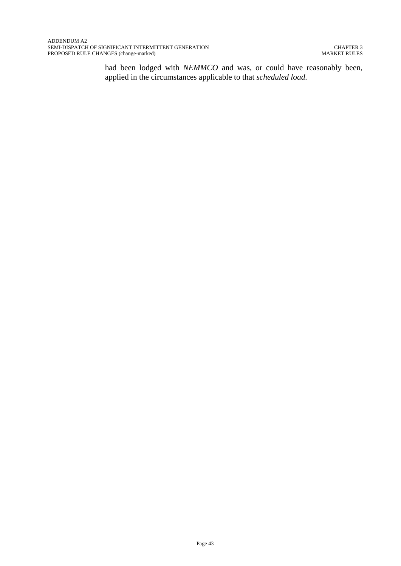had been lodged with *NEMMCO* and was, or could have reasonably been, applied in the circumstances applicable to that *scheduled load*.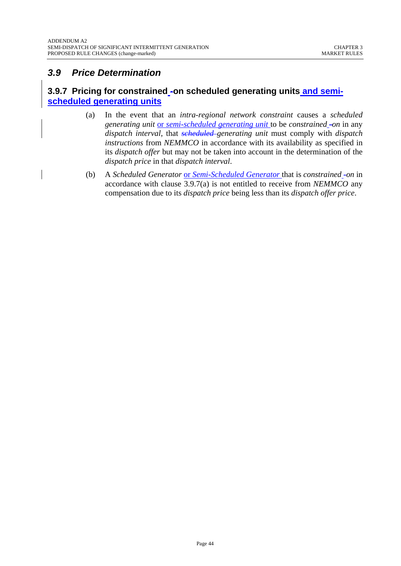# *3.9 Price Determination*

### **3.9.7 Pricing for constrained -on scheduled generating units and semischeduled generating units**

- (a) In the event that an *intra-regional network constraint* causes a *scheduled generating unit* or *semi-scheduled generating unit* to be *constrained -on* in any *dispatch interval*, that *scheduled generating unit* must comply with *dispatch instructions* from *NEMMCO* in accordance with its availability as specified in its *dispatch offer* but may not be taken into account in the determination of the *dispatch price* in that *dispatch interval*.
- (b) A *Scheduled Generator* or *Semi-Scheduled Generator* that is *constrained -on* in accordance with clause 3.9.7(a) is not entitled to receive from *NEMMCO* any compensation due to its *dispatch price* being less than its *dispatch offer price*.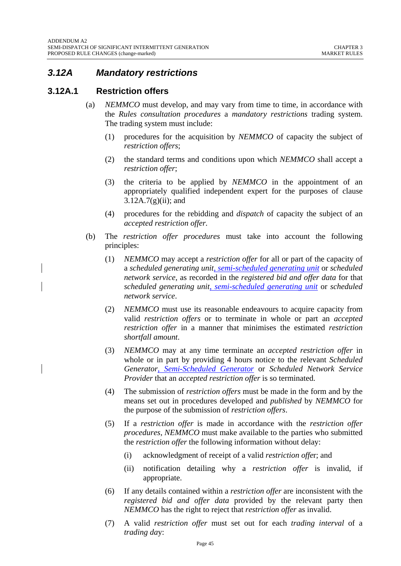## *3.12A Mandatory restrictions*

#### **3.12A.1 Restriction offers**

- (a) *NEMMCO* must develop, and may vary from time to time, in accordance with the *Rules consultation procedures* a *mandatory restrictions* trading system. The trading system must include:
	- (1) procedures for the acquisition by *NEMMCO* of capacity the subject of *restriction offers*;
	- (2) the standard terms and conditions upon which *NEMMCO* shall accept a *restriction offer*;
	- (3) the criteria to be applied by *NEMMCO* in the appointment of an appropriately qualified independent expert for the purposes of clause  $3.12A.7(g)(ii)$ ; and
	- (4) procedures for the rebidding and *dispatch* of capacity the subject of an *accepted restriction offer.*
- (b) The *restriction offer procedures* must take into account the following principles:
	- (1) *NEMMCO* may accept a *restriction offer* for all or part of the capacity of a *scheduled generating unit*, *semi-scheduled generating unit* or *scheduled network service*, as recorded in the *registered bid and offer data* for that *scheduled generating unit*, *semi-scheduled generating unit* or *scheduled network service*.
	- (2) *NEMMCO* must use its reasonable endeavours to acquire capacity from valid *restriction offers* or to terminate in whole or part an *accepted restriction offer* in a manner that minimises the estimated *restriction shortfall amount*.
	- (3) *NEMMCO* may at any time terminate an *accepted restriction offer* in whole or in part by providing 4 hours notice to the relevant *Scheduled Generator*, *Semi-Scheduled Generator* or *Scheduled Network Service Provider* that an *accepted restriction offer* is so terminated.
	- (4) The submission of *restriction offers* must be made in the form and by the means set out in procedures developed and *published* by *NEMMCO* for the purpose of the submission of *restriction offers*.
	- (5) If a *restriction offer* is made in accordance with the *restriction offer procedures*, *NEMMCO* must make available to the parties who submitted the *restriction offer* the following information without delay:
		- (i) acknowledgment of receipt of a valid *restriction offe*r; and
		- (ii) notification detailing why a *restriction offer* is invalid, if appropriate.
	- (6) If any details contained within a *restriction offer* are inconsistent with the *registered bid and offer data* provided by the relevant party then *NEMMCO* has the right to reject that *restriction offer* as invalid.
	- (7) A valid *restriction offer* must set out for each *trading interval* of a *trading da*y: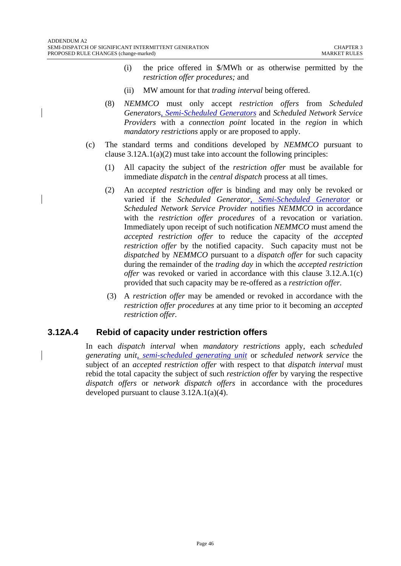- (i) the price offered in \$/MWh or as otherwise permitted by the *restriction offer procedures;* and
- (ii) MW amount for that *trading interval* being offered.
- (8) *NEMMCO* must only accept *restriction offers* from *Scheduled Generators*, *Semi-Scheduled Generators* and *Scheduled Network Service Providers* with a *connection point* located in the *region* in which *mandatory restrictions* apply or are proposed to apply.
- (c) The standard terms and conditions developed by *NEMMCO* pursuant to clause 3.12A.1(a)(2) must take into account the following principles:
	- (1) All capacity the subject of the *restriction offer* must be available for immediate *dispatch* in the *central dispatch* process at all times.
	- (2) An *accepted restriction offer* is binding and may only be revoked or varied if the *Scheduled Generator*, *Semi-Scheduled Generator* or *Scheduled Network Service Provider* notifies *NEMMCO* in accordance with the *restriction offer procedures* of a revocation or variation. Immediately upon receipt of such notification *NEMMCO* must amend the *accepted restriction offer* to reduce the capacity of the *accepted restriction offer* by the notified capacity. Such capacity must not be *dispatched* by *NEMMCO* pursuant to a *dispatch offer* for such capacity during the remainder of the *trading day* in which the *accepted restriction offer* was revoked or varied in accordance with this clause 3.12.A.1(c) provided that such capacity may be re-offered as a *restriction offer.*
	- (3) A *restriction offer* may be amended or revoked in accordance with the *restriction offer procedures* at any time prior to it becoming an *accepted restriction offer.*

#### **3.12A.4 Rebid of capacity under restriction offers**

In each *dispatch interval* when *mandatory restrictions* apply, each *scheduled generating unit*, *semi-scheduled generating unit* or *scheduled network service* the subject of an *accepted restriction offer* with respect to that *dispatch interval* must rebid the total capacity the subject of such *restriction offer* by varying the respective *dispatch offers* or *network dispatch offers* in accordance with the procedures developed pursuant to clause 3.12A.1(a)(4).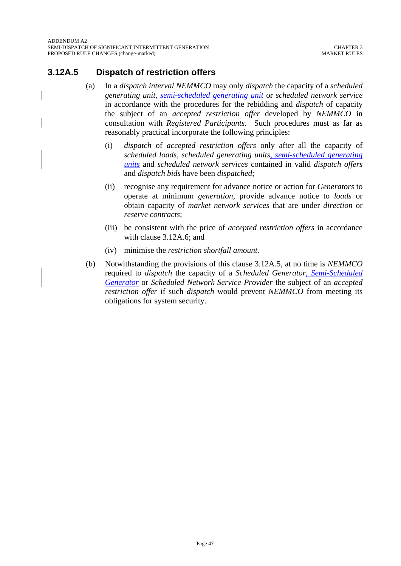### **3.12A.5 Dispatch of restriction offers**

- (a) In a *dispatch interval NEMMCO* may only *dispatch* the capacity of a *scheduled generating unit*, *semi-scheduled generating unit* or *scheduled network service* in accordance with the procedures for the rebidding and *dispatch* of capacity the subject of an *accepted restriction offer* developed by *NEMMCO* in consultation with *Registered Participants*. -Such procedures must as far as reasonably practical incorporate the following principles:
	- (i) *dispatch* of *accepted restriction offers* only after all the capacity of *scheduled loads*, *scheduled generating units*, *semi-scheduled generating units* and *scheduled network services* contained in valid *dispatch offers* and *dispatch bids* have been *dispatched*;
	- (ii) recognise any requirement for advance notice or action for *Generators* to operate at minimum *generation*, provide advance notice to *loads* or obtain capacity of *market network services* that are under *direction* or *reserve contracts*;
	- (iii) be consistent with the price of *accepted restriction offers* in accordance with clause 3.12A.6; and
	- (iv) minimise the *restriction shortfall amount*.
- (b) Notwithstanding the provisions of this clause 3.12A.5, at no time is *NEMMCO*  required to *dispatch* the capacity of a *Scheduled Generator*, *Semi-Scheduled Generator* or *Scheduled Network Service Provider* the subject of an *accepted restriction offer* if such *dispatch* would prevent *NEMMCO* from meeting its obligations for system security.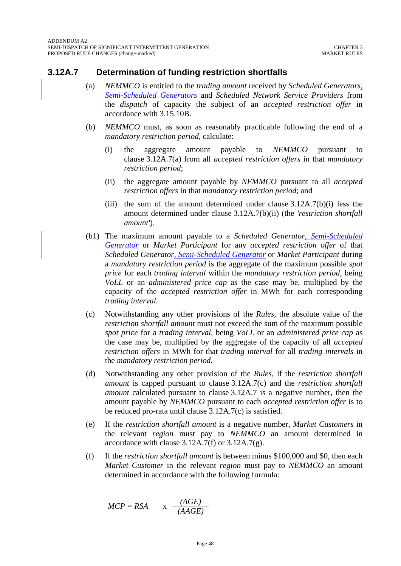#### **3.12A.7 Determination of funding restriction shortfalls**

- (a) *NEMMCO* is entitled to the *trading amount* received by *Scheduled Generators*, *Semi-Scheduled Generators* and *Scheduled Network Service Providers* from the *dispatch* of capacity the subject of an *accepted restriction offer* in accordance with 3.15.10B.
- (b) *NEMMCO* must, as soon as reasonably practicable following the end of a *mandatory restriction period*, calculate:
	- (i) the aggregate amount payable to *NEMMCO* pursuant to clause 3.12A.7(a) from all *accepted restriction offers* in that *mandatory restriction period*;
	- (ii) the aggregate amount payable by *NEMMCO* pursuant to all *accepted restriction offers* in that *mandatory restriction period*; and
	- (iii) the sum of the amount determined under clause  $3.12A.7(b)(i)$  less the amount determined under clause 3.12A.7(b)(ii) (the *'restriction shortfall amount'*).
- (b1) The maximum amount payable to a *Scheduled Generator*, *Semi-Scheduled Generator* or *Market Participant* for any *accepted restriction offer* of that *Scheduled Generator*, *Semi-Scheduled Generator* or *Market Participant* during a *mandatory restriction period* is the aggregate of the maximum possible *spot price* for each *trading interval* within the *mandatory restriction period,* being *VoLL* or an *administered price cap* as the case may be, multiplied by the capacity of the *accepted restriction offer* in MWh for each corresponding *trading interval.*
- (c) Notwithstanding any other provisions of the *Rules*, the absolute value of the *restriction shortfall amount* must not exceed the sum of the maximum possible *spot price* for a *trading interval,* being *VoLL* or an *administered price cap* as the case may be, multiplied by the aggregate of the capacity of all *accepted restriction offers* in MWh for that *trading interval* for all *trading intervals* in the *mandatory restriction period.*
- (d) Notwithstanding any other provision of the *Rules*, if the *restriction shortfall amount* is capped pursuant to clause 3.12A.7(c) and the *restriction shortfall amount* calculated pursuant to clause 3.12A.7 is a negative number, then the amount payable by *NEMMCO* pursuant to each *accepted restriction offer* is to be reduced pro-rata until clause 3.12A.7(c) is satisfied.
- (e) If the *restriction shortfall amount* is a negative number, *Market Customers* in the relevant *region* must pay to *NEMMCO* an amount determined in accordance with clause  $3.12A.7(f)$  or  $3.12A.7(g)$ .
- (f) If the *restriction shortfall amount* is between minus \$100,000 and \$0, then each *Market Customer* in the relevant *region* must pay to *NEMMCO* an amount determined in accordance with the following formula:

$$
MCP = RSA \qquad x \quad \frac{(AGE)}{(AAGE)}
$$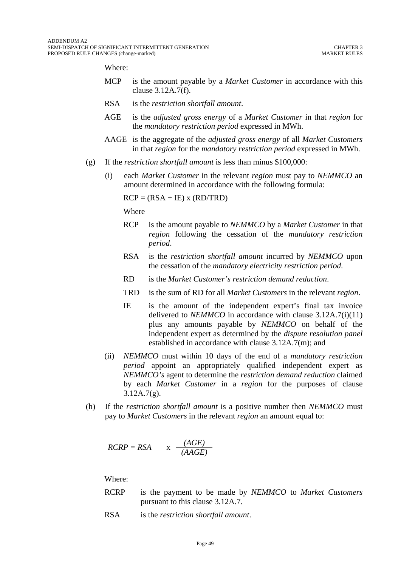Where:

- MCP is the amount payable by a *Market Customer* in accordance with this clause 3.12A.7(f).
- RSA is the *restriction shortfall amount*.
- AGE is the *adjusted gross energy* of a *Market Customer* in that *region* for the *mandatory restriction period* expressed in MWh.
- AAGE is the aggregate of the *adjusted gross energy* of all *Market Customers*  in that *region* for the *mandatory restriction period* expressed in MWh.
- (g) If the *restriction shortfall amount* is less than minus \$100,000:
	- (i) each *Market Customer* in the relevant *region* must pay to *NEMMCO* an amount determined in accordance with the following formula:

 $RCP = (RSA + IE)$  x  $(RD/TRD)$ 

Where

- RCP is the amount payable to *NEMMCO* by a *Market Customer* in that *region* following the cessation of the *mandatory restriction period*.
- RSA is the *restriction shortfall amount* incurred by *NEMMCO* upon the cessation of the *mandatory electricity restriction period*.
- RD is the *Market Customer's restriction demand reduction*.
- TRD is the sum of RD for all *Market Customers* in the relevant *region*.
- IE is the amount of the independent expert's final tax invoice delivered to *NEMMCO* in accordance with clause 3.12A.7(i)(11) plus any amounts payable by *NEMMCO* on behalf of the independent expert as determined by the *dispute resolution panel*  established in accordance with clause 3.12A.7(m); and
- (ii) *NEMMCO* must within 10 days of the end of a *mandatory restriction period* appoint an appropriately qualified independent expert as *NEMMCO's* agent to determine the *restriction demand reduction* claimed by each *Market Customer* in a *region* for the purposes of clause  $3.12A.7(g)$ .
- (h) If the *restriction shortfall amount* is a positive number then *NEMMCO* must pay to *Market Customers* in the relevant *region* an amount equal to:

$$
RCRP = RSA \qquad x \quad \frac{(AGE)}{(AAGE)}
$$

Where:

- RCRP is the payment to be made by *NEMMCO* to *Market Customers*  pursuant to this clause 3.12A.7.
- RSA is the *restriction shortfall amount*.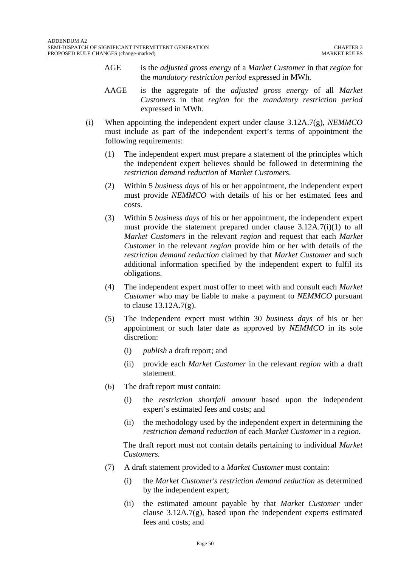- AGE is the *adjusted gross energy* of a *Market Customer* in that *region* for the *mandatory restriction period* expressed in MWh.
- AAGE is the aggregate of the *adjusted gross energy* of all *Market Customers* in that *region* for the *mandatory restriction period*  expressed in MWh.
- (i) When appointing the independent expert under clause 3.12A.7(g), *NEMMCO*  must include as part of the independent expert's terms of appointment the following requirements:
	- (1) The independent expert must prepare a statement of the principles which the independent expert believes should be followed in determining the *restriction demand reduction* of *Market Customer*s.
	- (2) Within 5 *business days* of his or her appointment, the independent expert must provide *NEMMCO* with details of his or her estimated fees and costs.
	- (3) Within 5 *business days* of his or her appointment, the independent expert must provide the statement prepared under clause 3.12A.7(i)(1) to all *Market Customers* in the relevant *region* and request that each *Market Customer* in the relevant *region* provide him or her with details of the *restriction demand reduction* claimed by that *Market Customer* and such additional information specified by the independent expert to fulfil its obligations.
	- (4) The independent expert must offer to meet with and consult each *Market Customer* who may be liable to make a payment to *NEMMCO* pursuant to clause 13.12A.7(g).
	- (5) The independent expert must within 30 *business days* of his or her appointment or such later date as approved by *NEMMCO* in its sole discretion:
		- (i) *publish* a draft report; and
		- (ii) provide each *Market Customer* in the relevant *region* with a draft statement.
	- (6) The draft report must contain:
		- (i) the *restriction shortfall amount* based upon the independent expert's estimated fees and costs; and
		- (ii) the methodology used by the independent expert in determining the *restriction demand reduction* of each *Market Customer* in a *region.*

The draft report must not contain details pertaining to individual *Market Customers.* 

- (7) A draft statement provided to a *Market Customer* must contain:
	- (i) the *Market Customer's restriction demand reduction* as determined by the independent expert;
	- (ii) the estimated amount payable by that *Market Customer* under clause 3.12A.7(g), based upon the independent experts estimated fees and costs; and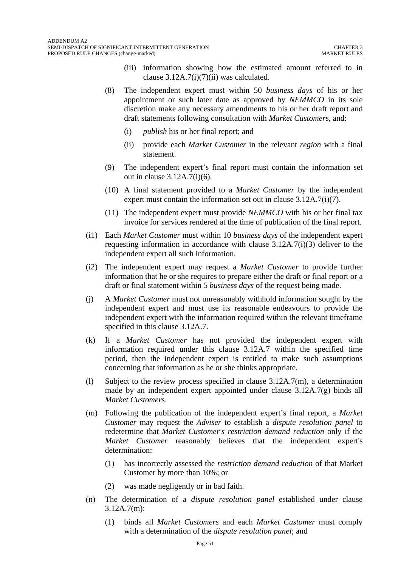- (iii) information showing how the estimated amount referred to in clause  $3.12A.7(i)(7)(ii)$  was calculated.
- (8) The independent expert must within 50 *business days* of his or her appointment or such later date as approved by *NEMMCO* in its sole discretion make any necessary amendments to his or her draft report and draft statements following consultation with *Market Customer*s, and:
	- (i) *publish* his or her final report; and
	- (ii) provide each *Market Customer* in the relevant *region* with a final statement.
- (9) The independent expert's final report must contain the information set out in clause 3.12A.7(i)(6).
- (10) A final statement provided to a *Market Customer* by the independent expert must contain the information set out in clause 3.12A.7(i)(7).
- (11) The independent expert must provide *NEMMCO* with his or her final tax invoice for services rendered at the time of publication of the final report.
- (i1) Each *Market Customer* must within 10 *business days* of the independent expert requesting information in accordance with clause 3.12A.7(i)(3) deliver to the independent expert all such information.
- (i2) The independent expert may request a *Market Customer* to provide further information that he or she requires to prepare either the draft or final report or a draft or final statement within 5 *business days* of the request being made.
- (j) A *Market Customer* must not unreasonably withhold information sought by the independent expert and must use its reasonable endeavours to provide the independent expert with the information required within the relevant timeframe specified in this clause 3.12A.7.
- (k) If a *Market Customer* has not provided the independent expert with information required under this clause 3.12A.7 within the specified time period, then the independent expert is entitled to make such assumptions concerning that information as he or she thinks appropriate.
- (l) Subject to the review process specified in clause 3.12A.7(m), a determination made by an independent expert appointed under clause 3.12A.7(g) binds all *Market Customer*s.
- (m) Following the publication of the independent expert's final report, a *Market Customer* may request the *Adviser* to establish a *dispute resolution panel* to redetermine that *Market Customer's restriction demand reduction* only if the *Market Customer* reasonably believes that the independent expert's determination:
	- (1) has incorrectly assessed the *restriction demand reduction* of that Market Customer by more than 10%; or
	- (2) was made negligently or in bad faith.
- (n) The determination of a *dispute resolution panel* established under clause 3.12A.7(m):
	- (1) binds all *Market Customers* and each *Market Customer* must comply with a determination of the *dispute resolution panel*; and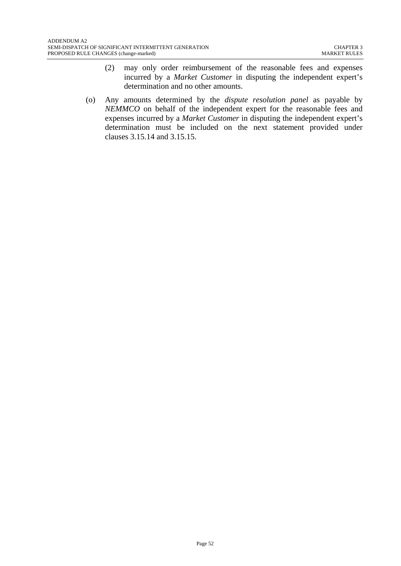- (2) may only order reimbursement of the reasonable fees and expenses incurred by a *Market Customer* in disputing the independent expert's determination and no other amounts.
- (o) Any amounts determined by the *dispute resolution panel* as payable by *NEMMCO* on behalf of the independent expert for the reasonable fees and expenses incurred by a *Market Customer* in disputing the independent expert's determination must be included on the next statement provided under clauses 3.15.14 and 3.15.15.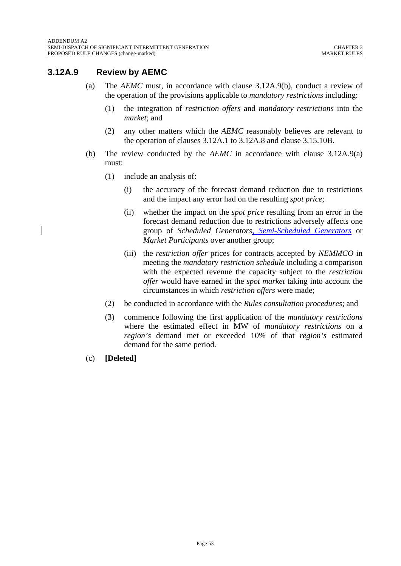### **3.12A.9 Review by AEMC**

- (a) The *AEMC* must, in accordance with clause 3.12A.9(b), conduct a review of the operation of the provisions applicable to *mandatory restrictions* including:
	- (1) the integration of *restriction offers* and *mandatory restrictions* into the *market*; and
	- (2) any other matters which the *AEMC* reasonably believes are relevant to the operation of clauses 3.12A.1 to 3.12A.8 and clause 3.15.10B.
- (b) The review conducted by the *AEMC* in accordance with clause 3.12A.9(a) must:
	- (1) include an analysis of:
		- (i) the accuracy of the forecast demand reduction due to restrictions and the impact any error had on the resulting *spot price*;
		- (ii) whether the impact on the *spot price* resulting from an error in the forecast demand reduction due to restrictions adversely affects one group of *Scheduled Generators*, *Semi-Scheduled Generators* or *Market Participants* over another group;
		- (iii) the *restriction offer* prices for contracts accepted by *NEMMCO* in meeting the *mandatory restriction schedule* including a comparison with the expected revenue the capacity subject to the *restriction offer* would have earned in the *spot market* taking into account the circumstances in which *restriction offers* were made;
	- (2) be conducted in accordance with the *Rules consultation procedures*; and
	- (3) commence following the first application of the *mandatory restrictions* where the estimated effect in MW of *mandatory restrictions* on a *region's* demand met or exceeded 10% of that *region's* estimated demand for the same period.
- (c) **[Deleted]**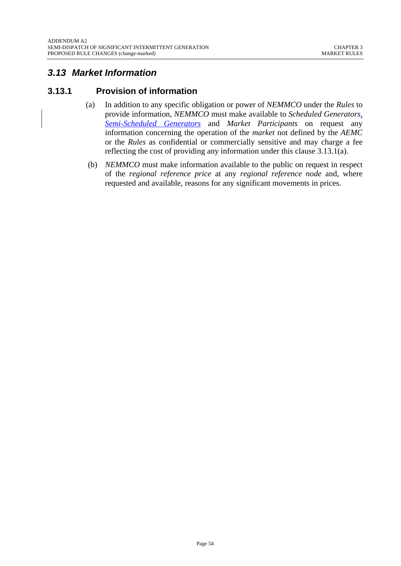# *3.13 Market Information*

## **3.13.1 Provision of information**

- (a) In addition to any specific obligation or power of *NEMMCO* under the *Rules* to provide information, *NEMMCO* must make available to *Scheduled Generators*, *Semi-Scheduled Generators* and *Market Participants* on request any information concerning the operation of the *market* not defined by the *AEMC* or the *Rules* as confidential or commercially sensitive and may charge a fee reflecting the cost of providing any information under this clause 3.13.1(a).
- (b) *NEMMCO* must make information available to the public on request in respect of the *regional reference price* at any *regional reference node* and, where requested and available, reasons for any significant movements in prices.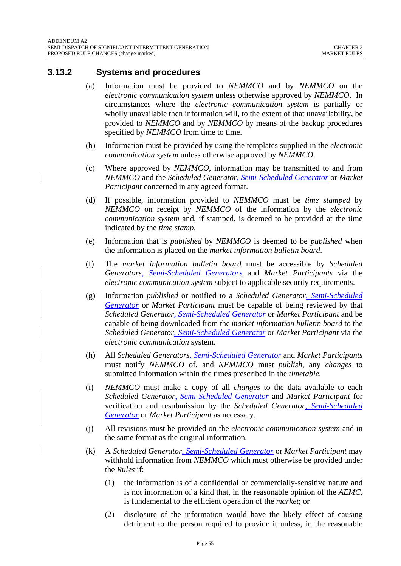#### **3.13.2 Systems and procedures**

- (a) Information must be provided to *NEMMCO* and by *NEMMCO* on the *electronic communication system* unless otherwise approved by *NEMMCO*. In circumstances where the *electronic communication system* is partially or wholly unavailable then information will, to the extent of that unavailability, be provided to *NEMMCO* and by *NEMMCO* by means of the backup procedures specified by *NEMMCO* from time to time.
- (b) Information must be provided by using the templates supplied in the *electronic communication system* unless otherwise approved by *NEMMCO*.
- (c) Where approved by *NEMMCO*, information may be transmitted to and from *NEMMCO* and the *Scheduled Generator*, *Semi-Scheduled Generator* or *Market Participant* concerned in any agreed format.
- (d) If possible, information provided to *NEMMCO* must be *time stamped* by *NEMMCO* on receipt by *NEMMCO* of the information by the *electronic communication system* and, if stamped, is deemed to be provided at the time indicated by the *time stamp*.
- (e) Information that is *published* by *NEMMCO* is deemed to be *published* when the information is placed on the *market information bulletin board*.
- (f) The *market information bulletin board* must be accessible by *Scheduled Generators*, *Semi-Scheduled Generators* and *Market Participants* via the *electronic communication system* subject to applicable security requirements.
- (g) Information *published* or notified to a *Scheduled Generator*, *Semi-Scheduled Generator* or *Market Participant* must be capable of being reviewed by that *Scheduled Generator*, *Semi-Scheduled Generator* or *Market Participant* and be capable of being downloaded from the *market information bulletin board* to the *Scheduled Generator*, *Semi-Scheduled Generator* or *Market Participant* via the *electronic communication* system.
- (h) All *Scheduled Generators*, *Semi-Scheduled Generator* and *Market Participants* must notify *NEMMCO* of, and *NEMMCO* must *publish*, any *changes* to submitted information within the times prescribed in the *timetable*.
- (i) *NEMMCO* must make a copy of all *changes* to the data available to each *Scheduled Generator*, *Semi-Scheduled Generator* and *Market Participant* for verification and resubmission by the *Scheduled Generator*, *Semi-Scheduled Generator* or *Market Participant* as necessary.
- (j) All revisions must be provided on the *electronic communication system* and in the same format as the original information.
- (k) A *Scheduled Generator*, *Semi-Scheduled Generator* or *Market Participant* may withhold information from *NEMMCO* which must otherwise be provided under the *Rules* if:
	- (1) the information is of a confidential or commercially-sensitive nature and is not information of a kind that, in the reasonable opinion of the *AEMC*, is fundamental to the efficient operation of the *market*; or
	- (2) disclosure of the information would have the likely effect of causing detriment to the person required to provide it unless, in the reasonable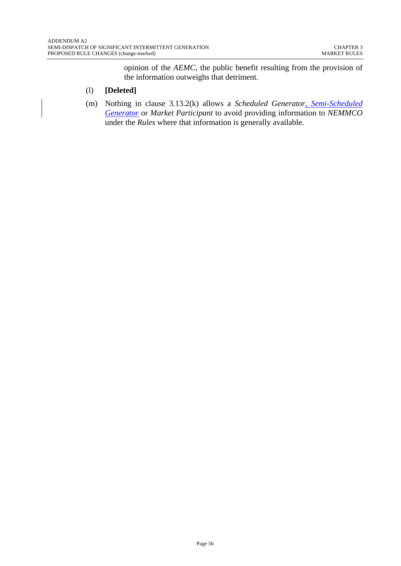opinion of the *AEMC*, the public benefit resulting from the provision of the information outweighs that detriment.

#### (l) **[Deleted]**

(m) Nothing in clause 3.13.2(k) allows a *Scheduled Generator*, *Semi-Scheduled Generator* or *Market Participant* to avoid providing information to *NEMMCO* under the *Rules* where that information is generally available.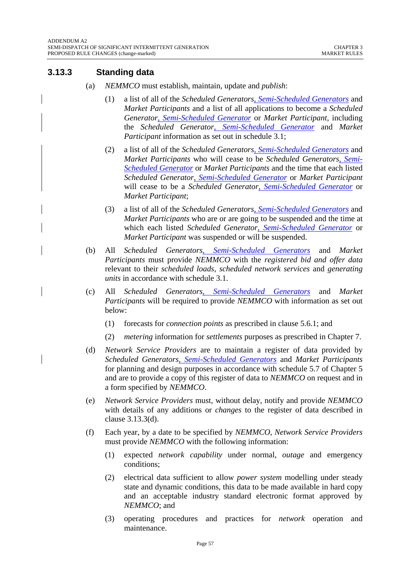## **3.13.3 Standing data**

- (a) *NEMMCO* must establish, maintain, update and *publish*:
	- (1) a list of all of the *Scheduled Generators*, *Semi-Scheduled Generators* and *Market Participants* and a list of all applications to become a *Scheduled Generator*, *Semi-Scheduled Generator* or *Market Participant*, including the *Scheduled Generator*, *Semi-Scheduled Generator* and *Market Participant* information as set out in schedule 3.1;
	- (2) a list of all of the *Scheduled Generators*, *Semi-Scheduled Generators* and *Market Participants* who will cease to be *Scheduled Generators*, *Semi-Scheduled Generator* or *Market Participants* and the time that each listed *Scheduled Generator*, *Semi-Scheduled Generator* or *Market Participant* will cease to be a *Scheduled Generator*, *Semi-Scheduled Generator* or *Market Participant*;
	- (3) a list of all of the *Scheduled Generators*, *Semi-Scheduled Generators* and *Market Participants* who are or are going to be suspended and the time at which each listed *Scheduled Generator*, *Semi-Scheduled Generator* or *Market Participant* was suspended or will be suspended.
- (b) All *Scheduled Generators*, *Semi-Scheduled Generators* and *Market Participants* must provide *NEMMCO* with the *registered bid and offer data* relevant to their *scheduled loads*, *scheduled network services* and *generating units* in accordance with schedule 3.1.
- (c) All *Scheduled Generators*, *Semi-Scheduled Generators* and *Market Participants* will be required to provide *NEMMCO* with information as set out below:
	- (1) forecasts for *connection points* as prescribed in clause 5.6.1; and
	- (2) *metering* information for *settlements* purposes as prescribed in Chapter 7.
- (d) *Network Service Providers* are to maintain a register of data provided by *Scheduled Generators*, *Semi-Scheduled Generators* and *Market Participants* for planning and design purposes in accordance with schedule 5.7 of Chapter 5 and are to provide a copy of this register of data to *NEMMCO* on request and in a form specified by *NEMMCO*.
- (e) *Network Service Providers* must, without delay, notify and provide *NEMMCO* with details of any additions or *changes* to the register of data described in clause 3.13.3(d).
- (f) Each year, by a date to be specified by *NEMMCO*, *Network Service Providers* must provide *NEMMCO* with the following information:
	- (1) expected *network capability* under normal, *outage* and emergency conditions;
	- (2) electrical data sufficient to allow *power system* modelling under steady state and dynamic conditions, this data to be made available in hard copy and an acceptable industry standard electronic format approved by *NEMMCO*; and
	- (3) operating procedures and practices for *network* operation and maintenance.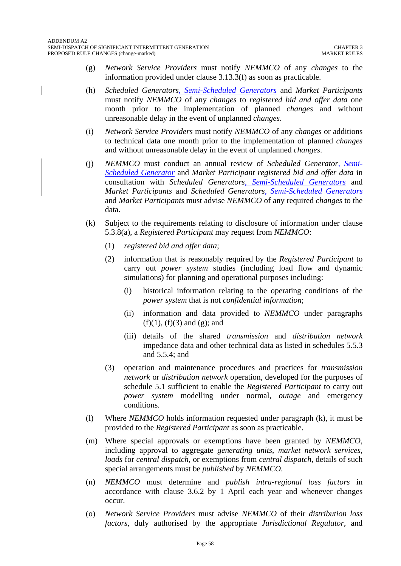- (g) *Network Service Providers* must notify *NEMMCO* of any *changes* to the information provided under clause 3.13.3(f) as soon as practicable.
- (h) *Scheduled Generators*, *Semi-Scheduled Generators* and *Market Participants* must notify *NEMMCO* of any *changes* to *registered bid and offer data* one month prior to the implementation of planned *changes* and without unreasonable delay in the event of unplanned *changes*.
- (i) *Network Service Providers* must notify *NEMMCO* of any *changes* or additions to technical data one month prior to the implementation of planned *changes* and without unreasonable delay in the event of unplanned *changes*.
- (j) *NEMMCO* must conduct an annual review of *Scheduled Generator*, *Semi-Scheduled Generator* and *Market Participant registered bid and offer data* in consultation with *Scheduled Generators*, *Semi-Scheduled Generators* and *Market Participants* and *Scheduled Generators*, *Semi-Scheduled Generators* and *Market Participants* must advise *NEMMCO* of any required *changes* to the data.
- (k) Subject to the requirements relating to disclosure of information under clause 5.3.8(a), a *Registered Participant* may request from *NEMMCO*:
	- (1) *registered bid and offer data*;
	- (2) information that is reasonably required by the *Registered Participant* to carry out *power system* studies (including load flow and dynamic simulations) for planning and operational purposes including:
		- (i) historical information relating to the operating conditions of the *power system* that is not *confidential information*;
		- (ii) information and data provided to *NEMMCO* under paragraphs  $(f)(1)$ ,  $(f)(3)$  and  $(g)$ ; and
		- (iii) details of the shared *transmission* and *distribution network*  impedance data and other technical data as listed in schedules 5.5.3 and 5.5.4; and
	- (3) operation and maintenance procedures and practices for *transmission network* or *distribution network* operation, developed for the purposes of schedule 5.1 sufficient to enable the *Registered Participant* to carry out *power system* modelling under normal, *outage* and emergency conditions.
- (l) Where *NEMMCO* holds information requested under paragraph (k), it must be provided to the *Registered Participant* as soon as practicable.
- (m) Where special approvals or exemptions have been granted by *NEMMCO*, including approval to aggregate *generating units*, *market network services*, *loads* for *central dispatch*, or exemptions from *central dispatch*, details of such special arrangements must be *published* by *NEMMCO*.
- (n) *NEMMCO* must determine and *publish intra-regional loss factors* in accordance with clause 3.6.2 by 1 April each year and whenever changes occur.
- (o) *Network Service Providers* must advise *NEMMCO* of their *distribution loss factors*, duly authorised by the appropriate *Jurisdictional Regulator*, and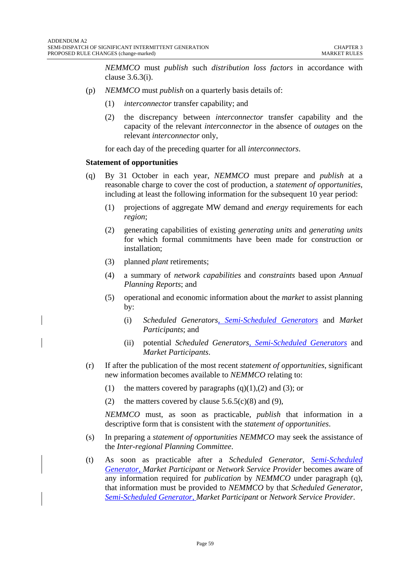*NEMMCO* must *publish* such *distribution loss factors* in accordance with clause 3.6.3(i).

- (p) *NEMMCO* must *publish* on a quarterly basis details of:
	- (1) *interconnector* transfer capability; and
	- (2) the discrepancy between *interconnector* transfer capability and the capacity of the relevant *interconnector* in the absence of *outages* on the relevant *interconnector* only,

for each day of the preceding quarter for all *interconnectors*.

#### **Statement of opportunities**

- (q) By 31 October in each year, *NEMMCO* must prepare and *publish* at a reasonable charge to cover the cost of production, a *statement of opportunities*, including at least the following information for the subsequent 10 year period:
	- (1) projections of aggregate MW demand and *energy* requirements for each *region*;
	- (2) generating capabilities of existing *generating units* and *generating units*  for which formal commitments have been made for construction or installation;
	- (3) planned *plant* retirements;
	- (4) a summary of *network capabilities* and *constraints* based upon *Annual Planning Reports*; and
	- (5) operational and economic information about the *market* to assist planning by:
		- (i) *Scheduled Generators, Semi-Scheduled Generators* and *Market Participants*; and
		- (ii) potential *Scheduled Generators, Semi-Scheduled Generators* and *Market Participants*.
- (r) If after the publication of the most recent *statement of opportunities*, significant new information becomes available to *NEMMCO* relating to:
	- (1) the matters covered by paragraphs  $(q)(1),(2)$  and  $(3)$ ; or
	- (2) the matters covered by clause  $5.6.5(c)(8)$  and (9),

*NEMMCO* must, as soon as practicable, *publish* that information in a descriptive form that is consistent with the *statement of opportunities*.

- (s) In preparing a *statement of opportunities NEMMCO* may seek the assistance of the *Inter-regional Planning Committee*.
- (t) As soon as practicable after a *Scheduled Generator, Semi-Scheduled Generator, Market Participant* or *Network Service Provider* becomes aware of any information required for *publication* by *NEMMCO* under paragraph (q), that information must be provided to *NEMMCO* by that *Scheduled Generator, Semi-Scheduled Generator, Market Participant* or *Network Service Provider*.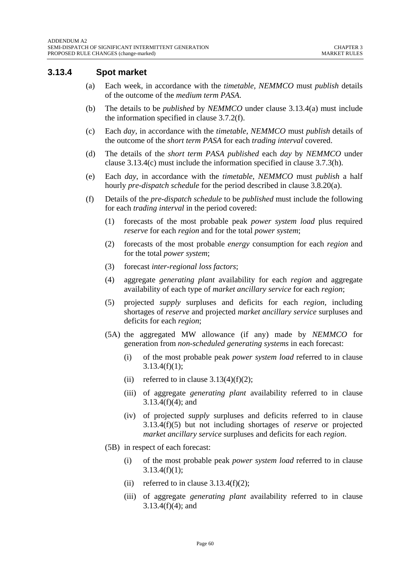#### **3.13.4 Spot market**

- (a) Each week, in accordance with the *timetable, NEMMCO* must *publish* details of the outcome of the *medium term PASA*.
- (b) The details to be *published* by *NEMMCO* under clause 3.13.4(a) must include the information specified in clause 3.7.2(f).
- (c) Each *day*, in accordance with the *timetable*, *NEMMCO* must *publish* details of the outcome of the *short term PASA* for each *trading interval* covered.
- (d) The details of the *short term PASA published* each *day* by *NEMMCO* under clause 3.13.4(c) must include the information specified in clause 3.7.3(h).
- (e) Each *day*, in accordance with the *timetable*, *NEMMCO* must *publish* a half hourly *pre-dispatch schedule* for the period described in clause 3.8.20(a).
- (f) Details of the *pre-dispatch schedule* to be *published* must include the following for each *trading interval* in the period covered:
	- (1) forecasts of the most probable peak *power system load* plus required *reserve* for each *region* and for the total *power system*;
	- (2) forecasts of the most probable *energy* consumption for each *region* and for the total *power system*;
	- (3) forecast *inter-regional loss factors*;
	- (4) aggregate *generating plant* availability for each *region* and aggregate availability of each type of *market ancillary service* for each *region*;
	- (5) projected *supply* surpluses and deficits for each *region*, including shortages of *reserve* and projected *market ancillary service* surpluses and deficits for each *region*;
	- (5A) the aggregated MW allowance (if any) made by *NEMMCO* for generation from *non-scheduled generating systems* in each forecast:
		- (i) of the most probable peak *power system load* referred to in clause  $3.13.4(f)(1)$ ;
		- (ii) referred to in clause  $3.13(4)(f)(2)$ ;
		- (iii) of aggregate *generating plant* availability referred to in clause 3.13.4(f)(4); and
		- (iv) of projected *supply* surpluses and deficits referred to in clause 3.13.4(f)(5) but not including shortages of *reserve* or projected *market ancillary service* surpluses and deficits for each *region*.
	- (5B) in respect of each forecast:
		- (i) of the most probable peak *power system load* referred to in clause  $3.13.4(f)(1);$
		- (ii) referred to in clause  $3.13.4(f)(2)$ ;
		- (iii) of aggregate *generating plant* availability referred to in clause 3.13.4(f)(4); and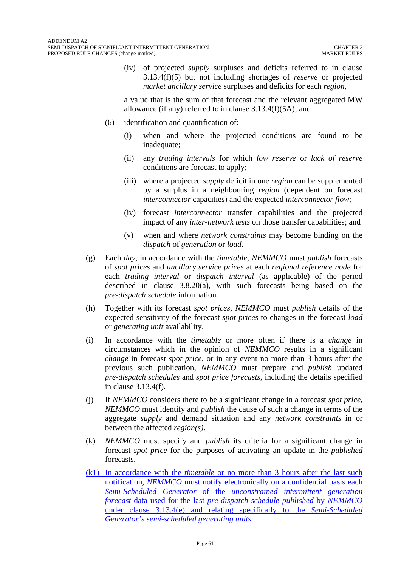(iv) of projected *supply* surpluses and deficits referred to in clause 3.13.4(f)(5) but not including shortages of *reserve* or projected *market ancillary service* surpluses and deficits for each *region*,

a value that is the sum of that forecast and the relevant aggregated MW allowance (if any) referred to in clause 3.13.4(f)(5A); and

- (6) identification and quantification of:
	- (i) when and where the projected conditions are found to be inadequate;
	- (ii) any *trading intervals* for which *low reserve* or *lack of reserve*  conditions are forecast to apply;
	- (iii) where a projected *supply* deficit in one *region* can be supplemented by a surplus in a neighbouring *region* (dependent on forecast *interconnector* capacities) and the expected *interconnector flow*;
	- (iv) forecast *interconnector* transfer capabilities and the projected impact of any *inter-network tests* on those transfer capabilities; and
	- (v) when and where *network constraints* may become binding on the *dispatch* of *generation* or *load*.
- (g) Each *day*, in accordance with the *timetable*, *NEMMCO* must *publish* forecasts of *spot prices* and *ancillary service prices* at each *regional reference node* for each *trading interval* or *dispatch interval* (as applicable) of the period described in clause 3.8.20(a), with such forecasts being based on the *pre-dispatch schedule* information.
- (h) Together with its forecast *spot prices*, *NEMMCO* must *publish* details of the expected sensitivity of the forecast *spot prices* to changes in the forecast *load* or *generating unit* availability.
- (i) In accordance with the *timetable* or more often if there is a *change* in circumstances which in the opinion of *NEMMCO* results in a significant *change* in forecast *spot price*, or in any event no more than 3 hours after the previous such publication, *NEMMCO* must prepare and *publish* updated *pre-dispatch schedules* and *spot price forecasts*, including the details specified in clause 3.13.4(f).
- (j) If *NEMMCO* considers there to be a significant change in a forecast *spot price*, *NEMMCO* must identify and *publish* the cause of such a change in terms of the aggregate *supply* and demand situation and any *network constraints* in or between the affected *region(s)*.
- (k) *NEMMCO* must specify and *publish* its criteria for a significant change in forecast *spot price* for the purposes of activating an update in the *published* forecasts.
- (k1) In accordance with the *timetable* or no more than 3 hours after the last such notification, *NEMMCO* must notify electronically on a confidential basis each *Semi-Scheduled Generator* of the *unconstrained intermittent generation forecast* data used for the last *pre-dispatch schedule published* by *NEMMCO*  under clause 3.13.4(e) and relating specifically to the *Semi-Scheduled Generator's semi-scheduled generating units*.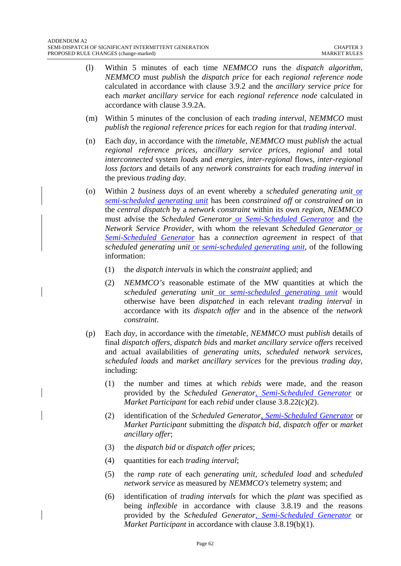- (l) Within 5 minutes of each time *NEMMCO* runs the *dispatch algorithm*, *NEMMCO* must *publish* the *dispatch price* for each *regional reference node* calculated in accordance with clause 3.9.2 and the *ancillary service price* for each *market ancillary service* for each *regional reference node* calculated in accordance with clause 3.9.2A.
- (m) Within 5 minutes of the conclusion of each *trading interval, NEMMCO* must *publish* the *regional reference prices* for each *region* for that *trading interval*.
- (n) Each *day*, in accordance with the *timetable*, *NEMMCO* must *publish* the actual *regional reference prices*, *ancillary service prices*, *regional* and total *interconnected* system *loads* and *energies*, *inter-regional* flows, *inter-regional loss factors* and details of any *network constraints* for each *trading interval* in the previous *trading day*.
- (o) Within 2 *business days* of an event whereby a *scheduled generating unit* or *semi-scheduled generating unit* has been *constrained off* or *constrained on* in the *central dispatch* by a *network constraint* within its own *region*, *NEMMCO* must advise the *Scheduled Generator* or *Semi-Scheduled Generator* and the *Network Service Provider*, with whom the relevant *Scheduled Generator* or *Semi-Scheduled Generator* has a *connection agreement* in respect of that *scheduled generating unit* or *semi-scheduled generating unit*, of the following information:
	- (1) the *dispatch intervals* in which the *constraint* applied; and
	- (2) *NEMMCO's* reasonable estimate of the MW quantities at which the *scheduled generating unit* or *semi-scheduled generating unit* would otherwise have been *dispatched* in each relevant *trading interval* in accordance with its *dispatch offer* and in the absence of the *network constraint*.
- (p) Each *day*, in accordance with the *timetable*, *NEMMCO* must *publish* details of final *dispatch offers*, *dispatch bids* and *market ancillary service offers* received and actual availabilities of *generating units*, *scheduled network services*, *scheduled loads* and *market ancillary services* for the previous *trading day*, including:
	- (1) the number and times at which *rebids* were made, and the reason provided by the *Scheduled Generator*, *Semi-Scheduled Generator* or *Market Participant* for each *rebid* under clause 3.8.22(c)(2).
	- (2) identification of the *Scheduled Generator*, *Semi-Scheduled Generator* or *Market Participant* submitting the *dispatch bid, dispatch offer* or *market ancillary offer*;
	- (3) the *dispatch bid* or *dispatch offer prices*;
	- (4) quantities for each *trading interval*;
	- (5) the *ramp rate* of each *generating unit*, *scheduled load* and *scheduled network service* as measured by *NEMMCO's* telemetry system; and
	- (6) identification of *trading intervals* for which the *plant* was specified as being *inflexible* in accordance with clause 3.8.19 and the reasons provided by the *Scheduled Generator*, *Semi-Scheduled Generator* or *Market Participant* in accordance with clause 3.8.19(b)(1).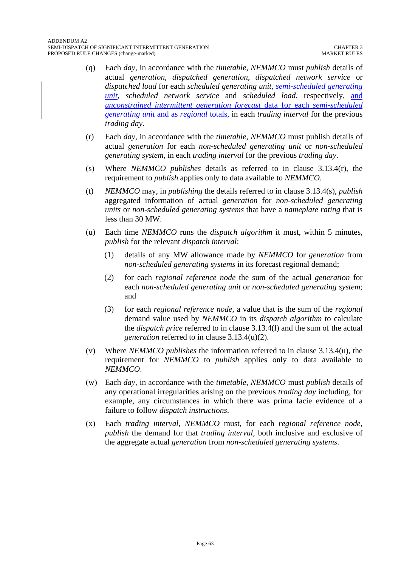- (q) Each *day*, in accordance with the *timetable*, *NEMMCO* must *publish* details of actual *generation*, *dispatched generation*, *dispatched network service* or *dispatched load* for each *scheduled generating unit*, *semi-scheduled generating unit*, *scheduled network service* and *scheduled load*, respectively, and *unconstrained intermittent generation forecast* data for each *semi-scheduled generating unit* and as *regional* totals, in each *trading interval* for the previous *trading day*.
- (r) Each *day*, in accordance with the *timetable*, *NEMMCO* must publish details of actual *generation* for each *non-scheduled generating unit* or *non-scheduled generating system*, in each *trading interval* for the previous *trading day*.
- (s) Where *NEMMCO publishes* details as referred to in clause 3.13.4(r), the requirement to *publish* applies only to data available to *NEMMCO*.
- (t) *NEMMCO* may, in *publishing* the details referred to in clause 3.13.4(s), *publish* aggregated information of actual *generation* for *non-scheduled generating units* or *non-scheduled generating systems* that have a *nameplate rating* that is less than 30 MW.
- (u) Each time *NEMMCO* runs the *dispatch algorithm* it must, within 5 minutes, *publish* for the relevant *dispatch interval*:
	- (1) details of any MW allowance made by *NEMMCO* for *generation* from *non-scheduled generating systems* in its forecast regional demand;
	- (2) for each *regional reference node* the sum of the actual *generation* for each *non-scheduled generating unit* or *non-scheduled generating system*; and
	- (3) for each *regional reference node*, a value that is the sum of the *regional* demand value used by *NEMMCO* in its *dispatch algorithm* to calculate the *dispatch price* referred to in clause 3.13.4(l) and the sum of the actual *generation* referred to in clause 3.13.4(u)(2).
- (v) Where *NEMMCO publishes* the information referred to in clause 3.13.4(u), the requirement for *NEMMCO* to *publish* applies only to data available to *NEMMCO*.
- (w) Each *day*, in accordance with the *timetable*, *NEMMCO* must *publish* details of any operational irregularities arising on the previous *trading day* including, for example, any circumstances in which there was prima facie evidence of a failure to follow *dispatch instructions*.
- (x) Each *trading interval*, *NEMMCO* must, for each *regional reference node*, *publish* the demand for that *trading interval*, both inclusive and exclusive of the aggregate actual *generation* from *non-scheduled generating systems*.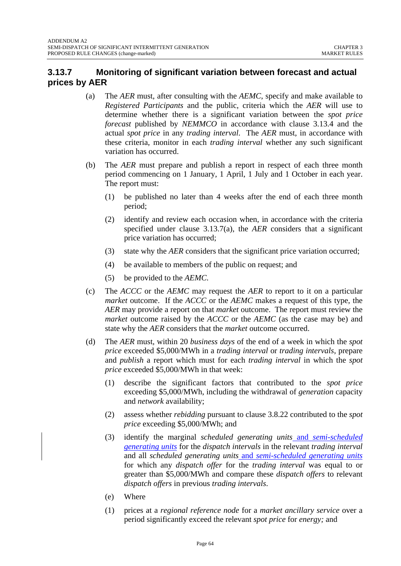## **3.13.7 Monitoring of significant variation between forecast and actual prices by AER**

- (a) The *AER* must, after consulting with the *AEMC*, specify and make available to *Registered Participants* and the public, criteria which the *AER* will use to determine whether there is a significant variation between the *spot price forecast* published by *NEMMCO* in accordance with clause 3.13.4 and the actual *spot price* in any *trading interval*. The *AER* must, in accordance with these criteria, monitor in each *trading interval* whether any such significant variation has occurred.
- (b) The *AER* must prepare and publish a report in respect of each three month period commencing on 1 January, 1 April, 1 July and 1 October in each year. The report must:
	- (1) be published no later than 4 weeks after the end of each three month period;
	- (2) identify and review each occasion when, in accordance with the criteria specified under clause 3.13.7(a), the *AER* considers that a significant price variation has occurred;
	- (3) state why the *AER* considers that the significant price variation occurred;
	- (4) be available to members of the public on request; and
	- (5) be provided to the *AEMC*.
- (c) The *ACCC* or the *AEMC* may request the *AER* to report to it on a particular *market* outcome. If the *ACCC* or the *AEMC* makes a request of this type, the *AER* may provide a report on that *market* outcome. The report must review the *market* outcome raised by the *ACCC* or the *AEMC* (as the case may be) and state why the *AER* considers that the *market* outcome occurred.
- (d) The *AER* must, within 20 *business days* of the end of a week in which the *spot price* exceeded \$5,000/MWh in a *trading interval* or *trading intervals*, prepare and *publish* a report which must for each *trading interval* in which the *spot price* exceeded \$5,000/MWh in that week:
	- (1) describe the significant factors that contributed to the *spot price* exceeding \$5,000/MWh, including the withdrawal of *generation* capacity and *network* availability;
	- (2) assess whether *rebidding* pursuant to clause 3.8.22 contributed to the *spot price* exceeding \$5,000/MWh; and
	- (3) identify the marginal *scheduled generating units* and *semi-scheduled generating units* for the *dispatch intervals* in the relevant *trading interval* and all *scheduled generating units* and *semi-scheduled generating units* for which any *dispatch offer* for the *trading interval* was equal to or greater than \$5,000/MWh and compare these *dispatch offers* to relevant *dispatch offers* in previous *trading intervals*.
	- (e) Where
	- (1) prices at a *regional reference node* for a *market ancillary service* over a period significantly exceed the relevant *spot price* for *energy;* and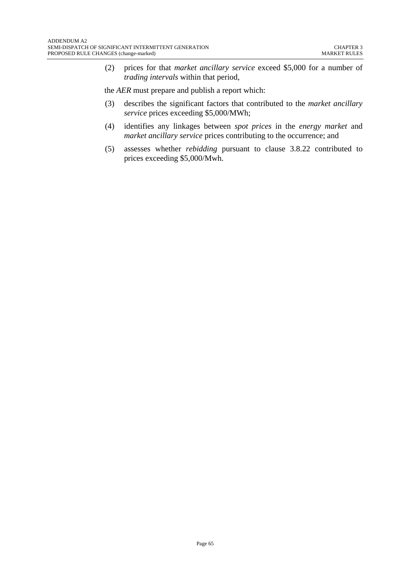(2) prices for that *market ancillary service* exceed \$5,000 for a number of *trading intervals* within that period,

the *AER* must prepare and publish a report which:

- (3) describes the significant factors that contributed to the *market ancillary service* prices exceeding \$5,000/MWh;
- (4) identifies any linkages between *spot prices* in the *energy market* and *market ancillary service* prices contributing to the occurrence; and
- (5) assesses whether *rebidding* pursuant to clause 3.8.22 contributed to prices exceeding \$5,000/Mwh.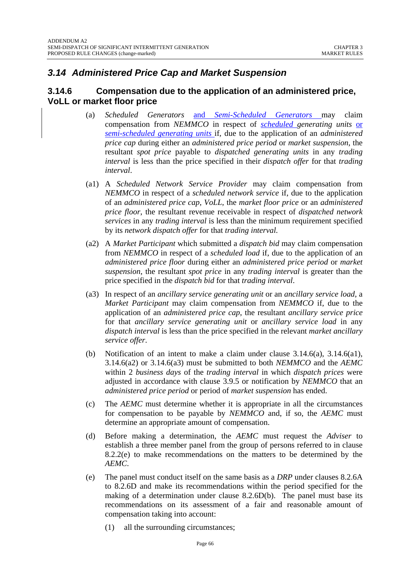# *3.14 Administered Price Cap and Market Suspension*

#### **3.14.6 Compensation due to the application of an administered price, VoLL or market floor price**

- (a) *Scheduled Generators* and *Semi-Scheduled Generators* may claim compensation from *NEMMCO* in respect of *scheduled generating units* or *semi-scheduled generating units* if, due to the application of an *administered price cap* during either an *administered price period* or *market suspension*, the resultant *spot price* payable to *dispatched generating units* in any *trading interval* is less than the price specified in their *dispatch offer* for that *trading interval*.
- (a1) A *Scheduled Network Service Provider* may claim compensation from *NEMMCO* in respect of a *scheduled network service* if, due to the application of an *administered price cap*, *VoLL*, the *market floor price* or an *administered price floor*, the resultant revenue receivable in respect of *dispatched network services* in any *trading interval* is less than the minimum requirement specified by its *network dispatch offer* for that *trading interval.*
- (a2) A *Market Participant* which submitted a *dispatch bid* may claim compensation from *NEMMCO* in respect of a *scheduled load* if, due to the application of an *administered price floor* during either an *administered price period* or *market suspension*, the resultant *spot price* in any *trading interval* is greater than the price specified in the *dispatch bid* for that *trading interval*.
- (a3) In respect of an *ancillary service generating unit* or an *ancillary service load*, a *Market Participant* may claim compensation from *NEMMCO* if, due to the application of an *administered price cap*, the resultant *ancillary service price* for that *ancillary service generating unit* or *ancillary service load* in any *dispatch interval* is less than the price specified in the relevant *market ancillary service offer*.
- (b) Notification of an intent to make a claim under clause 3.14.6(a), 3.14.6(a1), 3.14.6(a2) or 3.14.6(a3) must be submitted to both *NEMMCO* and the *AEMC* within 2 *business days* of the *trading interval* in which *dispatch prices* were adjusted in accordance with clause 3.9.5 or notification by *NEMMCO* that an *administered price period* or period of *market suspension* has ended.
- (c) The *AEMC* must determine whether it is appropriate in all the circumstances for compensation to be payable by *NEMMCO* and, if so, the *AEMC* must determine an appropriate amount of compensation.
- (d) Before making a determination, the *AEMC* must request the *Adviser* to establish a three member panel from the group of persons referred to in clause 8.2.2(e) to make recommendations on the matters to be determined by the *AEMC*.
- (e) The panel must conduct itself on the same basis as a *DRP* under clauses 8.2.6A to 8.2.6D and make its recommendations within the period specified for the making of a determination under clause 8.2.6D(b). The panel must base its recommendations on its assessment of a fair and reasonable amount of compensation taking into account:
	- (1) all the surrounding circumstances;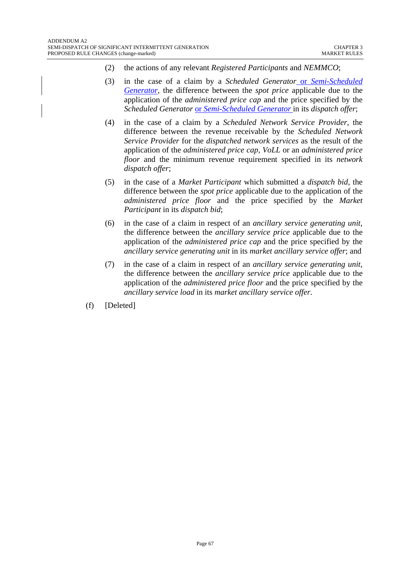- (2) the actions of any relevant *Registered Participants* and *NEMMCO*;
- (3) in the case of a claim by a *Scheduled Generator* or *Semi-Scheduled Generator*, the difference between the *spot price* applicable due to the application of the *administered price cap* and the price specified by the *Scheduled Generator* or *Semi-Scheduled Generator* in its *dispatch offer*;
- (4) in the case of a claim by a *Scheduled Network Service Provider*, the difference between the revenue receivable by the *Scheduled Network Service Provider* for the *dispatched network services* as the result of the application of the *administered price cap, VoLL* or an *administered price floor* and the minimum revenue requirement specified in its *network dispatch offer*;
- (5) in the case of a *Market Participant* which submitted a *dispatch bid,* the difference between the *spot price* applicable due to the application of the *administered price floor* and the price specified by the *Market Participant* in its *dispatch bid*;
- (6) in the case of a claim in respect of an *ancillary service generating unit*, the difference between the *ancillary service price* applicable due to the application of the *administered price cap* and the price specified by the *ancillary service generating unit* in its *market ancillary service offer*; and
- (7) in the case of a claim in respect of an *ancillary service generating unit*, the difference between the *ancillary service price* applicable due to the application of the *administered price floor* and the price specified by the *ancillary service load* in its *market ancillary service offer*.
- (f) [Deleted]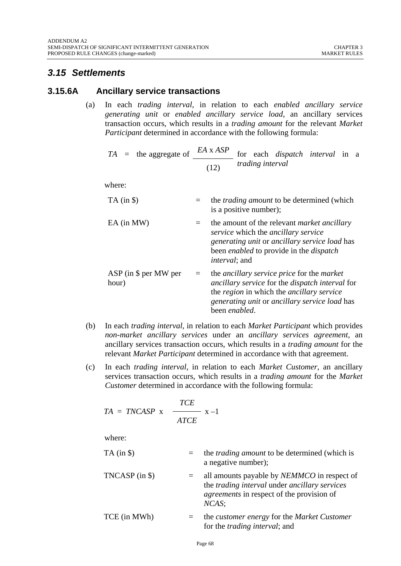## *3.15 Settlements*

#### **3.15.6A Ancillary service transactions**

(a) In each *trading interval,* in relation to each *enabled ancillary service generating unit* or *enabled ancillary service load*, an ancillary services transaction occurs, which results in a *trading amount* for the relevant *Market Participant* determined in accordance with the following formula:

$$
TA = the aggregate of \n\frac{EA \times ASP}{(12)} for each dispatch interval in a\ntrading interval
$$

where:

| $TA$ (in $\$ )                    |     | the <i>trading amount</i> to be determined (which<br>is a positive number);                                                                                                                                                              |
|-----------------------------------|-----|------------------------------------------------------------------------------------------------------------------------------------------------------------------------------------------------------------------------------------------|
| $EA$ (in MW)                      |     | the amount of the relevant <i>market ancillary</i><br>service which the ancillary service<br>generating unit or ancillary service load has<br>been <i>enabled</i> to provide in the <i>dispatch</i><br><i>interval</i> ; and             |
| $ASP$ (in $$$ per MW per<br>hour) | $=$ | the <i>ancillary service price</i> for the <i>market</i><br>ancillary service for the dispatch interval for<br>the <i>region</i> in which the <i>ancillary service</i><br>generating unit or ancillary service load has<br>been enabled. |

- (b) In each *trading interval,* in relation to each *Market Participant* which provides *non-market ancillary services* under an *ancillary services agreement,* an ancillary services transaction occurs, which results in a *trading amount* for the relevant *Market Participant* determined in accordance with that agreement.
- (c) In each *trading interval*, in relation to each *Market Customer*, an ancillary services transaction occurs, which results in a *trading amount* for the *Market Customer* determined in accordance with the following formula:

$$
TA = TNCASP \times \frac{TCE}{ATCE} \times -1
$$

| $TA$ (in \$)     | $=$ | the <i>trading amount</i> to be determined (which is<br>a negative number);                                                                                                    |
|------------------|-----|--------------------------------------------------------------------------------------------------------------------------------------------------------------------------------|
| $TNCASP$ (in \$) |     | all amounts payable by <i>NEMMCO</i> in respect of<br>the <i>trading interval</i> under <i>ancillary services</i><br><i>agreements</i> in respect of the provision of<br>NCAS: |
| TCE (in MWh)     | $=$ | the <i>customer</i> energy for the <i>Market Customer</i><br>for the <i>trading interval</i> ; and                                                                             |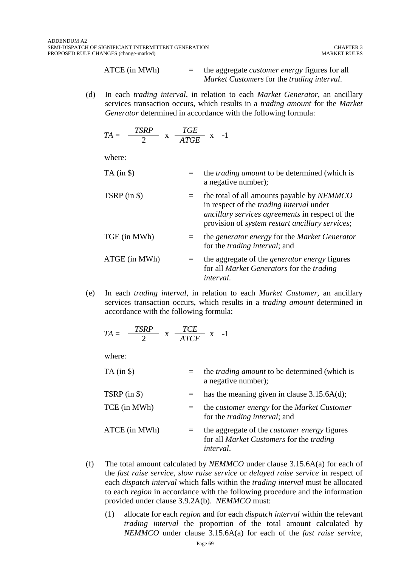ATCE (in MWh) = the aggregate *customer energy* figures for all *Market Customers* for the *trading interval*.

(d) In each *trading interval*, in relation to each *Market Generator,* an ancillary services transaction occurs, which results in a *trading amount* for the *Market Generator* determined in accordance with the following formula:

$$
TA = \frac{TSRP}{2} \times \frac{TGE}{ATGE} \times -1
$$

where:

| $TA$ (in $\$ ) | the <i>trading amount</i> to be determined (which is<br>a negative number);                                                                                                                                 |
|----------------|-------------------------------------------------------------------------------------------------------------------------------------------------------------------------------------------------------------|
| $TSRP$ (in \$) | the total of all amounts payable by NEMMCO<br>in respect of the <i>trading interval</i> under<br>ancillary services agreements in respect of the<br>provision of <i>system restart ancillary services</i> ; |
| TGE (in MWh)   | the generator energy for the Market Generator<br>for the <i>trading interval</i> ; and                                                                                                                      |
| ATGE (in MWh)  | the aggregate of the <i>generator energy</i> figures<br>for all <i>Market Generators</i> for the <i>trading</i><br><i>interval.</i>                                                                         |

(e) In each *trading interval*, in relation to each *Market Customer,* an ancillary services transaction occurs, which results in a *trading amount* determined in accordance with the following formula:

$$
TA = \frac{TSRP}{2} \times \frac{TCE}{ATCE} \times -1
$$

| $TA$ (in $\$\$ ) | $=$     | the <i>trading amount</i> to be determined (which is<br>a negative number);                                         |
|------------------|---------|---------------------------------------------------------------------------------------------------------------------|
| TSRP $(in $)$    |         | has the meaning given in clause $3.15.6A(d)$ ;                                                                      |
| TCE (in MWh)     | $=$ $-$ | the <i>customer</i> energy for the <i>Market Customer</i><br>for the <i>trading interval</i> ; and                  |
| ATCE (in MWh)    | $=$     | the aggregate of the <i>customer energy</i> figures<br>for all Market Customers for the trading<br><i>interval.</i> |

- (f) The total amount calculated by *NEMMCO* under clause 3.15.6A(a) for each of the *fast raise service, slow raise service* or *delayed raise service* in respect of each *dispatch interval* which falls within the *trading interval* must be allocated to each *region* in accordance with the following procedure and the information provided under clause 3.9.2A(b). *NEMMCO* must:
	- (1) allocate for each *region* and for each *dispatch interval* within the relevant *trading interval* the proportion of the total amount calculated by *NEMMCO* under clause 3.15.6A(a) for each of the *fast raise service,*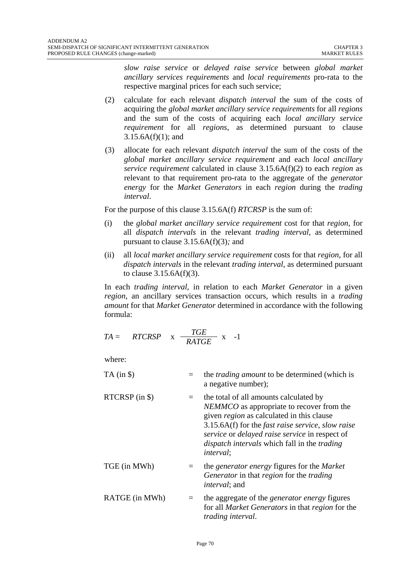*slow raise service* or *delayed raise service* between *global market ancillary services requirements* and *local requirements* pro-rata to the respective marginal prices for each such service;

- (2) calculate for each relevant *dispatch interval* the sum of the costs of acquiring the *global market ancillary service requirements* for all *regions* and the sum of the costs of acquiring each *local ancillary service requirement* for all *regions*, as determined pursuant to clause  $3.15.6A(f)(1)$ ; and
- (3) allocate for each relevant *dispatch interval* the sum of the costs of the *global market ancillary service requirement* and each *local ancillary service requirement* calculated in clause 3.15.6A(f)(2) to each *region* as relevant to that requirement pro-rata to the aggregate of the *generator energy* for the *Market Generators* in each *region* during the *trading interval*.

For the purpose of this clause 3.15.6A(f) *RTCRSP* is the sum of:

- (i) the *global market ancillary service requirement* cost for that *region*, for all *dispatch intervals* in the relevant *trading interval*, as determined pursuant to clause 3.15.6A(f)(3)*;* and
- (ii) all *local market ancillary service requirement* costs for that *region*, for all *dispatch intervals* in the relevant *trading interval*, as determined pursuant to clause  $3.15.6A(f)(3)$ .

In each *trading interval*, in relation to each *Market Generator* in a given *region*, an ancillary services transaction occurs, which results in a *trading amount* for that *Market Generator* determined in accordance with the following formula:

$$
TA = RTCRSP \times \frac{TGE}{RATGE} \times -1
$$

| $TA$ (in $\$ ) |     | the <i>trading amount</i> to be determined (which is<br>a negative number);                                                                                                                                                                                                                                                                               |
|----------------|-----|-----------------------------------------------------------------------------------------------------------------------------------------------------------------------------------------------------------------------------------------------------------------------------------------------------------------------------------------------------------|
| RTCRSP (in \$) | $=$ | the total of all amounts calculated by<br><i>NEMMCO</i> as appropriate to recover from the<br>given <i>region</i> as calculated in this clause<br>$3.15.6A(f)$ for the <i>fast raise service</i> , <i>slow raise</i><br><i>service</i> or <i>delayed raise service</i> in respect of<br>dispatch intervals which fall in the trading<br><i>interval</i> ; |
| TGE (in MWh)   |     | the <i>generator</i> energy figures for the <i>Market</i><br>Generator in that region for the trading<br><i>interval</i> ; and                                                                                                                                                                                                                            |
| RATGE (in MWh) | $=$ | the aggregate of the <i>generator energy</i> figures<br>for all Market Generators in that region for the<br><i>trading interval.</i>                                                                                                                                                                                                                      |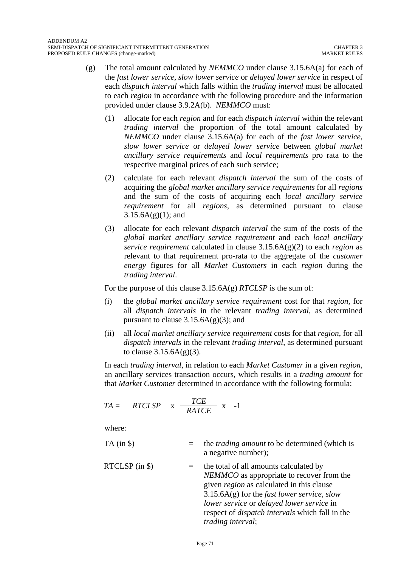- (g) The total amount calculated by *NEMMCO* under clause 3.15.6A(a) for each of the *fast lower service*, *slow lower service* or *delayed lower service* in respect of each *dispatch interval* which falls within the *trading interval* must be allocated to each *region* in accordance with the following procedure and the information provided under clause 3.9.2A(b). *NEMMCO* must:
	- (1) allocate for each *region* and for each *dispatch interval* within the relevant *trading interval* the proportion of the total amount calculated by *NEMMCO* under clause 3.15.6A(a) for each of the *fast lower service*, *slow lower service* or *delayed lower service* between *global market ancillary service requirements* and *local requirements* pro rata to the respective marginal prices of each such service;
	- (2) calculate for each relevant *dispatch interval* the sum of the costs of acquiring the *global market ancillary service requirements* for all *regions* and the sum of the costs of acquiring each *local ancillary service requirement* for all *regions*, as determined pursuant to clause  $3.15.6A(g)(1)$ ; and
	- (3) allocate for each relevant *dispatch interval* the sum of the costs of the *global market ancillary service requirement* and each *local ancillary service requirement* calculated in clause 3.15.6A(g)(2) to each *region* as relevant to that requirement pro-rata to the aggregate of the *customer energy* figures for all *Market Customers* in each *region* during the *trading interval*.

For the purpose of this clause 3.15.6A(g) *RTCLSP* is the sum of:

- (i) the *global market ancillary service requirement* cost for that *region*, for all *dispatch intervals* in the relevant *trading interval*, as determined pursuant to clause  $3.15.6A(g)(3)$ ; and
- (ii) all *local market ancillary service requirement* costs for that *region*, for all *dispatch intervals* in the relevant *trading interval*, as determined pursuant to clause  $3.15.6A(g)(3)$ .

In each *trading interval*, in relation to each *Market Customer* in a given *region,* an ancillary services transaction occurs, which results in a *trading amount* for that *Market Customer* determined in accordance with the following formula:

$$
TA = RTCLSP \times \frac{TCE}{RATCE} \times -1
$$

- TA (in \$) = the *trading amount* to be determined (which is a negative number);
- RTCLSP (in  $\$$ )  $=$  the total of all amounts calculated by *NEMMCO* as appropriate to recover from the given *region* as calculated in this clause 3.15.6A(g) for the *fast lower service, slow lower service* or *delayed lower service* in respect of *dispatch intervals* which fall in the *trading interval*;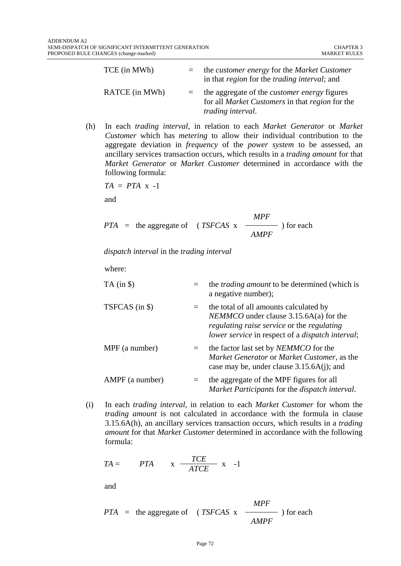| TCE (in MWh)   | the <i>customer</i> energy for the <i>Market Customer</i><br>in that <i>region</i> for the <i>trading interval</i> ; and    |
|----------------|-----------------------------------------------------------------------------------------------------------------------------|
| RATCE (in MWh) | the aggregate of the <i>customer energy</i> figures<br>for all Market Customers in that region for the<br>trading interval. |

(h) In each *trading interval*, in relation to each *Market Generator* or *Market Customer* which has *metering* to allow their individual contribution to the aggregate deviation in *frequency* of the *power system* to be assessed*,* an ancillary services transaction occurs, which results in a *trading amount* for that *Market Generator* or *Market Customer* determined in accordance with the following formula:

$$
TA = PTA \times -1
$$

and

$$
PTA = \text{the aggregate of } (TSFCAS \times \frac{MPF}{AMPF}) \text{ for each}
$$

*dispatch interval* in the *trading interval*

where:

| $TA$ (in $\$\$ ) | $=$ | the <i>trading amount</i> to be determined (which is<br>a negative number);                                                                                                                                |
|------------------|-----|------------------------------------------------------------------------------------------------------------------------------------------------------------------------------------------------------------|
| TSFCAS (in \$)   | $=$ | the total of all amounts calculated by<br><i>NEMMCO</i> under clause $3.15.6A(a)$ for the<br>regulating raise service or the regulating<br><i>lower service</i> in respect of a <i>dispatch interval</i> ; |
| MPF (a number)   | $=$ | the factor last set by <i>NEMMCO</i> for the<br>Market Generator or Market Customer, as the<br>case may be, under clause $3.15.6A(i)$ ; and                                                                |
| AMPF (a number)  | $=$ | the aggregate of the MPF figures for all<br>Market Participants for the dispatch interval.                                                                                                                 |

(i) In each *trading interval*, in relation to each *Market Customer* for whom the *trading amount* is not calculated in accordance with the formula in clause 3.15.6A(h)*,* an ancillary services transaction occurs, which results in a *trading amount* for that *Market Customer* determined in accordance with the following formula:

$$
TA = \qquad PTA \qquad x \quad \frac{TCE}{ATCE} \quad x \quad -1
$$

and

$$
PTA = \text{the aggregate of } (TSFCAS \times \frac{MPF}{AMPF}) \text{ for each}
$$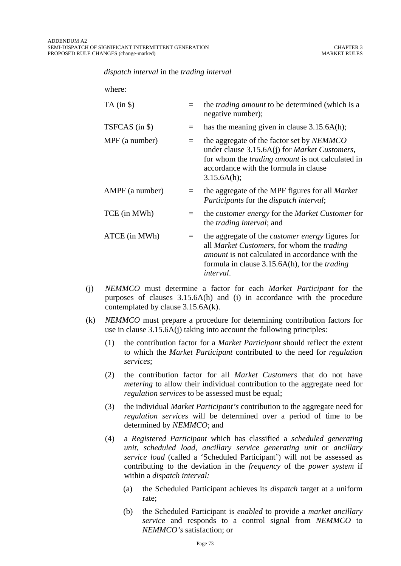whore.

*dispatch interval* in the *trading interval*

| $=$ | the <i>trading amount</i> to be determined (which is a<br>negative number);                                                                                                                                                                 |
|-----|---------------------------------------------------------------------------------------------------------------------------------------------------------------------------------------------------------------------------------------------|
| $=$ | has the meaning given in clause $3.15.6A(h)$ ;                                                                                                                                                                                              |
| $=$ | the aggregate of the factor set by <i>NEMMCO</i><br>under clause 3.15.6A(j) for <i>Market Customers</i> ,<br>for whom the <i>trading amount</i> is not calculated in<br>accordance with the formula in clause<br>3.15.6A(h);                |
| $=$ | the aggregate of the MPF figures for all <i>Market</i><br>Participants for the dispatch interval;                                                                                                                                           |
| $=$ | the <i>customer energy</i> for the <i>Market Customer</i> for<br>the <i>trading interval</i> ; and                                                                                                                                          |
| $=$ | the aggregate of the <i>customer energy</i> figures for<br>all Market Customers, for whom the trading<br><i>amount</i> is not calculated in accordance with the<br>formula in clause 3.15.6A(h), for the <i>trading</i><br><i>interval.</i> |
|     |                                                                                                                                                                                                                                             |

- (j) *NEMMCO* must determine a factor for each *Market Participant* for the purposes of clauses 3.15.6A(h) and (i) in accordance with the procedure contemplated by clause 3.15.6A(k).
- (k) *NEMMCO* must prepare a procedure for determining contribution factors for use in clause 3.15.6A(j) taking into account the following principles:
	- (1) the contribution factor for a *Market Participant* should reflect the extent to which the *Market Participant* contributed to the need for *regulation services*;
	- (2) the contribution factor for all *Market Customers* that do not have *metering* to allow their individual contribution to the aggregate need for *regulation services* to be assessed must be equal;
	- (3) the individual *Market Participant's* contribution to the aggregate need for *regulation services* will be determined over a period of time to be determined by *NEMMCO*; and
	- (4) a *Registered Participant* which has classified a *scheduled generating unit*, *scheduled load, ancillary service generating unit* or *ancillary service load* (called a 'Scheduled Participant') will not be assessed as contributing to the deviation in the *frequency* of the *power system* if within a *dispatch interval:* 
		- (a) the Scheduled Participant achieves its *dispatch* target at a uniform rate;
		- (b) the Scheduled Participant is *enabled* to provide a *market ancillary service* and responds to a control signal from *NEMMCO* to *NEMMCO's* satisfaction; or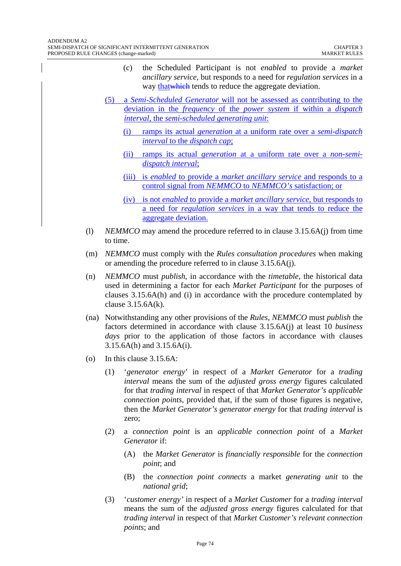- (c) the Scheduled Participant is not *enabled* to provide a *market ancillary service*, but responds to a need for *regulation services* in a way that which tends to reduce the aggregate deviation.
- (5) a *Semi-Scheduled Generator* will not be assessed as contributing to the deviation in the *frequency* of the *power system* if within a *dispatch interval*, the *semi-scheduled generating unit*:
	- (i) ramps its actual *generation* at a uniform rate over a *semi-dispatch interval* to the *dispatch cap*;
	- (ii) ramps its actual *generation* at a uniform rate over a *non-semidispatch interval*;
	- (iii) is *enabled* to provide a *market ancillary service* and responds to a control signal from *NEMMCO* to *NEMMCO's* satisfaction; or
	- (iv) is not *enabled* to provide a *market ancillary service*, but responds to a need for *regulation services* in a way that tends to reduce the aggregate deviation.
- (l) *NEMMCO* may amend the procedure referred to in clause 3.15.6A(j) from time to time.
- (m) *NEMMCO* must comply with the *Rules consultation procedures* when making or amending the procedure referred to in clause 3.15.6A(j).
- (n) *NEMMCO* must *publish*, in accordance with the *timetable*, the historical data used in determining a factor for each *Market Participant* for the purposes of clauses 3.15.6A(h) and (i) in accordance with the procedure contemplated by clause 3.15.6A(k).
- (na) Notwithstanding any other provisions of the *Rules*, *NEMMCO* must *publish* the factors determined in accordance with clause 3.15.6A(j) at least 10 *business days* prior to the application of those factors in accordance with clauses 3.15.6A(h) and 3.15.6A(i).
- (o) In this clause 3.15.6A:
	- (1) '*generator energy*' in respect of a *Market Generator* for a *trading interval* means the sum of the *adjusted gross energy* figures calculated for that *trading interval* in respect of that *Market Generator's applicable connection points*, provided that, if the sum of those figures is negative, then the *Market Generator's generator energy* for that *trading interval* is zero;
	- (2) a *connection point* is an *applicable connection point* of a *Market Generator* if:
		- (A) the *Market Generator* is *financially responsible* for the *connection point*; and
		- (B) the *connection point connects* a market *generating unit* to the *national grid*;
	- (3) '*customer energy'* in respect of a *Market Customer* for a *trading interval* means the sum of the *adjusted gross energy* figures calculated for that *trading interval* in respect of that *Market Customer's relevant connection points*; and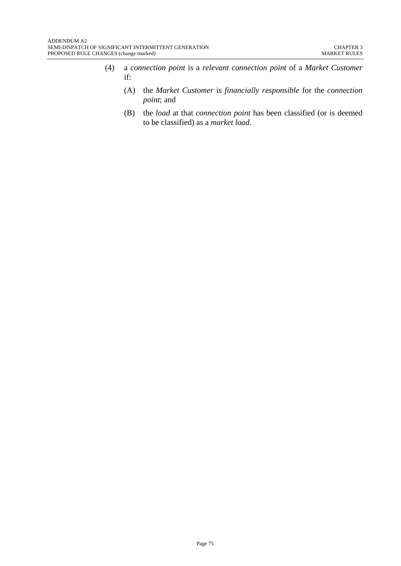- (4) a *connection point* is a *relevant connection point* of a *Market Customer* if:
	- (A) the *Market Customer* is *financially responsible* for the *connection point*; and
	- (B) the *load* at that *connection point* has been classified (or is deemed to be classified) as a *market load*.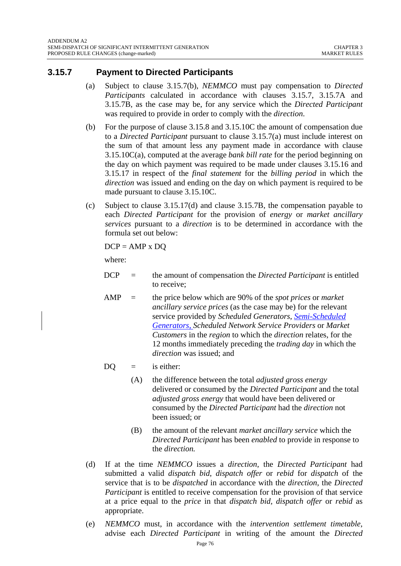#### **3.15.7 Payment to Directed Participants**

- (a) Subject to clause 3.15.7(b), *NEMMCO* must pay compensation to *Directed Participants* calculated in accordance with clauses 3.15.7, 3.15.7A and 3.15.7B, as the case may be, for any service which the *Directed Participant*  was required to provide in order to comply with the *direction*.
- (b) For the purpose of clause 3.15.8 and 3.15.10C the amount of compensation due to a *Directed Participant* pursuant to clause 3.15.7(a) must include interest on the sum of that amount less any payment made in accordance with clause 3.15.10C(a), computed at the average *bank bill rate* for the period beginning on the day on which payment was required to be made under clauses 3.15.16 and 3.15.17 in respect of the *final statement* for the *billing period* in which the *direction* was issued and ending on the day on which payment is required to be made pursuant to clause 3.15.10C.
- (c) Subject to clause 3.15.17(d) and clause 3.15.7B, the compensation payable to each *Directed Participant* for the provision of *energy* or *market ancillary services* pursuant to a *direction* is to be determined in accordance with the formula set out below:

$$
DCP = AMP \times DQ
$$

where:

- DCP = the amount of compensation the *Directed Participant* is entitled to receive;
- AMP = the price below which are 90% of the *spot prices* or *market ancillary service prices* (as the case may be) for the relevant service provided by *Scheduled Generators*, *Semi-Scheduled Generators*, *Scheduled Network Service Providers* or *Market Customers* in the *region* to which the *direction* relates, for the 12 months immediately preceding the *trading day* in which the *direction* was issued; and
- $DQ = i s$  either:
	- (A) the difference between the total *adjusted gross energy* delivered or consumed by the *Directed Participant* and the total *adjusted gross energy* that would have been delivered or consumed by the *Directed Participant* had the *direction* not been issued; or
	- (B) the amount of the relevant *market ancillary service* which the *Directed Participant* has been *enabled* to provide in response to the *direction.*
- (d) If at the time *NEMMCO* issues a *direction*, the *Directed Participant* had submitted a valid *dispatch bid*, *dispatch offer* or *rebid* for *dispatch* of the service that is to be *dispatched* in accordance with the *direction*, the *Directed Participant* is entitled to receive compensation for the provision of that service at a price equal to the *price* in that *dispatch bid, dispatch offer* or *rebid* as appropriate.
- (e) *NEMMCO* must, in accordance with the *intervention settlement timetable*, advise each *Directed Participant* in writing of the amount the *Directed*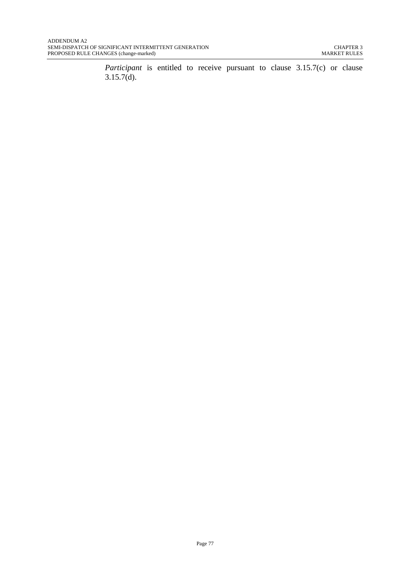*Participant* is entitled to receive pursuant to clause 3.15.7(c) or clause  $3.15.7(d)$ .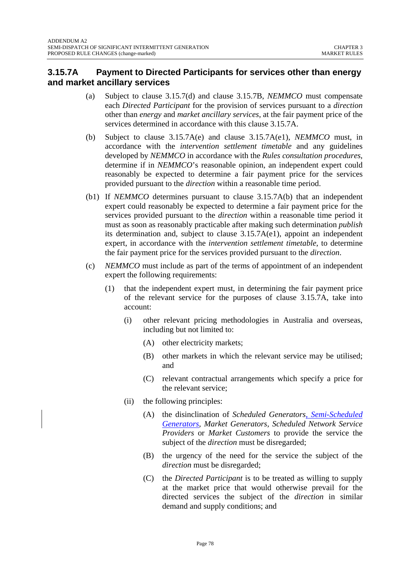### **3.15.7A Payment to Directed Participants for services other than energy and market ancillary services**

- (a) Subject to clause 3.15.7(d) and clause 3.15.7B, *NEMMCO* must compensate each *Directed Participant* for the provision of services pursuant to a *direction* other than *energy* and *market ancillary services*, at the fair payment price of the services determined in accordance with this clause 3.15.7A.
- (b) Subject to clause 3.15.7A(e) and clause 3.15.7A(e1), *NEMMCO* must, in accordance with the *intervention settlement timetable* and any guidelines developed by *NEMMCO* in accordance with the *Rules consultation procedures*, determine if in *NEMMCO*'s reasonable opinion, an independent expert could reasonably be expected to determine a fair payment price for the services provided pursuant to the *direction* within a reasonable time period.
- (b1) If *NEMMCO* determines pursuant to clause 3.15.7A(b) that an independent expert could reasonably be expected to determine a fair payment price for the services provided pursuant to the *direction* within a reasonable time period it must as soon as reasonably practicable after making such determination *publish* its determination and, subject to clause 3.15.7A(e1), appoint an independent expert, in accordance with the *intervention settlement timetable*, to determine the fair payment price for the services provided pursuant to the *direction*.
- (c) *NEMMCO* must include as part of the terms of appointment of an independent expert the following requirements:
	- (1) that the independent expert must, in determining the fair payment price of the relevant service for the purposes of clause 3.15.7A, take into account:
		- (i) other relevant pricing methodologies in Australia and overseas, including but not limited to:
			- (A) other electricity markets;
			- (B) other markets in which the relevant service may be utilised; and
			- (C) relevant contractual arrangements which specify a price for the relevant service;
		- (ii) the following principles:
			- (A) the disinclination of *Scheduled Generators*, *Semi-Scheduled Generators, Market Generators, Scheduled Network Service Providers* or *Market Customers* to provide the service the subject of the *direction* must be disregarded;
			- (B) the urgency of the need for the service the subject of the *direction* must be disregarded;
			- (C) the *Directed Participant* is to be treated as willing to supply at the market price that would otherwise prevail for the directed services the subject of the *direction* in similar demand and supply conditions; and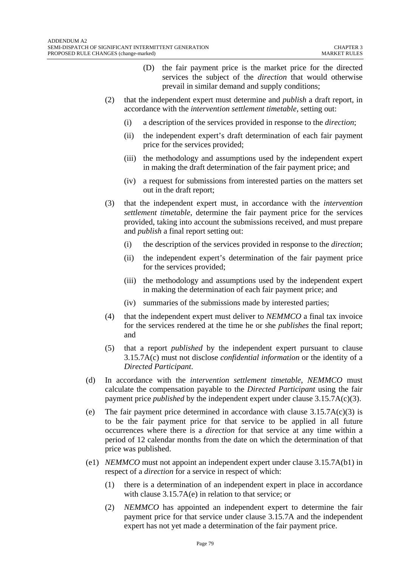- (D) the fair payment price is the market price for the directed services the subject of the *direction* that would otherwise prevail in similar demand and supply conditions;
- (2) that the independent expert must determine and *publish* a draft report, in accordance with the *intervention settlement timetable*, setting out:
	- (i) a description of the services provided in response to the *direction*;
	- (ii) the independent expert's draft determination of each fair payment price for the services provided;
	- (iii) the methodology and assumptions used by the independent expert in making the draft determination of the fair payment price; and
	- (iv) a request for submissions from interested parties on the matters set out in the draft report;
- (3) that the independent expert must, in accordance with the *intervention settlement timetable*, determine the fair payment price for the services provided, taking into account the submissions received, and must prepare and *publish* a final report setting out:
	- (i) the description of the services provided in response to the *direction*;
	- (ii) the independent expert's determination of the fair payment price for the services provided;
	- (iii) the methodology and assumptions used by the independent expert in making the determination of each fair payment price; and
	- (iv) summaries of the submissions made by interested parties;
- (4) that the independent expert must deliver to *NEMMCO* a final tax invoice for the services rendered at the time he or she *publishes* the final report; and
- (5) that a report *published* by the independent expert pursuant to clause 3.15.7A(c) must not disclose *confidential information* or the identity of a *Directed Participant*.
- (d) In accordance with the *intervention settlement timetable*, *NEMMCO* must calculate the compensation payable to the *Directed Participant* using the fair payment price *published* by the independent expert under clause 3.15.7A(c)(3).
- (e) The fair payment price determined in accordance with clause  $3.15.7A(c)(3)$  is to be the fair payment price for that service to be applied in all future occurrences where there is a *direction* for that service at any time within a period of 12 calendar months from the date on which the determination of that price was published.
- (e1) *NEMMCO* must not appoint an independent expert under clause 3.15.7A(b1) in respect of a *direction* for a service in respect of which:
	- (1) there is a determination of an independent expert in place in accordance with clause 3.15.7A(e) in relation to that service; or
	- (2) *NEMMCO* has appointed an independent expert to determine the fair payment price for that service under clause 3.15.7A and the independent expert has not yet made a determination of the fair payment price.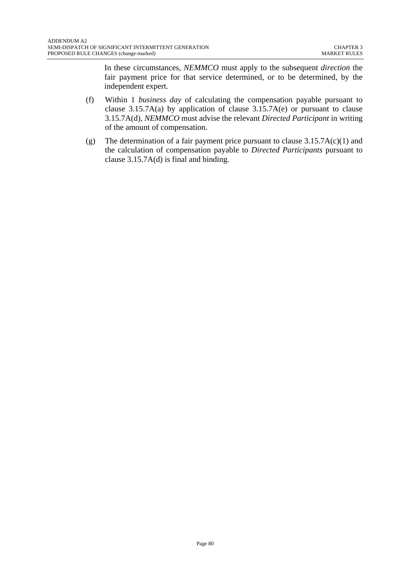In these circumstances, *NEMMCO* must apply to the subsequent *direction* the fair payment price for that service determined, or to be determined, by the independent expert.

- (f) Within 1 *business day* of calculating the compensation payable pursuant to clause  $3.15.7A(a)$  by application of clause  $3.15.7A(e)$  or pursuant to clause 3.15.7A(d), *NEMMCO* must advise the relevant *Directed Participant* in writing of the amount of compensation.
- (g) The determination of a fair payment price pursuant to clause  $3.15.7A(c)(1)$  and the calculation of compensation payable to *Directed Participants* pursuant to clause 3.15.7A(d) is final and binding.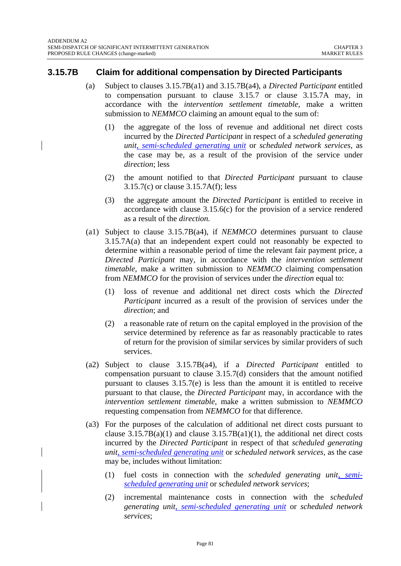#### **3.15.7B Claim for additional compensation by Directed Participants**

- (a) Subject to clauses 3.15.7B(a1) and 3.15.7B(a4), a *Directed Participant* entitled to compensation pursuant to clause 3.15.7 or clause 3.15.7A may, in accordance with the *intervention settlement timetable,* make a written submission to *NEMMCO* claiming an amount equal to the sum of:
	- (1) the aggregate of the loss of revenue and additional net direct costs incurred by the *Directed Participant* in respect of a *scheduled generating unit*, *semi-scheduled generating unit* or *scheduled network services*, as the case may be, as a result of the provision of the service under *direction*; less
	- (2) the amount notified to that *Directed Participant* pursuant to clause 3.15.7(c) or clause 3.15.7A(f); less
	- (3) the aggregate amount the *Directed Participant* is entitled to receive in accordance with clause 3.15.6(c) for the provision of a service rendered as a result of the *direction.*
- (a1) Subject to clause 3.15.7B(a4), if *NEMMCO* determines pursuant to clause 3.15.7A(a) that an independent expert could not reasonably be expected to determine within a reasonable period of time the relevant fair payment price, a *Directed Participant* may, in accordance with the *intervention settlement timetable*, make a written submission to *NEMMCO* claiming compensation from *NEMMCO* for the provision of services under the *direction* equal to:
	- (1) loss of revenue and additional net direct costs which the *Directed Participant* incurred as a result of the provision of services under the *direction*; and
	- (2) a reasonable rate of return on the capital employed in the provision of the service determined by reference as far as reasonably practicable to rates of return for the provision of similar services by similar providers of such services.
- (a2) Subject to clause 3.15.7B(a4), if a *Directed Participant* entitled to compensation pursuant to clause 3.15.7(d) considers that the amount notified pursuant to clauses 3.15.7(e) is less than the amount it is entitled to receive pursuant to that clause, the *Directed Participant* may, in accordance with the *intervention settlement timetable*, make a written submission to *NEMMCO* requesting compensation from *NEMMCO* for that difference.
- (a3) For the purposes of the calculation of additional net direct costs pursuant to clause  $3.15.7B(a)(1)$  and clause  $3.15.7B(a)(1)$ , the additional net direct costs incurred by the *Directed Participant* in respect of that *scheduled generating unit*, *semi-scheduled generating unit* or *scheduled network services,* as the case may be, includes without limitation:
	- (1) fuel costs in connection with the *scheduled generating unit*, *semischeduled generating unit* or *scheduled network services*;
	- (2) incremental maintenance costs in connection with the *scheduled generating unit*, *semi-scheduled generating unit* or *scheduled network services*;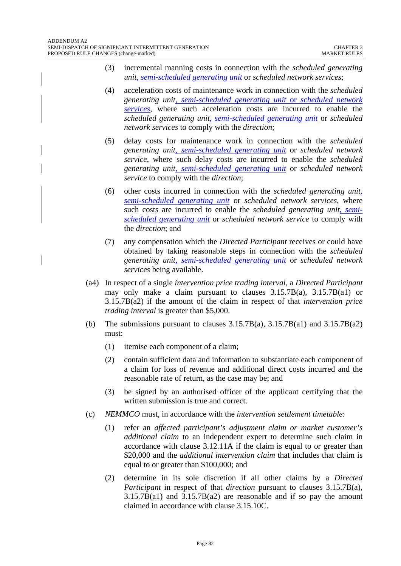- (3) incremental manning costs in connection with the *scheduled generating unit*, *semi-scheduled generating unit* or *scheduled network services*;
- (4) acceleration costs of maintenance work in connection with the *scheduled generating unit*, *semi-scheduled generating unit* or *scheduled network services,* where such acceleration costs are incurred to enable the *scheduled generating unit*, *semi-scheduled generating unit* or *scheduled network services* to comply with the *direction*;
- (5) delay costs for maintenance work in connection with the *scheduled generating unit*, *semi-scheduled generating unit* or *scheduled network service*, where such delay costs are incurred to enable the *scheduled generating unit*, *semi-scheduled generating unit* or *scheduled network service* to comply with the *direction*;
- (6) other costs incurred in connection with the *scheduled generating unit*, *semi-scheduled generating unit* or *scheduled network services*, where such costs are incurred to enable the *scheduled generating unit*, *semischeduled generating unit* or *scheduled network service* to comply with the *direction*; and
- (7) any compensation which the *Directed Participant* receives or could have obtained by taking reasonable steps in connection with the *scheduled generating unit*, *semi-scheduled generating unit* or *scheduled network services* being available.
- (a4) In respect of a single *intervention price trading interval,* a *Directed Participant* may only make a claim pursuant to clauses  $3.15.7B(a)$ ,  $3.15.7B(a1)$  or 3.15.7B(a2) if the amount of the claim in respect of that *intervention price trading interval* is greater than \$5,000.
- (b) The submissions pursuant to clauses  $3.15.7B(a)$ ,  $3.15.7B(a1)$  and  $3.15.7B(a2)$ must:
	- (1) itemise each component of a claim;
	- (2) contain sufficient data and information to substantiate each component of a claim for loss of revenue and additional direct costs incurred and the reasonable rate of return, as the case may be; and
	- (3) be signed by an authorised officer of the applicant certifying that the written submission is true and correct.
- (c) *NEMMCO* must, in accordance with the *intervention settlement timetable*:
	- (1) refer an *affected participant's adjustment claim or market customer's additional claim* to an independent expert to determine such claim in accordance with clause 3.12.11A if the claim is equal to or greater than \$20,000 and the *additional intervention claim* that includes that claim is equal to or greater than \$100,000; and
	- (2) determine in its sole discretion if all other claims by a *Directed Participant* in respect of that *direction* pursuant to clauses 3.15.7B(a),  $3.15.7B(a1)$  and  $3.15.7B(a2)$  are reasonable and if so pay the amount claimed in accordance with clause 3.15.10C.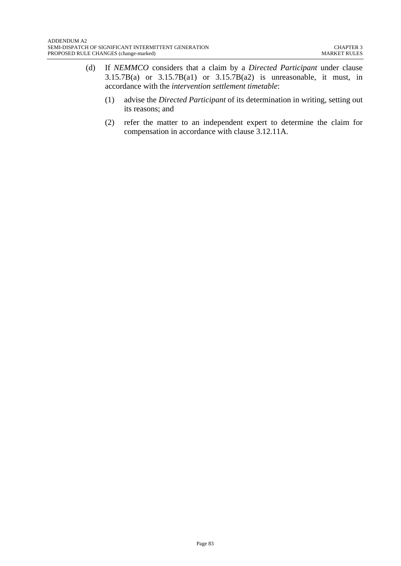- (d) If *NEMMCO* considers that a claim by a *Directed Participant* under clause 3.15.7B(a) or 3.15.7B(a1) or 3.15.7B(a2) is unreasonable, it must, in accordance with the *intervention settlement timetable*:
	- (1) advise the *Directed Participant* of its determination in writing, setting out its reasons; and
	- (2) refer the matter to an independent expert to determine the claim for compensation in accordance with clause 3.12.11A.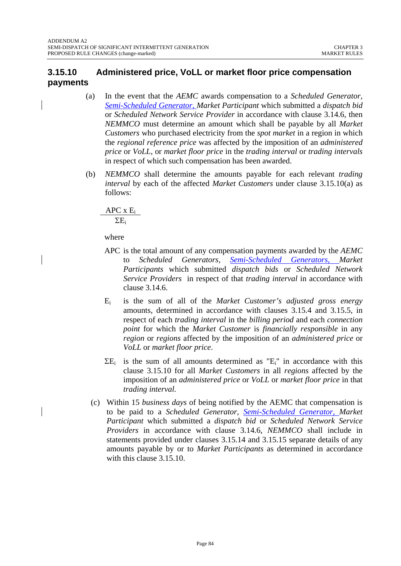## **3.15.10 Administered price, VoLL or market floor price compensation payments**

- (a) In the event that the *AEMC* awards compensation to a *Scheduled Generator, Semi-Scheduled Generator, Market Participant* which submitted a *dispatch bid* or *Scheduled Network Service Provider* in accordance with clause 3.14.6, then *NEMMCO* must determine an amount which shall be payable by all *Market Customers* who purchased electricity from the *spot market* in a region in which the *regional reference price* was affected by the imposition of an *administered price* or *VoLL*, or *market floor price* in the *trading interval* or *trading intervals* in respect of which such compensation has been awarded.
- (b) *NEMMCO* shall determine the amounts payable for each relevant *trading interval* by each of the affected *Market Customers* under clause 3.15.10(a) as follows:

APC x Ei

ΣEi

where

- APC is the total amount of any compensation payments awarded by the *AEMC* to *Scheduled Generators, Semi-Scheduled Generators, Market Participants* which submitted *dispatch bids* or *Scheduled Network Service Providers* in respect of that *trading interval* in accordance with clause 3.14.6.
- Ei is the sum of all of the *Market Customer's adjusted gross energy* amounts, determined in accordance with clauses 3.15.4 and 3.15.5, in respect of each *trading interval* in the *billing period* and each *connection point* for which the *Market Customer* is *financially responsible* in any *region* or *regions* affected by the imposition of an *administered price* or *VoLL* or *market floor price*.
- $\Sigma E_i$  is the sum of all amounts determined as " $E_i$ " in accordance with this clause 3.15.10 for all *Market Customers* in all *regions* affected by the imposition of an *administered price* or *VoLL* or *market floor price* in that *trading interval.*
- (c) Within 15 *business days* of being notified by the AEMC that compensation is to be paid to a *Scheduled Generator, Semi-Scheduled Generator, Market Participant* which submitted a *dispatch bid* or *Scheduled Network Service Providers* in accordance with clause 3.14.6, *NEMMCO* shall include in statements provided under clauses 3.15.14 and 3.15.15 separate details of any amounts payable by or to *Market Participants* as determined in accordance with this clause 3.15.10.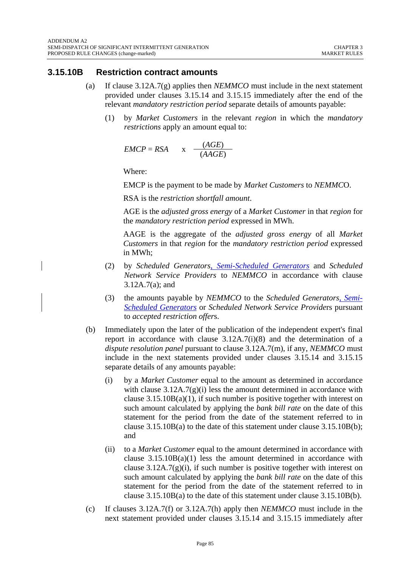#### **3.15.10B Restriction contract amounts**

- (a) If clause 3.12A.7(g) applies then *NEMMCO* must include in the next statement provided under clauses 3.15.14 and 3.15.15 immediately after the end of the relevant *mandatory restriction period* separate details of amounts payable:
	- (1) by *Market Customers* in the relevant *region* in which the *mandatory restrictions* apply an amount equal to:

$$
EMCP = RSA \qquad x \quad \frac{(AGE)}{(AAGE)}
$$

Where:

EMCP is the payment to be made by *Market Customers* to *NEMMC*O.

RSA is the *restriction shortfall amount*.

AGE is the *adjusted gross energy* of a *Market Customer* in that *region* for the *mandatory restriction period* expressed in MWh.

AAGE is the aggregate of the *adjusted gross energy* of all *Market Customers* in that *region* for the *mandatory restriction period* expressed in MWh;

- (2) by *Scheduled Generators*, *Semi-Scheduled Generators* and *Scheduled Network Service Providers* to *NEMMCO* in accordance with clause 3.12A.7(a); and
- (3) the amounts payable by *NEMMCO* to the *Scheduled Generators*, *Semi-Scheduled Generators* or *Scheduled Network Service Provide*rs pursuant to *accepted restriction offer*s.
- (b) Immediately upon the later of the publication of the independent expert's final report in accordance with clause 3.12A.7(i)(8) and the determination of a *dispute resolution panel* pursuant to clause 3.12A.7(m), if any, *NEMMCO* must include in the next statements provided under clauses 3.15.14 and 3.15.15 separate details of any amounts payable:
	- (i) by a *Market Customer* equal to the amount as determined in accordance with clause  $3.12A.7(g)(i)$  less the amount determined in accordance with clause  $3.15.10B(a)(1)$ , if such number is positive together with interest on such amount calculated by applying the *bank bill rate* on the date of this statement for the period from the date of the statement referred to in clause 3.15.10B(a) to the date of this statement under clause 3.15.10B(b); and
	- (ii) to a *Market Customer* equal to the amount determined in accordance with clause 3.15.10B(a)(1) less the amount determined in accordance with clause  $3.12A.7(g)(i)$ , if such number is positive together with interest on such amount calculated by applying the *bank bill rate* on the date of this statement for the period from the date of the statement referred to in clause 3.15.10B(a) to the date of this statement under clause 3.15.10B(b).
- (c) If clauses 3.12A.7(f) or 3.12A.7(h) apply then *NEMMCO* must include in the next statement provided under clauses 3.15.14 and 3.15.15 immediately after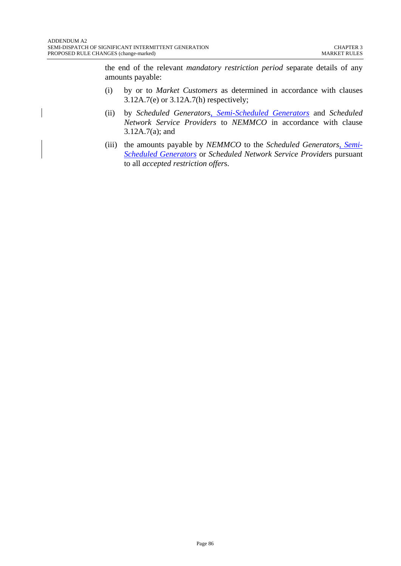the end of the relevant *mandatory restriction period* separate details of any amounts payable:

- (i) by or to *Market Customers* as determined in accordance with clauses 3.12A.7(e) or 3.12A.7(h) respectively;
- (ii) by *Scheduled Generators*, *Semi-Scheduled Generators* and *Scheduled Network Service Providers* to *NEMMCO* in accordance with clause 3.12A.7(a); and
- (iii) the amounts payable by *NEMMCO* to the *Scheduled Generators*, *Semi-Scheduled Generators* or *Scheduled Network Service Provide*rs pursuant to all *accepted restriction offer*s.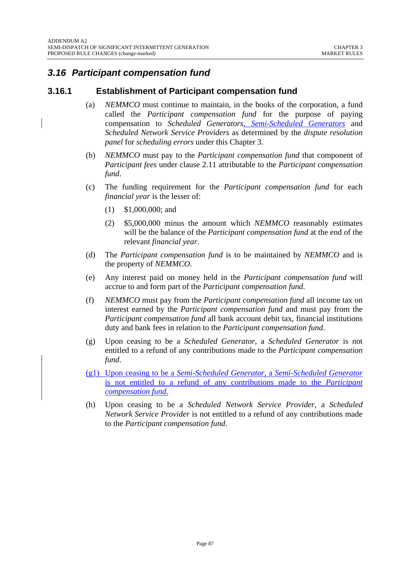## *3.16 Participant compensation fund*

#### **3.16.1 Establishment of Participant compensation fund**

- (a) *NEMMCO* must continue to maintain, in the books of the corporation, a fund called the *Participant compensation fund* for the purpose of paying compensation to *Scheduled Generators, Semi-Scheduled Generators* and *Scheduled Network Service Providers* as determined by the *dispute resolution panel* for *scheduling errors* under this Chapter 3.
- (b) *NEMMCO* must pay to the *Participant compensation fund* that component of *Participant fees* under clause 2.11 attributable to the *Participant compensation fund*.
- (c) The funding requirement for the *Participant compensation fund* for each *financial year* is the lesser of:
	- (1) \$1,000,000; and
	- (2) \$5,000,000 minus the amount which *NEMMCO* reasonably estimates will be the balance of the *Participant compensation fund* at the end of the relevant *financial year*.
- (d) The *Participant compensation fund* is to be maintained by *NEMMCO* and is the property of *NEMMCO*.
- (e) Any interest paid on money held in the *Participant compensation fund* will accrue to and form part of the *Participant compensation fund*.
- (f) *NEMMCO* must pay from the *Participant compensation fund* all income tax on interest earned by the *Participant compensation fund* and must pay from the *Participant compensation fund* all bank account debit tax, financial institutions duty and bank fees in relation to the *Participant compensation fund*.
- (g) Upon ceasing to be a *Scheduled Generator*, a *Scheduled Generator* is not entitled to a refund of any contributions made to the *Participant compensation fund*.
- (g1) Upon ceasing to be a *Semi-Scheduled Generator*, a *Semi-Scheduled Generator*  is not entitled to a refund of any contributions made to the *Participant compensation fund*.
- (h) Upon ceasing to be a *Scheduled Network Service Provider*, a *Scheduled Network Service Provider* is not entitled to a refund of any contributions made to the *Participant compensation fund*.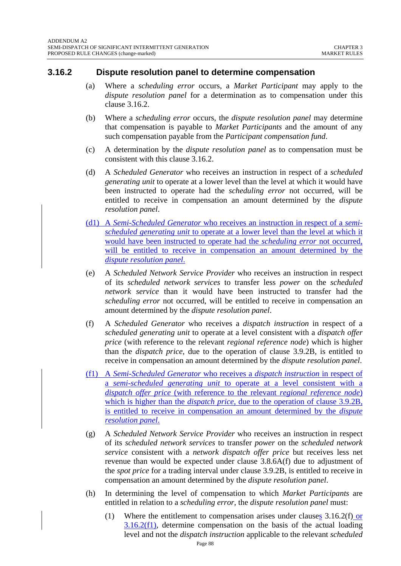#### **3.16.2 Dispute resolution panel to determine compensation**

- (a) Where a *scheduling error* occurs, a *Market Participant* may apply to the *dispute resolution panel* for a determination as to compensation under this clause 3.16.2.
- (b) Where a *scheduling error* occurs, the *dispute resolution panel* may determine that compensation is payable to *Market Participants* and the amount of any such compensation payable from the *Participant compensation fund*.
- (c) A determination by the *dispute resolution panel* as to compensation must be consistent with this clause 3.16.2.
- (d) A *Scheduled Generator* who receives an instruction in respect of a *scheduled generating unit* to operate at a lower level than the level at which it would have been instructed to operate had the *scheduling error* not occurred, will be entitled to receive in compensation an amount determined by the *dispute resolution panel*.
- (d1) A *Semi-Scheduled Generator* who receives an instruction in respect of a *semischeduled generating unit* to operate at a lower level than the level at which it would have been instructed to operate had the *scheduling error* not occurred, will be entitled to receive in compensation an amount determined by the *dispute resolution panel*.
- (e) A *Scheduled Network Service Provider* who receives an instruction in respect of its *scheduled network services* to transfer less *power* on the *scheduled network service* than it would have been instructed to transfer had the *scheduling error* not occurred, will be entitled to receive in compensation an amount determined by the *dispute resolution panel*.
- (f) A *Scheduled Generator* who receives a *dispatch instruction* in respect of a *scheduled generating unit* to operate at a level consistent with a *dispatch offer price* (with reference to the relevant *regional reference node*) which is higher than the *dispatch price*, due to the operation of clause 3.9.2B, is entitled to receive in compensation an amount determined by the *dispute resolution panel*.
- (f1) A *Semi-Scheduled Generator* who receives a *dispatch instruction* in respect of a *semi-scheduled generating unit* to operate at a level consistent with a *dispatch offer price* (with reference to the relevant *regional reference node*) which is higher than the *dispatch price*, <u>due to the operation of clause 3.9.2B</u>, is entitled to receive in compensation an amount determined by the *dispute resolution panel*.
- (g) A *Scheduled Network Service Provider* who receives an instruction in respect of its *scheduled network services* to transfer *power* on the *scheduled network service* consistent with a *network dispatch offer price* but receives less net revenue than would be expected under clause 3.8.6A(f) due to adjustment of the *spot price* for a trading interval under clause 3.9.2B, is entitled to receive in compensation an amount determined by the *dispute resolution panel*.
- (h) In determining the level of compensation to which *Market Participants* are entitled in relation to a *scheduling error*, the *dispute resolution panel* must:
	- (1) Where the entitlement to compensation arises under clauses  $3.16.2(f)$  or  $3.16.2(f1)$ , determine compensation on the basis of the actual loading level and not the *dispatch instruction* applicable to the relevant *scheduled*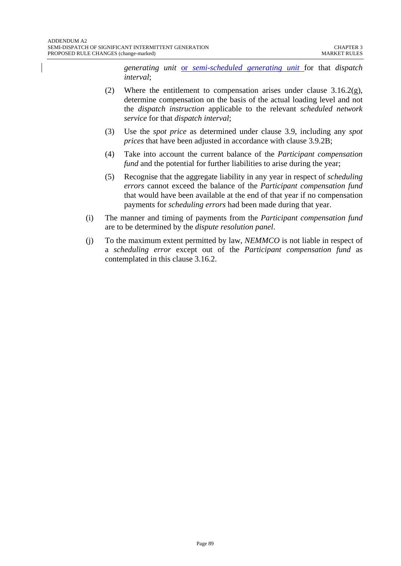*generating unit* or *semi-scheduled generating unit* for that *dispatch interval*;

- (2) Where the entitlement to compensation arises under clause  $3.16.2(g)$ , determine compensation on the basis of the actual loading level and not the *dispatch instruction* applicable to the relevant *scheduled network service* for that *dispatch interval*;
- (3) Use the *spot price* as determined under clause 3.9, including any *spot prices* that have been adjusted in accordance with clause 3.9.2B;
- (4) Take into account the current balance of the *Participant compensation fund* and the potential for further liabilities to arise during the year;
- (5) Recognise that the aggregate liability in any year in respect of *scheduling errors* cannot exceed the balance of the *Participant compensation fund* that would have been available at the end of that year if no compensation payments for *scheduling errors* had been made during that year.
- (i) The manner and timing of payments from the *Participant compensation fund* are to be determined by the *dispute resolution panel*.
- (j) To the maximum extent permitted by law, *NEMMCO* is not liable in respect of a *scheduling error* except out of the *Participant compensation fund* as contemplated in this clause 3.16.2.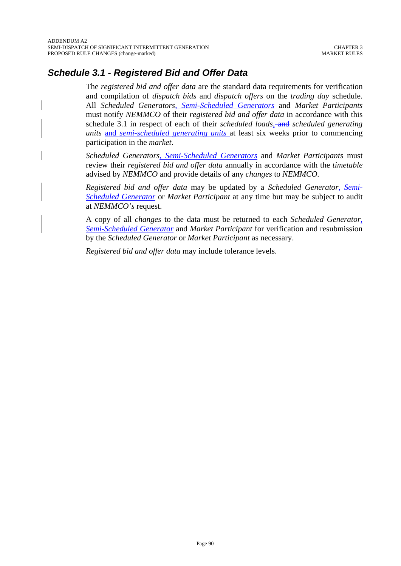# *Schedule 3.1 - Registered Bid and Offer Data*

The *registered bid and offer data* are the standard data requirements for verification and compilation of *dispatch bids* and *dispatch offers* on the *trading day* schedule. All *Scheduled Generators*, *Semi-Scheduled Generators* and *Market Participants* must notify *NEMMCO* of their *registered bid and offer data* in accordance with this schedule 3.1 in respect of each of their *scheduled loads*, and *scheduled generating units* and *semi-scheduled generating units* at least six weeks prior to commencing participation in the *market*.

*Scheduled Generators*, *Semi-Scheduled Generators* and *Market Participants* must review their *registered bid and offer data* annually in accordance with the *timetable* advised by *NEMMCO* and provide details of any *changes* to *NEMMCO.* 

*Registered bid and offer data* may be updated by a *Scheduled Generator*, *Semi-Scheduled Generator* or *Market Participant* at any time but may be subject to audit at *NEMMCO's* request.

A copy of all *changes* to the data must be returned to each *Scheduled Generator*, *Semi-Scheduled Generator* and *Market Participant* for verification and resubmission by the *Scheduled Generator* or *Market Participant* as necessary.

*Registered bid and offer data* may include tolerance levels.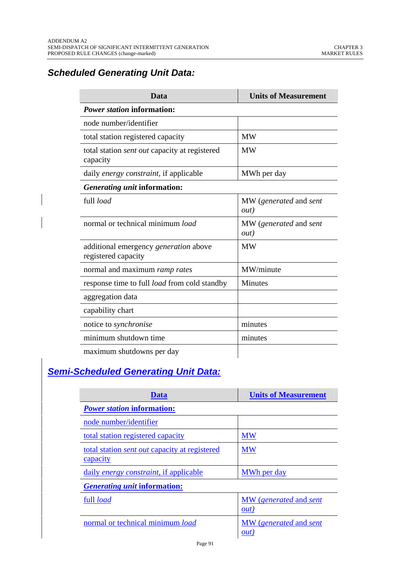# *Scheduled Generating Unit Data:*

| Data                                                                | <b>Units of Measurement</b>            |  |  |
|---------------------------------------------------------------------|----------------------------------------|--|--|
| <i>Power station</i> information:                                   |                                        |  |  |
| node number/identifier                                              |                                        |  |  |
| total station registered capacity                                   | <b>MW</b>                              |  |  |
| total station sent out capacity at registered<br>capacity           | <b>MW</b>                              |  |  |
| daily <i>energy constraint</i> , if applicable                      | MWh per day                            |  |  |
| Generating unit information:                                        |                                        |  |  |
| full load                                                           | MW (generated and sent<br>out)         |  |  |
| normal or technical minimum load                                    | MW (generated and sent<br><i>out</i> ) |  |  |
| additional emergency <i>generation</i> above<br>registered capacity | <b>MW</b>                              |  |  |
| normal and maximum ramp rates                                       | MW/minute                              |  |  |
| response time to full <i>load</i> from cold standby                 | <b>Minutes</b>                         |  |  |
| aggregation data                                                    |                                        |  |  |
| capability chart                                                    |                                        |  |  |
| notice to <i>synchronise</i>                                        | minutes                                |  |  |
| minimum shutdown time                                               | minutes                                |  |  |
| maximum shutdowns per day                                           |                                        |  |  |

# *Semi-Scheduled Generating Unit Data:*

| <b>Data</b>                                                      | <b>Units of Measurement</b>            |
|------------------------------------------------------------------|----------------------------------------|
| <b>Power station information:</b>                                |                                        |
| node number/identifier                                           |                                        |
| total station registered capacity                                | <b>MW</b>                              |
| total station <i>sent out</i> capacity at registered<br>capacity | <b>MW</b>                              |
| daily energy constraint, if applicable                           | MWh per day                            |
| <i><b>Generating unit information:</b></i>                       |                                        |
| full load                                                        | MW (generated and sent<br><i>out</i> ) |
| normal or technical minimum load                                 | MW (generated and sent<br>out.         |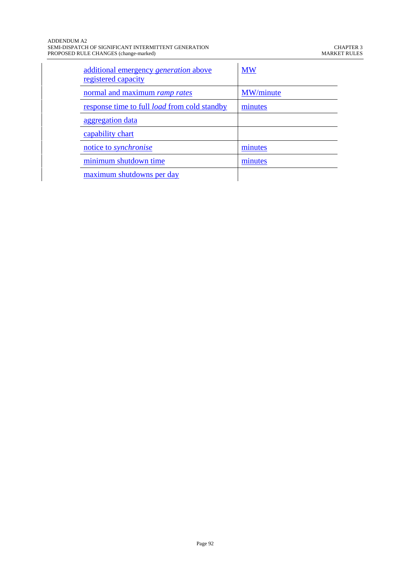| additional emergency <i>generation</i> above<br>registered capacity | <b>MW</b> |
|---------------------------------------------------------------------|-----------|
| normal and maximum ramp rates                                       | MW/minute |
| response time to full <i>load</i> from cold standby                 | minutes   |
| aggregation data                                                    |           |
| capability chart                                                    |           |
| notice to <i>synchronise</i>                                        | minutes   |
| minimum shutdown time                                               | minutes   |
| maximum shutdowns per day                                           |           |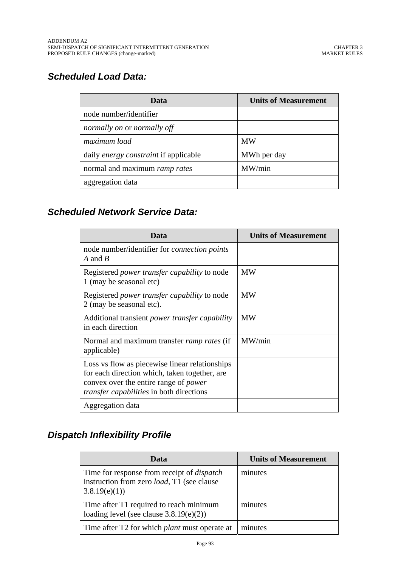# *Scheduled Load Data:*

| Data                                  | <b>Units of Measurement</b> |
|---------------------------------------|-----------------------------|
| node number/identifier                |                             |
| normally on or normally off           |                             |
| maximum load                          | <b>MW</b>                   |
| daily energy constraint if applicable | MWh per day                 |
| normal and maximum ramp rates         | MW/min                      |
| aggregation data                      |                             |

# *Scheduled Network Service Data:*

| Data                                                                                                                                                                                               | <b>Units of Measurement</b> |
|----------------------------------------------------------------------------------------------------------------------------------------------------------------------------------------------------|-----------------------------|
| node number/identifier for <i>connection points</i><br>A and $B$                                                                                                                                   |                             |
| Registered <i>power transfer capability</i> to node<br>1 (may be seasonal etc)                                                                                                                     | <b>MW</b>                   |
| Registered <i>power transfer capability</i> to node<br>2 (may be seasonal etc).                                                                                                                    | <b>MW</b>                   |
| Additional transient <i>power transfer capability</i><br>in each direction                                                                                                                         | MW                          |
| Normal and maximum transfer ramp rates (if<br>applicable)                                                                                                                                          | MW/min                      |
| Loss vs flow as piecewise linear relationships<br>for each direction which, taken together, are<br>convex over the entire range of <i>power</i><br><i>transfer capabilities</i> in both directions |                             |
| Aggregation data                                                                                                                                                                                   |                             |

# *Dispatch Inflexibility Profile*

| Data                                                                                                                    | <b>Units of Measurement</b> |
|-------------------------------------------------------------------------------------------------------------------------|-----------------------------|
| Time for response from receipt of <i>dispatch</i><br>instruction from zero <i>load</i> , T1 (see clause<br>3.8.19(e)(1) | minutes                     |
| Time after T1 required to reach minimum<br>loading level (see clause $3.8.19(e)(2)$ )                                   | minutes                     |
| Time after T2 for which <i>plant</i> must operate at                                                                    | minutes                     |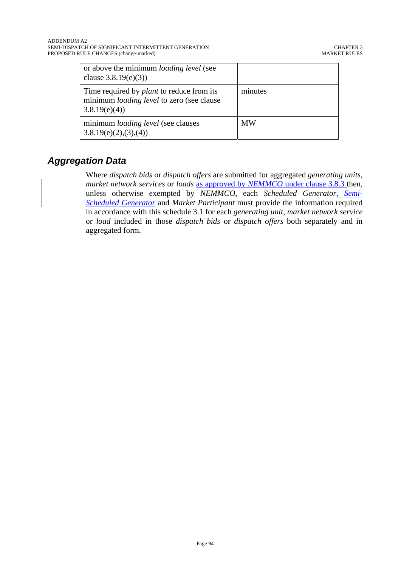| or above the minimum <i>loading level</i> (see<br>clause $3.8.19(e)(3)$                                              |           |
|----------------------------------------------------------------------------------------------------------------------|-----------|
| Time required by <i>plant</i> to reduce from its<br>minimum <i>loading level</i> to zero (see clause<br>3.8.19(e)(4) | minutes   |
| minimum <i>loading level</i> (see clauses)<br>3.8.19(e)(2),(3),(4)                                                   | <b>MW</b> |

# *Aggregation Data*

Where *dispatch bids* or *dispatch offers* are submitted for aggregated *generating units*, *market network services* or *loads* as approved by *NEMMCO* under clause 3.8.3 then, unless otherwise exempted by *NEMMCO*, each *Scheduled Generator*, *Semi-Scheduled Generator* and *Market Participant* must provide the information required in accordance with this schedule 3.1 for each *generating unit*, *market network service* or *load* included in those *dispatch bids* or *dispatch offers* both separately and in aggregated form.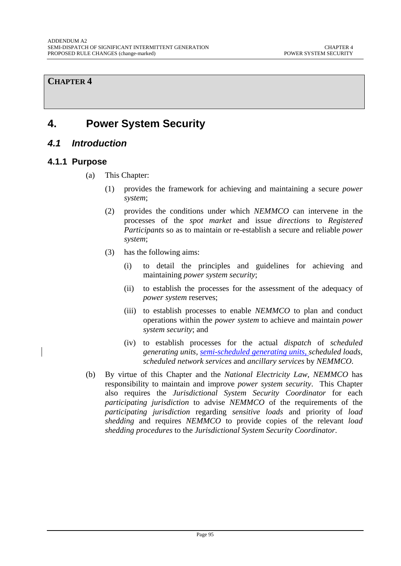## **CHAPTER 4**

# **4. Power System Security**

## *4.1 Introduction*

#### **4.1.1 Purpose**

- (a) This Chapter:
	- (1) provides the framework for achieving and maintaining a secure *power system*;
	- (2) provides the conditions under which *NEMMCO* can intervene in the processes of the *spot market* and issue *directions* to *Registered Participants* so as to maintain or re-establish a secure and reliable *power system*;
	- (3) has the following aims:
		- (i) to detail the principles and guidelines for achieving and maintaining *power system security*;
		- (ii) to establish the processes for the assessment of the adequacy of *power system* reserves;
		- (iii) to establish processes to enable *NEMMCO* to plan and conduct operations within the *power system* to achieve and maintain *power system security*; and
		- (iv) to establish processes for the actual *dispatch* of *scheduled generating units, semi-scheduled generating units, scheduled loads, scheduled network services* and *ancillary services* by *NEMMCO*.
- (b) By virtue of this Chapter and the *National Electricity Law*, *NEMMCO* has responsibility to maintain and improve *power system security*. This Chapter also requires the *Jurisdictional System Security Coordinator* for each *participating jurisdiction* to advise *NEMMCO* of the requirements of the *participating jurisdiction* regarding *sensitive loads* and priority of *load shedding* and requires *NEMMCO* to provide copies of the relevant *load shedding procedures* to the *Jurisdictional System Security Coordinator*.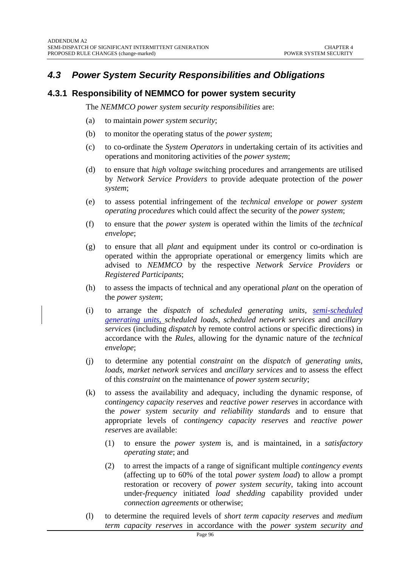## *4.3 Power System Security Responsibilities and Obligations*

#### **4.3.1 Responsibility of NEMMCO for power system security**

The *NEMMCO power system security responsibilities* are:

- (a) to maintain *power system security*;
- (b) to monitor the operating status of the *power system*;
- (c) to co-ordinate the *System Operators* in undertaking certain of its activities and operations and monitoring activities of the *power system*;
- (d) to ensure that *high voltage* switching procedures and arrangements are utilised by *Network Service Providers* to provide adequate protection of the *power system*;
- (e) to assess potential infringement of the *technical envelope* or *power system operating procedures* which could affect the security of the *power system*;
- (f) to ensure that the *power system* is operated within the limits of the *technical envelope*;
- (g) to ensure that all *plant* and equipment under its control or co-ordination is operated within the appropriate operational or emergency limits which are advised to *NEMMCO* by the respective *Network Service Providers* or *Registered Participants*;
- (h) to assess the impacts of technical and any operational *plant* on the operation of the *power system*;
- (i) to arrange the *dispatch* of *scheduled generating units, semi-scheduled generating units*, *scheduled loads*, *scheduled network services* and *ancillary services* (including *dispatch* by remote control actions or specific directions) in accordance with the *Rules*, allowing for the dynamic nature of the *technical envelope*;
- (j) to determine any potential *constraint* on the *dispatch* of *generating units, loads, market network services* and *ancillary services* and to assess the effect of this *constraint* on the maintenance of *power system security*;
- (k) to assess the availability and adequacy, including the dynamic response, of *contingency capacity reserves* and *reactive power reserves* in accordance with the *power system security and reliability standards* and to ensure that appropriate levels of *contingency capacity reserves* and *reactive power reserves* are available:
	- (1) to ensure the *power system* is, and is maintained, in a *satisfactory operating state*; and
	- (2) to arrest the impacts of a range of significant multiple *contingency events* (affecting up to 60% of the total *power system load*) to allow a prompt restoration or recovery of *power system security*, taking into account under-*frequency* initiated *load shedding* capability provided under *connection agreements* or otherwise;
- (l) to determine the required levels of *short term capacity reserves* and *medium term capacity reserves* in accordance with the *power system security and*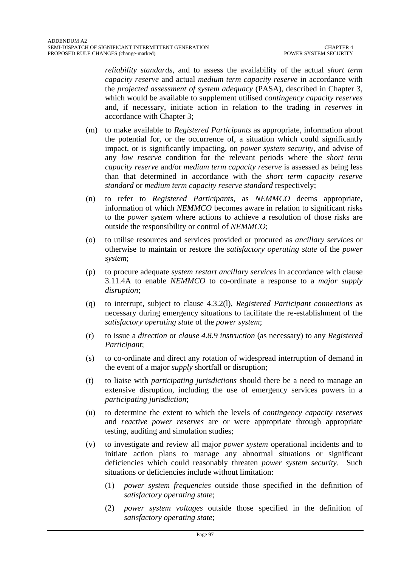*reliability standards*, and to assess the availability of the actual *short term capacity reserve* and actual *medium term capacity reserve* in accordance with the *projected assessment of system adequacy* (PASA), described in Chapter 3, which would be available to supplement utilised *contingency capacity reserves* and, if necessary, initiate action in relation to the trading in *reserves* in accordance with Chapter 3;

- (m) to make available to *Registered Participants* as appropriate, information about the potential for, or the occurrence of, a situation which could significantly impact, or is significantly impacting, on *power system security*, and advise of any *low reserve* condition for the relevant periods where the *short term capacity reserve* and/or *medium term capacity reserve* is assessed as being less than that determined in accordance with the *short term capacity reserve standard* or *medium term capacity reserve standard* respectively;
- (n) to refer to *Registered Participants*, as *NEMMCO* deems appropriate, information of which *NEMMCO* becomes aware in relation to significant risks to the *power system* where actions to achieve a resolution of those risks are outside the responsibility or control of *NEMMCO*;
- (o) to utilise resources and services provided or procured as *ancillary services* or otherwise to maintain or restore the *satisfactory operating state* of the *power system*;
- (p) to procure adequate *system restart ancillary services* in accordance with clause 3.11.4A to enable *NEMMCO* to co-ordinate a response to a *major supply disruption*;
- (q) to interrupt, subject to clause 4.3.2(l), *Registered Participant connections* as necessary during emergency situations to facilitate the re-establishment of the *satisfactory operating state* of the *power system*;
- (r) to issue a *direction* or *clause 4.8.9 instruction* (as necessary) to any *Registered Participant*;
- (s) to co-ordinate and direct any rotation of widespread interruption of demand in the event of a major *supply* shortfall or disruption;
- (t) to liaise with *participating jurisdictions* should there be a need to manage an extensive disruption, including the use of emergency services powers in a *participating jurisdiction*;
- (u) to determine the extent to which the levels of *contingency capacity reserves* and *reactive power reserves* are or were appropriate through appropriate testing, auditing and simulation studies;
- (v) to investigate and review all major *power system* operational incidents and to initiate action plans to manage any abnormal situations or significant deficiencies which could reasonably threaten *power system security*. Such situations or deficiencies include without limitation:
	- (1) *power system frequencies* outside those specified in the definition of *satisfactory operating state*;
	- (2) *power system voltages* outside those specified in the definition of *satisfactory operating state*;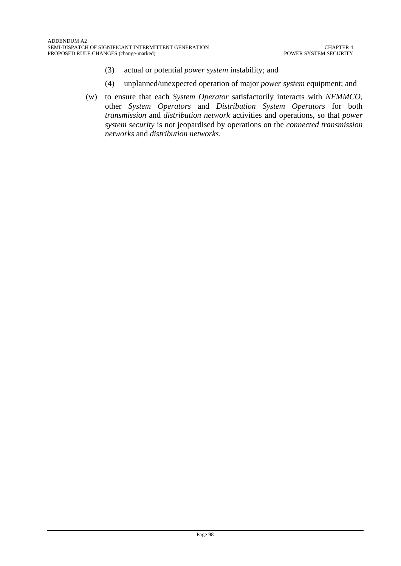- (3) actual or potential *power system* instability; and
- (4) unplanned/unexpected operation of major *power system* equipment; and
- (w) to ensure that each *System Operator* satisfactorily interacts with *NEMMCO*, other *System Operators* and *Distribution System Operators* for both *transmission* and *distribution network* activities and operations, so that *power system security* is not jeopardised by operations on the *connected transmission networks* and *distribution networks*.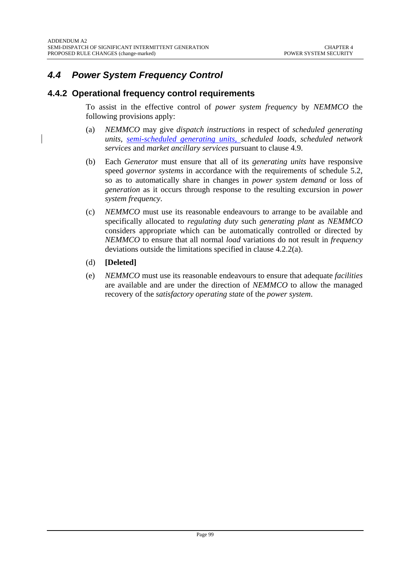# *4.4 Power System Frequency Control*

## **4.4.2 Operational frequency control requirements**

To assist in the effective control of *power system frequency* by *NEMMCO* the following provisions apply:

- (a) *NEMMCO* may give *dispatch instructions* in respect of *scheduled generating units, semi-scheduled generating units*, *scheduled loads, scheduled network services* and *market ancillary services* pursuant to clause 4.9.
- (b) Each *Generator* must ensure that all of its *generating units* have responsive speed *governor systems* in accordance with the requirements of schedule 5.2, so as to automatically share in changes in *power system demand* or loss of *generation* as it occurs through response to the resulting excursion in *power system frequency*.
- (c) *NEMMCO* must use its reasonable endeavours to arrange to be available and specifically allocated to *regulating duty* such *generating plant* as *NEMMCO* considers appropriate which can be automatically controlled or directed by *NEMMCO* to ensure that all normal *load* variations do not result in *frequency* deviations outside the limitations specified in clause 4.2.2(a).
- (d) **[Deleted]**
- (e) *NEMMCO* must use its reasonable endeavours to ensure that adequate *facilities* are available and are under the direction of *NEMMCO* to allow the managed recovery of the *satisfactory operating state* of the *power system*.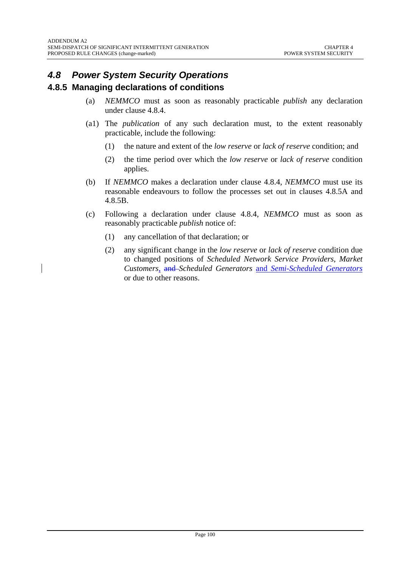# *4.8 Power System Security Operations*

#### **4.8.5 Managing declarations of conditions**

- (a) *NEMMCO* must as soon as reasonably practicable *publish* any declaration under clause 4.8.4.
- (a1) The *publication* of any such declaration must, to the extent reasonably practicable, include the following:
	- (1) the nature and extent of the *low reserve* or *lack of reserve* condition; and
	- (2) the time period over which the *low reserve* or *lack of reserve* condition applies.
- (b) If *NEMMCO* makes a declaration under clause 4.8.4, *NEMMCO* must use its reasonable endeavours to follow the processes set out in clauses 4.8.5A and 4.8.5B.
- (c) Following a declaration under clause 4.8.4, *NEMMCO* must as soon as reasonably practicable *publish* notice of:
	- (1) any cancellation of that declaration; or
	- (2) any significant change in the *low reserve* or *lack of reserve* condition due to changed positions of *Scheduled Network Service Providers*, *Market Customers*, and *Scheduled Generators* and *Semi-Scheduled Generators* or due to other reasons.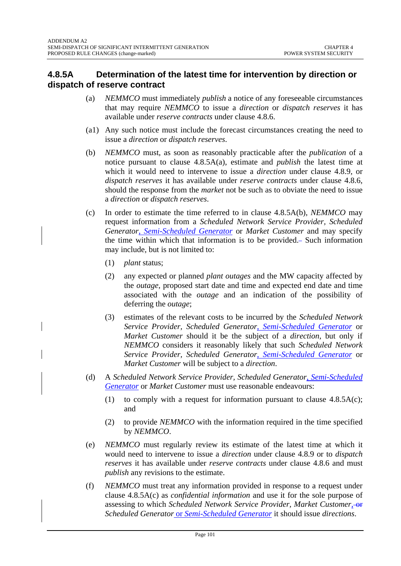## **4.8.5A Determination of the latest time for intervention by direction or dispatch of reserve contract**

- (a) *NEMMCO* must immediately *publish* a notice of any foreseeable circumstances that may require *NEMMCO* to issue a *direction* or *dispatch reserves* it has available under *reserve contracts* under clause 4.8.6.
- (a1) Any such notice must include the forecast circumstances creating the need to issue a *direction* or *dispatch reserves*.
- (b) *NEMMCO* must, as soon as reasonably practicable after the *publication* of a notice pursuant to clause 4.8.5A(a), estimate and *publish* the latest time at which it would need to intervene to issue a *direction* under clause 4.8.9, or *dispatch reserves* it has available under *reserve contracts* under clause 4.8.6, should the response from the *market* not be such as to obviate the need to issue a *direction* or *dispatch reserves*.
- (c) In order to estimate the time referred to in clause 4.8.5A(b), *NEMMCO* may request information from a *Scheduled Network Service Provider, Scheduled Generator*, *Semi-Scheduled Generator* or *Market Customer* and may specify the time within which that information is to be provided. Such information may include, but is not limited to:
	- (1) *plant* status;
	- (2) any expected or planned *plant outages* and the MW capacity affected by the *outage*, proposed start date and time and expected end date and time associated with the *outage* and an indication of the possibility of deferring the *outage*;
	- (3) estimates of the relevant costs to be incurred by the *Scheduled Network Service Provider, Scheduled Generator*, *Semi-Scheduled Generator* or *Market Customer* should it be the subject of a *direction*, but only if *NEMMCO* considers it reasonably likely that such *Scheduled Network Service Provider, Scheduled Generator*, *Semi-Scheduled Generator* or *Market Customer* will be subject to a *direction*.
- (d) A *Scheduled Network Service Provider, Scheduled Generator*, *Semi-Scheduled Generator* or *Market Customer* must use reasonable endeavours:
	- (1) to comply with a request for information pursuant to clause  $4.8.5A(c)$ ; and
	- (2) to provide *NEMMCO* with the information required in the time specified by *NEMMCO*.
- (e) *NEMMCO* must regularly review its estimate of the latest time at which it would need to intervene to issue a *direction* under clause 4.8.9 or to *dispatch reserves* it has available under *reserve contracts* under clause 4.8.6 and must *publish* any revisions to the estimate.
- (f) *NEMMCO* must treat any information provided in response to a request under clause 4.8.5A(c) as *confidential information* and use it for the sole purpose of assessing to which *Scheduled Network Service Provider, Market Customer*, or *Scheduled Generator* or *Semi-Scheduled Generator* it should issue *directions*.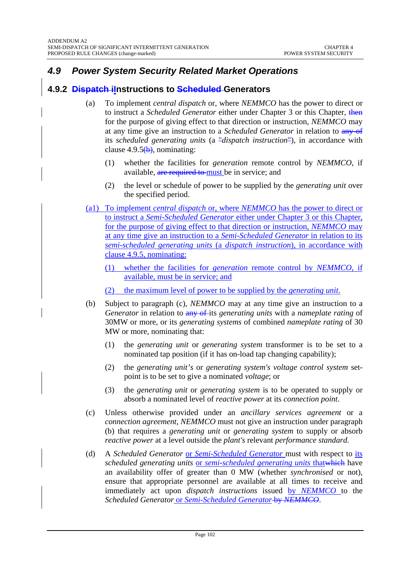# *4.9 Power System Security Related Market Operations*

### **4.9.2 Dispatch iInstructions to Scheduled Generators**

- (a) To implement *central dispatch* or, where *NEMMCO* has the power to direct or to instruct a *Scheduled Generator* either under Chapter 3 or this Chapter, then for the purpose of giving effect to that direction or instruction, *NEMMCO* may at any time give an instruction to a *Scheduled Generator* in relation to any of its *scheduled generating units* (a "*dispatch instruction*"), in accordance with clause  $4.9.5(b)$ , nominating:
	- (1) whether the facilities for *generation* remote control by *NEMMCO*, if available, are required to must be in service; and
	- (2) the level or schedule of power to be supplied by the *generating unit* over the specified period.
- (a1) To implement *central dispatch* or, where *NEMMCO* has the power to direct or to instruct a *Semi-Scheduled Generator* either under Chapter 3 or this Chapter, for the purpose of giving effect to that direction or instruction, *NEMMCO* may at any time give an instruction to a *Semi-Scheduled Generator* in relation to its *semi-scheduled generating units* (a *dispatch instruction*), in accordance with clause 4.9.5, nominating:
	- (1) whether the facilities for *generation* remote control by *NEMMCO*, if available, must be in service; and
	- (2) the maximum level of power to be supplied by the *generating unit*.
- (b) Subject to paragraph (c), *NEMMCO* may at any time give an instruction to a *Generator* in relation to **any of** its *generating units* with a *nameplate rating* of 30MW or more*,* or its *generating systems* of combined *nameplate rating* of 30 MW or more, nominating that:
	- (1) the *generating unit* or *generating system* transformer is to be set to a nominated tap position (if it has on-load tap changing capability);
	- (2) the *generating unit's* or *generating system's voltage control system* setpoint is to be set to give a nominated *voltage*; or
	- (3) the *generating unit* or *generating system* is to be operated to supply or absorb a nominated level of *reactive power* at its *connection point*.
- (c) Unless otherwise provided under an *ancillary services agreement* or a *connection agreement, NEMMCO* must not give an instruction under paragraph (b) that requires a *generating unit* or *generating system* to supply or absorb *reactive power* at a level outside the *plant's* relevant *performance standard*.
- (d) A *Scheduled Generator* or *Semi-Scheduled Generator* must with respect to its *scheduled generating units* or *semi-scheduled generating units* thatwhich have an availability offer of greater than 0 MW (whether *synchronised* or not), ensure that appropriate personnel are available at all times to receive and immediately act upon *dispatch instructions* issued by *NEMMCO* to the *Scheduled Generator* or *Semi-Scheduled Generator* by *NEMMCO*.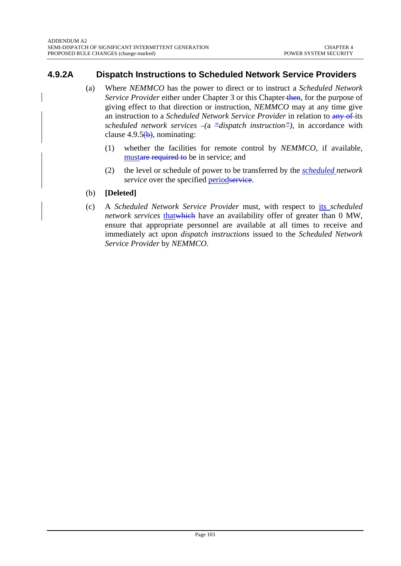## **4.9.2A Dispatch Instructions to Scheduled Network Service Providers**

- (a) Where *NEMMCO* has the power to direct or to instruct a *Scheduled Network Service Provider* either under Chapter 3 or this Chapter then, for the purpose of giving effect to that direction or instruction, *NEMMCO* may at any time give an instruction to a *Scheduled Network Service Provider* in relation to any of its *scheduled network services*  $-(a \frac{a}{b})$  *dispatch instruction<sup>2</sup></sup>*, in accordance with clause  $4.9.5(b)$ , nominating:
	- (1) whether the facilities for remote control by *NEMMCO,* if available, mustare required to be in service; and
	- (2) the level or schedule of power to be transferred by the *scheduled network service* over the specified periodservice.
- (b) **[Deleted]**
- (c) A *Scheduled Network Service Provider* must, with respect to its *scheduled network services* that which have an availability offer of greater than 0 MW, ensure that appropriate personnel are available at all times to receive and immediately act upon *dispatch instructions* issued to the *Scheduled Network Service Provider* by *NEMMCO*.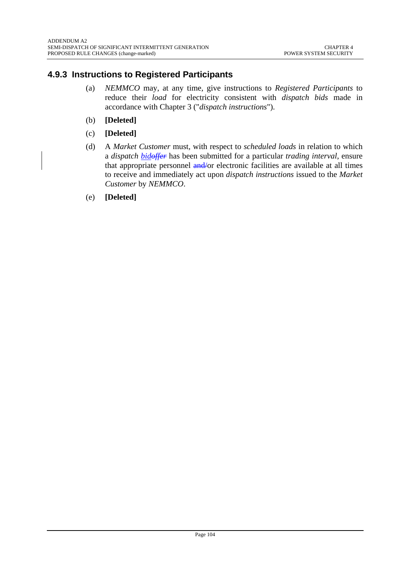## **4.9.3 Instructions to Registered Participants**

- (a) *NEMMCO* may, at any time, give instructions to *Registered Participants* to reduce their *load* for electricity consistent with *dispatch bids* made in accordance with Chapter 3 ("*dispatch instructions*").
- (b) **[Deleted]**
- (c) **[Deleted]**
- (d) A *Market Customer* must, with respect to *scheduled loads* in relation to which a *dispatch bidoffer* has been submitted for a particular *trading interval*, ensure that appropriate personnel and/or electronic facilities are available at all times to receive and immediately act upon *dispatch instructions* issued to the *Market Customer* by *NEMMCO*.
- (e) **[Deleted]**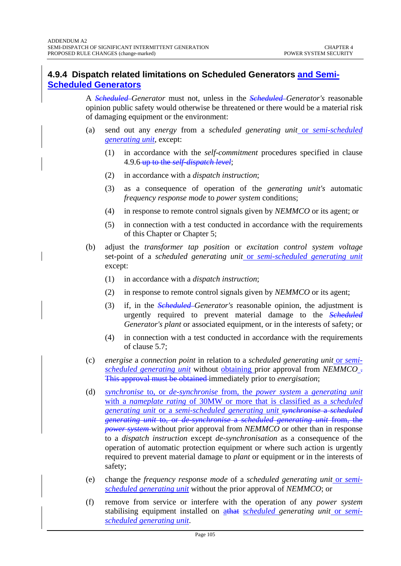## **4.9.4 Dispatch related limitations on Scheduled Generators and Semi-Scheduled Generators**

A *Scheduled Generator* must not, unless in the *Scheduled Generator's* reasonable opinion public safety would otherwise be threatened or there would be a material risk of damaging equipment or the environment:

- (a) send out any *energy* from a *scheduled generating unit* or *semi-scheduled generating unit*, except:
	- (1) in accordance with the *self-commitment* procedures specified in clause 4.9.6 up to the *self-dispatch level*;
	- (2) in accordance with a *dispatch instruction*;
	- (3) as a consequence of operation of the *generating unit's* automatic *frequency response mode* to *power system* conditions;
	- (4) in response to remote control signals given by *NEMMCO* or its agent; or
	- (5) in connection with a test conducted in accordance with the requirements of this Chapter or Chapter 5;
- (b) adjust the *transformer tap position* or *excitation control system voltage* set-point of a *scheduled generating unit* or *semi-scheduled generating unit* except:
	- (1) in accordance with a *dispatch instruction*;
	- (2) in response to remote control signals given by *NEMMCO* or its agent;
	- (3) if, in the *Scheduled Generator's* reasonable opinion, the adjustment is urgently required to prevent material damage to the *Scheduled Generator's plant* or associated equipment, or in the interests of safety; or
	- (4) in connection with a test conducted in accordance with the requirements of clause 5.7;
- (c) *energise* a *connection point* in relation to a *scheduled generating unit* or *semischeduled generating unit* without obtaining prior approval from *NEMMCO* . This approval must be obtained immediately prior to *energisation*;
- (d) *synchronise* to, or *de-synchronise* from, the *power system* a *generating unit* with a *nameplate rating* of 30MW or more that is classified as a *scheduled generating unit* or a *semi-scheduled generating unit synchronise* a *scheduled generating unit* to, or *de-synchronise* a *scheduled generating unit* from, the *power system* without prior approval from *NEMMCO* or other than in response to a *dispatch instruction* except *de-synchronisation* as a consequence of the operation of automatic protection equipment or where such action is urgently required to prevent material damage to *plant* or equipment or in the interests of safety;
- (e) change the *frequency response mode* of a *scheduled generating unit* or *semischeduled generating unit* without the prior approval of *NEMMCO*; or
- (f) remove from service or interfere with the operation of any *power system* stabilising equipment installed on athat *scheduled generating unit* or *semischeduled generating unit*.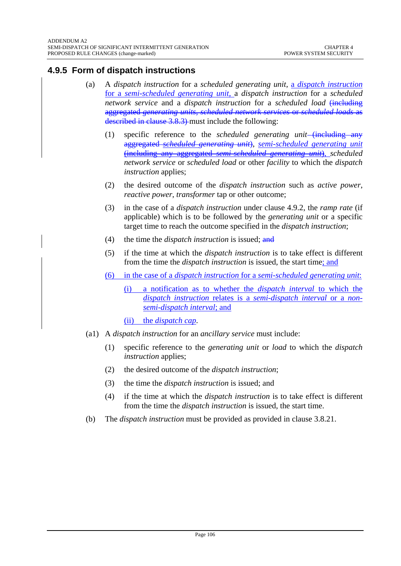## **4.9.5 Form of dispatch instructions**

- (a) A *dispatch instruction* for a *scheduled generating unit,* a *dispatch instruction* for a *semi-scheduled generating unit*, a *dispatch instruction* for a *scheduled network service* and a *dispatch instruction* for a *scheduled load* (including aggregated *generating units, scheduled network services* or *scheduled loads* as described in clause 3.8.3) must include the following:
	- (1) specific reference to the *scheduled generating unit* (including any aggregated *scheduled generating unit*), *semi-scheduled generating unit* (including any aggregated *semi-scheduled generating unit*), *scheduled network service* or *scheduled load* or other *facility* to which the *dispatch instruction* applies;
	- (2) the desired outcome of the *dispatch instruction* such as *active power*, *reactive power*, *transformer* tap or other outcome;
	- (3) in the case of a *dispatch instruction* under clause 4.9.2, the *ramp rate* (if applicable) which is to be followed by the *generating unit* or a specific target time to reach the outcome specified in the *dispatch instruction*;
	- (4) the time the *dispatch instruction* is issued; and
	- (5) if the time at which the *dispatch instruction* is to take effect is different from the time the *dispatch instruction* is issued, the start time; and
	- (6) in the case of a *dispatch instruction* for a *semi-scheduled generating unit*:
		- (i) a notification as to whether the *dispatch interval* to which the *dispatch instruction* relates is a *semi-dispatch interval* or a *nonsemi-dispatch interval*; and
		- (ii) the *dispatch cap*.
- (a1) A *dispatch instruction* for an *ancillary service* must include:
	- (1) specific reference to the *generating unit* or *load* to which the *dispatch instruction* applies;
	- (2) the desired outcome of the *dispatch instruction*;
	- (3) the time the *dispatch instruction* is issued; and
	- (4) if the time at which the *dispatch instruction* is to take effect is different from the time the *dispatch instruction* is issued, the start time.
- (b) The *dispatch instruction* must be provided as provided in clause 3.8.21.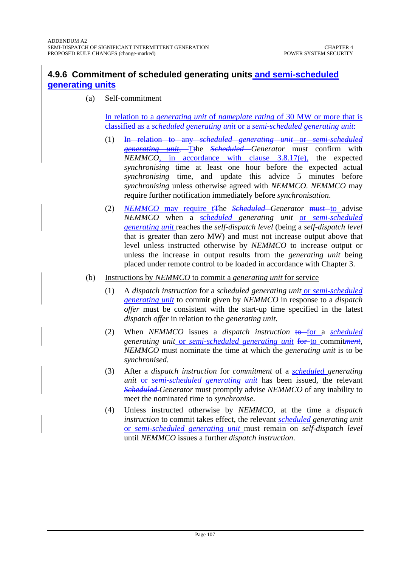## **4.9.6 Commitment of scheduled generating units and semi-scheduled generating units**

(a) Self-commitment

In relation to a *generating unit* of *nameplate rating* of 30 MW or more that is classified as a *scheduled generating unit* or a *semi-scheduled generating unit*:

- (1) In relation to any *scheduled generating unit* or *semi-scheduled generating unit*, Tthe *Scheduled Generator* must confirm with *NEMMCO,* in accordance with clause 3.8.17(e), the expected *synchronising* time at least one hour before the expected actual *synchronising* time, and update this advice 5 minutes before *synchronising* unless otherwise agreed with *NEMMCO*. *NEMMCO* may require further notification immediately before *synchronisation*.
- (2) *NEMMCO* may require tThe *Scheduled Generator* must to advise *NEMMCO* when a *scheduled generating unit* or *semi-scheduled generating unit* reaches the *self-dispatch level* (being a *self-dispatch level* that is greater than zero MW) and must not increase output above that level unless instructed otherwise by *NEMMCO* to increase output or unless the increase in output results from the *generating unit* being placed under remote control to be loaded in accordance with Chapter 3.
- (b) Instructions by *NEMMCO* to commit a *generating unit* for service
	- (1) A *dispatch instruction* for a *scheduled generating unit* or *semi-scheduled generating unit* to commit given by *NEMMCO* in response to a *dispatch offer* must be consistent with the start-up time specified in the latest *dispatch offer* in relation to the *generating unit*.
	- (2) When *NEMMCO* issues a *dispatch instruction* to for a *scheduled generating unit* or *semi-scheduled generating unit* for to commit*ment*, *NEMMCO* must nominate the time at which the *generating unit* is to be *synchronised*.
	- (3) After a *dispatch instruction* for *commitment* of a *scheduled generating unit* or *semi-scheduled generating unit* has been issued, the relevant *Scheduled Generator* must promptly advise *NEMMCO* of any inability to meet the nominated time to *synchronise*.
	- (4) Unless instructed otherwise by *NEMMCO*, at the time a *dispatch instruction* to commit takes effect, the relevant *scheduled generating unit* or *semi-scheduled generating unit* must remain on *self-dispatch level* until *NEMMCO* issues a further *dispatch instruction*.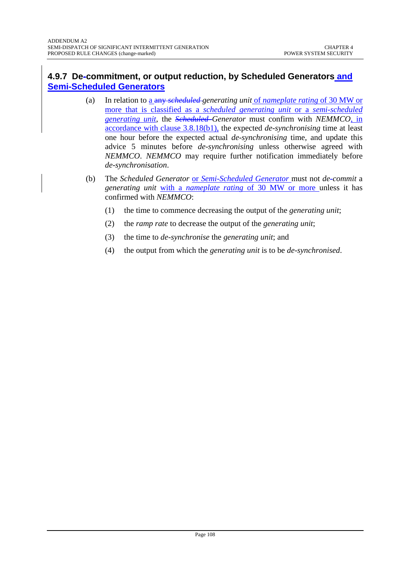## **4.9.7 De-commitment, or output reduction, by Scheduled Generators and Semi-Scheduled Generators**

- (a) In relation to a any *scheduled generating unit* of *nameplate rating* of 30 MW or more that is classified as a *scheduled generating unit* or a *semi-scheduled generating unit*, the *Scheduled Generator* must confirm with *NEMMCO*, in accordance with clause 3.8.18(b1), the expected *de-synchronising* time at least one hour before the expected actual *de-synchronising* time, and update this advice 5 minutes before *de-synchronising* unless otherwise agreed with *NEMMCO*. *NEMMCO* may require further notification immediately before *de-synchronisation*.
- (b) The *Scheduled Generator* or *Semi-Scheduled Generator* must not *de-commit* a *generating unit* with a *nameplate rating* of 30 MW or more unless it has confirmed with *NEMMCO*:
	- (1) the time to commence decreasing the output of the *generating unit*;
	- (2) the *ramp rate* to decrease the output of the *generating unit*;
	- (3) the time to *de-synchronise* the *generating unit*; and
	- (4) the output from which the *generating unit* is to be *de-synchronised*.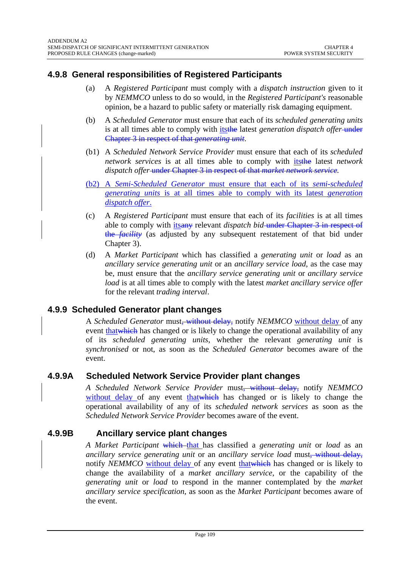# **4.9.8 General responsibilities of Registered Participants**

- (a) A *Registered Participant* must comply with a *dispatch instruction* given to it by *NEMMCO* unless to do so would, in the *Registered Participant's* reasonable opinion, be a hazard to public safety or materially risk damaging equipment.
- (b) A *Scheduled Generator* must ensure that each of its *scheduled generating units* is at all times able to comply with *itsthe latest generation dispatch offer*-under Chapter 3 in respect of that *generating unit*.
- (b1) A *Scheduled Network Service Provider* must ensure that each of its *scheduled network services* is at all times able to comply with itsthe latest *network dispatch offer* under Chapter 3 in respect of that *market network service.*
- (b2) A *Semi-Scheduled Generator* must ensure that each of its *semi-scheduled generating units* is at all times able to comply with its latest *generation dispatch offer*.
- (c) A *Registered Participant* must ensure that each of its *facilities* is at all times able to comply with itsany relevant *dispatch bid* under Chapter 3 in respect of the *facility* (as adjusted by any subsequent restatement of that bid under Chapter 3).
- (d) A *Market Participant* which has classified a *generating unit* or *load* as an *ancillary service generating unit* or an *ancillary service load*, as the case may be, must ensure that the *ancillary service generating unit* or *ancillary service load* is at all times able to comply with the latest *market ancillary service offer* for the relevant *trading interval*.

# **4.9.9 Scheduled Generator plant changes**

A *Scheduled Generator* must<del>, without delay,</del> notify *NEMMCO* without delay of any event thatwhich has changed or is likely to change the operational availability of any of its *scheduled generating units*, whether the relevant *generating unit* is *synchronised* or not, as soon as the *Scheduled Generator* becomes aware of the event.

# **4.9.9A Scheduled Network Service Provider plant changes**

*A Scheduled Network Service Provider* must, without delay, notify *NEMMCO* without delay of any event that which has changed or is likely to change the operational availability of any of its *scheduled network services* as soon as the *Scheduled Network Service Provider* becomes aware of the event.

# **4.9.9B Ancillary service plant changes**

*A Market Participant* which that has classified a *generating unit* or *load* as an *ancillary service generating unit* or an *ancillary service load* must, without delay, notify *NEMMCO* without delay of any event that which has changed or is likely to change the availability of a *market ancillary service*, or the capability of the *generating unit* or *load* to respond in the manner contemplated by the *market ancillary service specification*, as soon as the *Market Participant* becomes aware of the event.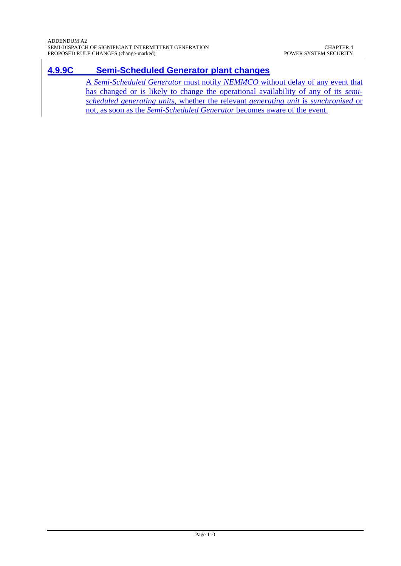# **4.9.9C Semi-Scheduled Generator plant changes**

A *Semi-Scheduled Generator* must notify *NEMMCO* without delay of any event that has changed or is likely to change the operational availability of any of its *semischeduled generating units*, whether the relevant *generating unit* is *synchronised* or not, as soon as the *Semi-Scheduled Generator* becomes aware of the event.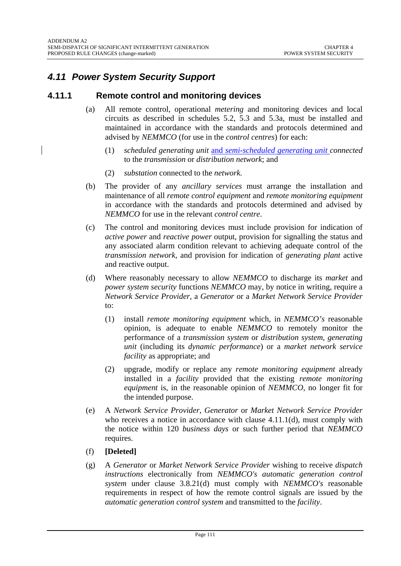# *4.11 Power System Security Support*

## **4.11.1 Remote control and monitoring devices**

- (a) All remote control, operational *metering* and monitoring devices and local circuits as described in schedules 5.2, 5.3 and 5.3a, must be installed and maintained in accordance with the standards and protocols determined and advised by *NEMMCO* (for use in the *control centres*) for each:
	- (1) *scheduled generating unit* and *semi-scheduled generating unit connected* to the *transmission* or *distribution network*; and
	- (2) *substation* connected to the *network.*
- (b) The provider of any *ancillary services* must arrange the installation and maintenance of all *remote control equipment* and *remote monitoring equipment* in accordance with the standards and protocols determined and advised by *NEMMCO* for use in the relevant *control centre*.
- (c) The control and monitoring devices must include provision for indication of *active power* and *reactive power* output, provision for signalling the status and any associated alarm condition relevant to achieving adequate control of the *transmission network*, and provision for indication of *generating plant* active and reactive output.
- (d) Where reasonably necessary to allow *NEMMCO* to discharge its *market* and *power system security* functions *NEMMCO* may, by notice in writing, require a *Network Service Provider*, a *Generator* or a *Market Network Service Provider* to:
	- (1) install *remote monitoring equipment* which, in *NEMMCO's* reasonable opinion, is adequate to enable *NEMMCO* to remotely monitor the performance of a *transmission system* or *distribution system*, *generating unit* (including its *dynamic performance*) or a *market network service facility* as appropriate; and
	- (2) upgrade, modify or replace any *remote monitoring equipment* already installed in a *facility* provided that the existing *remote monitoring equipment* is, in the reasonable opinion of *NEMMCO*, no longer fit for the intended purpose.
- (e) A *Network Service Provider*, *Generator* or *Market Network Service Provider*  who receives a notice in accordance with clause 4.11.1(d), must comply with the notice within 120 *business days* or such further period that *NEMMCO* requires.
- (f) **[Deleted]**
- (g) A *Generator* or *Market Network Service Provider* wishing to receive *dispatch instructions* electronically from *NEMMCO's automatic generation control system* under clause 3.8.21(d) must comply with *NEMMCO's* reasonable requirements in respect of how the remote control signals are issued by the *automatic generation control system* and transmitted to the *facility*.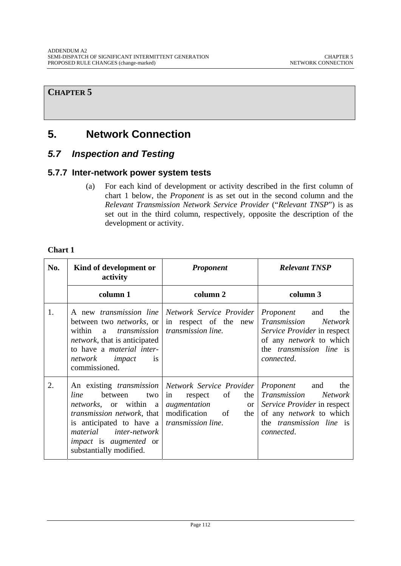## **CHAPTER 5**

# **5. Network Connection**

# *5.7 Inspection and Testing*

# **5.7.7 Inter-network power system tests**

(a) For each kind of development or activity described in the first column of chart 1 below, the *Proponent* is as set out in the second column and the *Relevant Transmission Network Service Provider* ("*Relevant TNSP*") is as set out in the third column, respectively, opposite the description of the development or activity.

## **Chart 1**

| No. | Kind of development or<br>activity                                                                                                                                                                                                                                                   | <b>Proponent</b>                                                                                               | <b>Relevant TNSP</b>                                                                                                                                                        |
|-----|--------------------------------------------------------------------------------------------------------------------------------------------------------------------------------------------------------------------------------------------------------------------------------------|----------------------------------------------------------------------------------------------------------------|-----------------------------------------------------------------------------------------------------------------------------------------------------------------------------|
|     | column 1                                                                                                                                                                                                                                                                             | column 2                                                                                                       | column 3                                                                                                                                                                    |
| 1.  | between two <i>networks</i> , or<br>within<br>$\mathbf{a}$<br><i>network</i> , that is anticipated<br>to have a <i>material</i> inter-<br>network impact<br><sup>is</sup><br>commissioned.                                                                                           | A new transmission line   Network Service Provider<br>in respect of the new<br>transmission transmission line. | Proponent<br>and<br>the<br>Transmission<br><i>Network</i><br>Service Provider in respect<br>of any <i>network</i> to which<br>the <i>transmission</i> line is<br>connected. |
| 2.  | line<br>between<br>two<br><i>networks</i> , or within a <i>augmentation</i><br><i>transmission network</i> , that   modification<br>is anticipated to have a <i>transmission line</i> .<br>material inter-network<br><i>impact</i> is <i>augmented</i> or<br>substantially modified. | An existing <i>transmission</i> Network Service Provider<br>of<br>in<br>the<br>respect<br>or<br>of<br>the      | Proponent<br>the<br>and<br>Transmission<br><b>Network</b><br>Service Provider in respect<br>of any <i>network</i> to which<br>the <i>transmission</i> line is<br>connected. |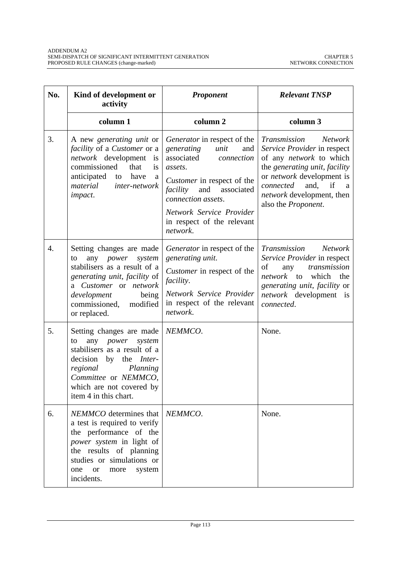| No. | Kind of development or<br>activity                                                                                                                                                                                              | Proponent                                                                                                                                                                                                                                                  | <b>Relevant TNSP</b>                                                                                                                                                                                                                                         |
|-----|---------------------------------------------------------------------------------------------------------------------------------------------------------------------------------------------------------------------------------|------------------------------------------------------------------------------------------------------------------------------------------------------------------------------------------------------------------------------------------------------------|--------------------------------------------------------------------------------------------------------------------------------------------------------------------------------------------------------------------------------------------------------------|
|     | column 1                                                                                                                                                                                                                        | column <sub>2</sub>                                                                                                                                                                                                                                        | column 3                                                                                                                                                                                                                                                     |
| 3.  | A new <i>generating unit</i> or<br><i>facility</i> of a <i>Customer</i> or a<br>network development<br><i>is</i><br>commissioned<br>that<br>is<br>anticipated<br>have<br>to<br>a<br>material<br>inter-network<br><i>impact.</i> | Generator in respect of the<br>generating<br>unit<br>and<br>associated<br>connection<br>assets.<br>Customer in respect of the<br>facility<br>and<br>associated<br>connection assets.<br>Network Service Provider<br>in respect of the relevant<br>network. | Transmission<br><b>Network</b><br>Service Provider in respect<br>of any <i>network</i> to which<br>the generating unit, facility<br>or <i>network</i> development is<br>connected<br>and, if<br>a<br><i>network</i> development, then<br>also the Proponent. |
| 4.  | Setting changes are made<br>any <i>power</i><br>system<br>to<br>stabilisers as a result of a<br>generating unit, facility of<br>a Customer or network<br>development<br>being<br>modified<br>commissioned,<br>or replaced.      | Generator in respect of the<br>generating unit.<br>Customer in respect of the<br><i>facility.</i><br>Network Service Provider<br>in respect of the relevant<br>network.                                                                                    | Transmission<br><b>Network</b><br>Service Provider in respect<br>of<br>transmission<br>any<br>network<br>which<br>to<br>the<br>generating unit, facility or<br>network development is<br>connected.                                                          |
| 5.  | Setting changes are made<br>any<br>power<br>system<br>to<br>stabilisers as a result of a<br>decision by the <i>Inter-</i><br>regional<br>Planning<br>Committee or NEMMCO,<br>which are not covered by<br>item 4 in this chart.  | NEMMCO.                                                                                                                                                                                                                                                    | None.                                                                                                                                                                                                                                                        |
| 6.  | <i>NEMMCO</i> determines that<br>a test is required to verify<br>the performance of the<br>power system in light of<br>the results of planning<br>studies or simulations or<br>system<br>one<br><b>or</b><br>more<br>incidents. | NEMMCO.                                                                                                                                                                                                                                                    | None.                                                                                                                                                                                                                                                        |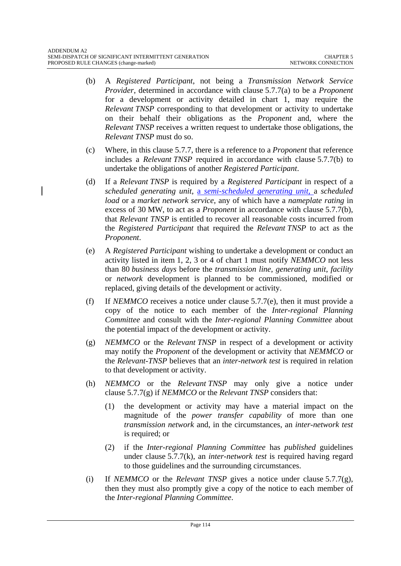- (b) A *Registered Participant*, not being a *Transmission Network Service Provider*, determined in accordance with clause 5.7.7(a) to be a *Proponent* for a development or activity detailed in chart 1, may require the *Relevant TNSP* corresponding to that development or activity to undertake on their behalf their obligations as the *Proponent* and, where the *Relevant TNSP* receives a written request to undertake those obligations, the *Relevant TNSP* must do so.
- (c) Where, in this clause 5.7.7, there is a reference to a *Proponent* that reference includes a *Relevant TNSP* required in accordance with clause 5.7.7(b) to undertake the obligations of another *Registered Participant*.
- (d) If a *Relevant TNSP* is required by a *Registered Participant* in respect of a *scheduled generating unit*, a *semi-scheduled generating unit*, a *scheduled load* or a *market network service*, any of which have a *nameplate rating* in excess of 30 MW, to act as a *Proponent* in accordance with clause 5.7.7(b), that *Relevant TNSP* is entitled to recover all reasonable costs incurred from the *Registered Participant* that required the *Relevant TNSP* to act as the *Proponent*.
- (e) A *Registered Participant* wishing to undertake a development or conduct an activity listed in item 1, 2, 3 or 4 of chart 1 must notify *NEMMCO* not less than 80 *business days* before the *transmission line*, *generating unit*, *facility* or *network* development is planned to be commissioned, modified or replaced, giving details of the development or activity.
- (f) If *NEMMCO* receives a notice under clause 5.7.7(e), then it must provide a copy of the notice to each member of the *Inter-regional Planning Committee* and consult with the *Inter-regional Planning Committee* about the potential impact of the development or activity.
- (g) *NEMMCO* or the *Relevant TNSP* in respect of a development or activity may notify the *Proponent* of the development or activity that *NEMMCO* or the *Relevant-TNSP* believes that an *inter-network test* is required in relation to that development or activity.
- (h) *NEMMCO* or the *Relevant TNSP* may only give a notice under clause 5.7.7(g) if *NEMMCO* or the *Relevant TNSP* considers that:
	- (1) the development or activity may have a material impact on the magnitude of the *power transfer capability* of more than one *transmission network* and, in the circumstances, an *inter-network test* is required; or
	- (2) if the *Inter-regional Planning Committee* has *published* guidelines under clause 5.7.7(k), an *inter-network test* is required having regard to those guidelines and the surrounding circumstances.
- (i) If *NEMMCO* or the *Relevant TNSP* gives a notice under clause 5.7.7(g), then they must also promptly give a copy of the notice to each member of the *Inter-regional Planning Committee*.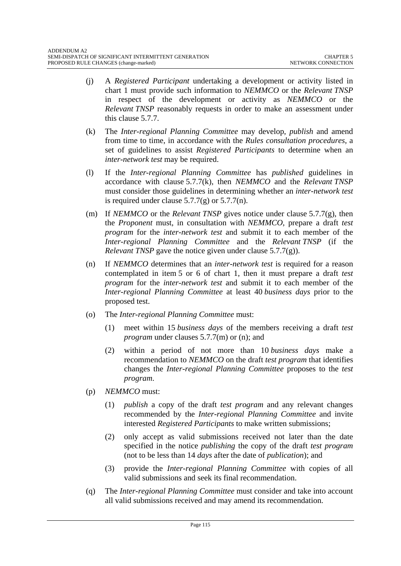- (j) A *Registered Participant* undertaking a development or activity listed in chart 1 must provide such information to *NEMMCO* or the *Relevant TNSP* in respect of the development or activity as *NEMMCO* or the *Relevant TNSP* reasonably requests in order to make an assessment under this clause 5.7.7.
- (k) The *Inter-regional Planning Committee* may develop, *publish* and amend from time to time, in accordance with the *Rules consultation procedures*, a set of guidelines to assist *Registered Participants* to determine when an *inter-network test* may be required.
- (l) If the *Inter-regional Planning Committee* has *published* guidelines in accordance with clause 5.7.7(k), then *NEMMCO* and the *Relevant TNSP* must consider those guidelines in determining whether an *inter-network test* is required under clause  $5.7.7(g)$  or  $5.7.7(n)$ .
- (m) If *NEMMCO* or the *Relevant TNSP* gives notice under clause 5.7.7(g), then the *Proponent* must, in consultation with *NEMMCO*, prepare a draft *test program* for the *inter-network test* and submit it to each member of the *Inter-regional Planning Committee* and the *Relevant TNSP* (if the *Relevant TNSP* gave the notice given under clause 5.7.7(g)).
- (n) If *NEMMCO* determines that an *inter-network test* is required for a reason contemplated in item 5 or 6 of chart 1, then it must prepare a draft *test program* for the *inter-network test* and submit it to each member of the *Inter-regional Planning Committee* at least 40 *business days* prior to the proposed test.
- (o) The *Inter-regional Planning Committee* must:
	- (1) meet within 15 *business days* of the members receiving a draft *test program* under clauses 5.7.7(m) or (n); and
	- (2) within a period of not more than 10 *business days* make a recommendation to *NEMMCO* on the draft *test program* that identifies changes the *Inter-regional Planning Committee* proposes to the *test program*.
- (p) *NEMMCO* must:
	- (1) *publish* a copy of the draft *test program* and any relevant changes recommended by the *Inter-regional Planning Committee* and invite interested *Registered Participants* to make written submissions;
	- (2) only accept as valid submissions received not later than the date specified in the notice *publishing* the copy of the draft *test program* (not to be less than 14 *days* after the date of *publication*); and
	- (3) provide the *Inter-regional Planning Committee* with copies of all valid submissions and seek its final recommendation.
- (q) The *Inter-regional Planning Committee* must consider and take into account all valid submissions received and may amend its recommendation.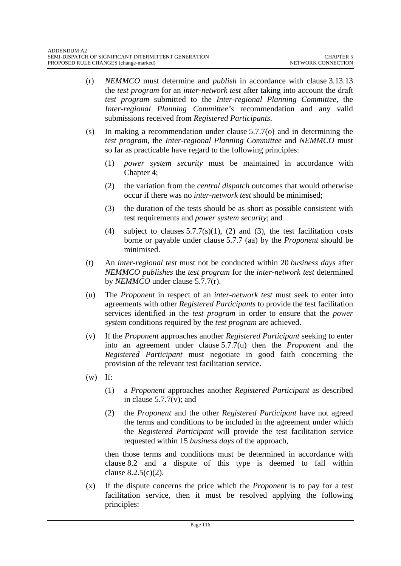- (r) *NEMMCO* must determine and *publish* in accordance with clause 3.13.13 the *test program* for an *inter-network test* after taking into account the draft *test program* submitted to the *Inter-regional Planning Committee*, the *Inter-regional Planning Committee's* recommendation and any valid submissions received from *Registered Participants*.
- (s) In making a recommendation under clause  $5.7.7(0)$  and in determining the *test program*, the *Inter-regional Planning Committee* and *NEMMCO* must so far as practicable have regard to the following principles:
	- (1) *power system security* must be maintained in accordance with Chapter 4;
	- (2) the variation from the *central dispatch* outcomes that would otherwise occur if there was no *inter-network test* should be minimised;
	- (3) the duration of the tests should be as short as possible consistent with test requirements and *power system security*; and
	- (4) subject to clauses  $5.7.7(s)(1)$ , (2) and (3), the test facilitation costs borne or payable under clause 5.7.7 (aa) by the *Proponent* should be minimised.
- (t) An *inter-regional test* must not be conducted within 20 *business days* after *NEMMCO publishes* the *test program* for the *inter-network test* determined by *NEMMCO* under clause 5.7.7(r).
- (u) The *Proponent* in respect of an *inter-network test* must seek to enter into agreements with other *Registered Participants* to provide the test facilitation services identified in the *test program* in order to ensure that the *power system* conditions required by the *test program* are achieved.
- (v) If the *Proponent* approaches another *Registered Participant* seeking to enter into an agreement under clause 5.7.7(u) then the *Proponent* and the *Registered Participant* must negotiate in good faith concerning the provision of the relevant test facilitation service.
- $(w)$  If:
	- (1) a *Proponent* approaches another *Registered Participant* as described in clause  $5.7.7(v)$ ; and
	- (2) the *Proponent* and the other *Registered Participant* have not agreed the terms and conditions to be included in the agreement under which the *Registered Participant* will provide the test facilitation service requested within 15 *business days* of the approach,

then those terms and conditions must be determined in accordance with clause 8.2 and a dispute of this type is deemed to fall within clause 8.2.5(c)(2).

(x) If the dispute concerns the price which the *Proponent* is to pay for a test facilitation service, then it must be resolved applying the following principles: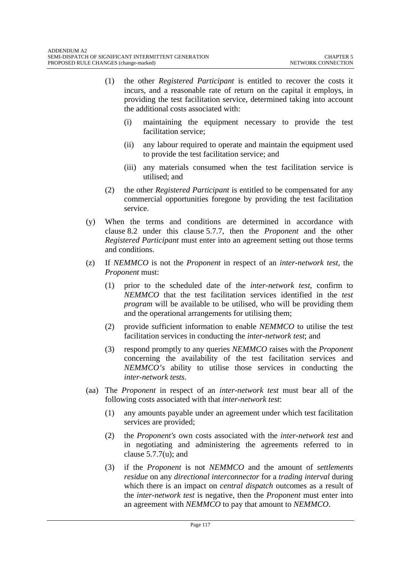- (1) the other *Registered Participant* is entitled to recover the costs it incurs, and a reasonable rate of return on the capital it employs, in providing the test facilitation service, determined taking into account the additional costs associated with:
	- (i) maintaining the equipment necessary to provide the test facilitation service;
	- (ii) any labour required to operate and maintain the equipment used to provide the test facilitation service; and
	- (iii) any materials consumed when the test facilitation service is utilised; and
- (2) the other *Registered Participant* is entitled to be compensated for any commercial opportunities foregone by providing the test facilitation service.
- (y) When the terms and conditions are determined in accordance with clause 8.2 under this clause 5.7.7, then the *Proponent* and the other *Registered Participant* must enter into an agreement setting out those terms and conditions.
- (z) If *NEMMCO* is not the *Proponent* in respect of an *inter-network test*, the *Proponent* must:
	- (1) prior to the scheduled date of the *inter-network test*, confirm to *NEMMCO* that the test facilitation services identified in the *test program* will be available to be utilised, who will be providing them and the operational arrangements for utilising them;
	- (2) provide sufficient information to enable *NEMMCO* to utilise the test facilitation services in conducting the *inter-network test*; and
	- (3) respond promptly to any queries *NEMMCO* raises with the *Proponent* concerning the availability of the test facilitation services and *NEMMCO's* ability to utilise those services in conducting the *inter-network tests*.
- (aa) The *Proponent* in respect of an *inter-network test* must bear all of the following costs associated with that *inter-network test*:
	- (1) any amounts payable under an agreement under which test facilitation services are provided;
	- (2) the *Proponent's* own costs associated with the *inter-network test* and in negotiating and administering the agreements referred to in clause  $5.7.7(u)$ ; and
	- (3) if the *Proponent* is not *NEMMCO* and the amount of *settlements residue* on any *directional interconnector* for a *trading interval* during which there is an impact on *central dispatch* outcomes as a result of the *inter-network test* is negative, then the *Proponent* must enter into an agreement with *NEMMCO* to pay that amount to *NEMMCO*.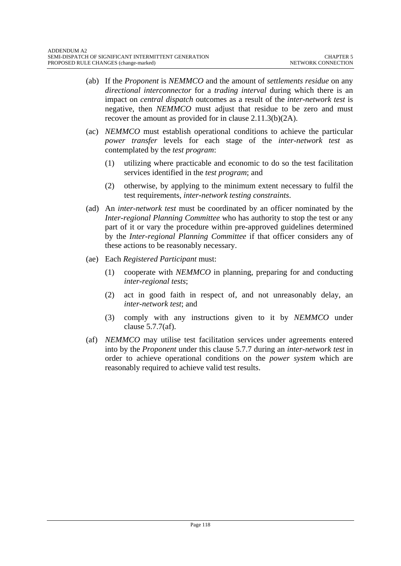- (ab) If the *Proponent* is *NEMMCO* and the amount of *settlements residue* on any *directional interconnector* for a *trading interval* during which there is an impact on *central dispatch* outcomes as a result of the *inter-network test* is negative, then *NEMMCO* must adjust that residue to be zero and must recover the amount as provided for in clause 2.11.3(b)(2A).
- (ac) *NEMMCO* must establish operational conditions to achieve the particular *power transfer* levels for each stage of the *inter-network test* as contemplated by the *test program*:
	- (1) utilizing where practicable and economic to do so the test facilitation services identified in the *test program*; and
	- (2) otherwise, by applying to the minimum extent necessary to fulfil the test requirements, *inter-network testing constraints*.
- (ad) An *inter-network test* must be coordinated by an officer nominated by the *Inter-regional Planning Committee* who has authority to stop the test or any part of it or vary the procedure within pre-approved guidelines determined by the *Inter-regional Planning Committee* if that officer considers any of these actions to be reasonably necessary.
- (ae) Each *Registered Participant* must:
	- (1) cooperate with *NEMMCO* in planning, preparing for and conducting *inter-regional tests*;
	- (2) act in good faith in respect of, and not unreasonably delay, an *inter-network test*; and
	- (3) comply with any instructions given to it by *NEMMCO* under clause 5.7.7(af).
- (af) *NEMMCO* may utilise test facilitation services under agreements entered into by the *Proponent* under this clause 5.7.7 during an *inter-network test* in order to achieve operational conditions on the *power system* which are reasonably required to achieve valid test results.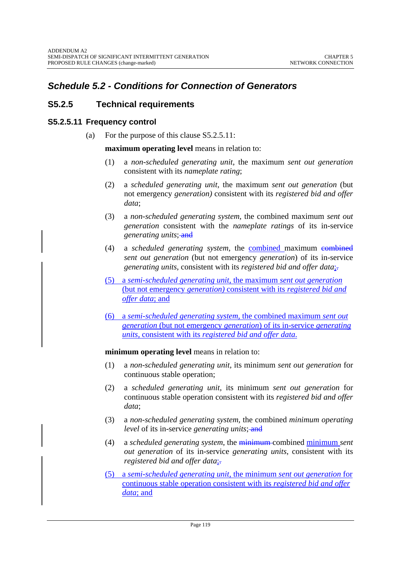# *Schedule 5.2 - Conditions for Connection of Generators*

# **S5.2.5 Technical requirements**

## **S5.2.5.11 Frequency control**

(a) For the purpose of this clause S5.2.5.11:

**maximum operating level** means in relation to:

- (1) a *non-scheduled generating unit*, the maximum *sent out generation*  consistent with its *nameplate rating*;
- (2) a *scheduled generating unit*, the maximum *sent out generation* (but not emergency *generation)* consistent with its *registered bid and offer data*;
- (3) a *non-scheduled generating system*, the combined maximum *sent out generation* consistent with the *nameplate ratings* of its in-service *generating units*; and
- (4) a *scheduled generating system*, the combined maximum combined *sent out generation* (but not emergency *generation*) of its in-service *generating units*, consistent with its *registered bid and offer data*;.
- (5) a *semi-scheduled generating unit*, the maximum *sent out generation* (but not emergency *generation)* consistent with its *registered bid and offer data*; and
- (6) a *semi-scheduled generating system*, the combined maximum *sent out generation* (but not emergency *generation*) of its in-service *generating units,* consistent with its *registered bid and offer data*.

## **minimum operating level** means in relation to:

- (1) a *non-scheduled generating unit*, its minimum *sent out generation* for continuous stable operation;
- (2) a *scheduled generating unit*, its minimum *sent out generation* for continuous stable operation consistent with its *registered bid and offer data*;
- (3) a *non-scheduled generating system*, the combined *minimum operating level* of its in-service *generating units*; and
- (4) a *scheduled generating system*, the minimum combined minimum *sent out generation* of its in-service *generating units*, consistent with its *registered bid and offer data*;
- (5) a *semi-scheduled generating unit*, the minimum *sent out generation* for continuous stable operation consistent with its *registered bid and offer data*; and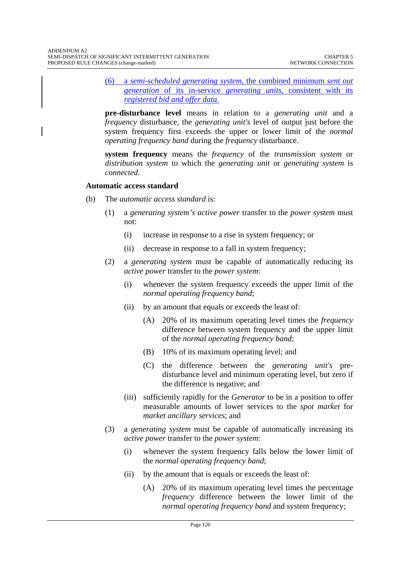(6) a *semi-scheduled generating system*, the combined minimum *sent out generation* of its in-service *generating units,* consistent with its *registered bid and offer data*.

**pre-disturbance level** means in relation to a *generating unit* and a *frequency* disturbance, the *generating unit's* level of output just before the system frequency first exceeds the upper or lower limit of the *normal operating frequency band* during the *frequency* disturbance.

**system frequency** means the *frequency* of the *transmission system* or *distribution system* to which the *generating unit* or *generating system* is *connected*.

#### **Automatic access standard**

- (b) The *automatic access standard* is:
	- (1) a *generating system's active power* transfer to the *power system* must not:
		- (i) increase in response to a rise in system frequency; or
		- (ii) decrease in response to a fall in system frequency;
	- (2) a *generating system* must be capable of automatically reducing its *active power* transfer to the *power system*:
		- (i) whenever the system frequency exceeds the upper limit of the *normal operating frequency band*;
		- (ii) by an amount that equals or exceeds the least of:
			- (A) 20% of its maximum operating level times the *frequency*  difference between system frequency and the upper limit of the *normal operating frequency band*;
			- (B) 10% of its maximum operating level; and
			- (C) the difference between the *generating unit's* predisturbance level and minimum operating level, but zero if the difference is negative; and
		- (iii) sufficiently rapidly for the *Generator* to be in a position to offer measurable amounts of lower services to the *spot market* for *market ancillary services*; and
	- (3) a *generating system* must be capable of automatically increasing its *active power* transfer to the *power system*:
		- (i) whenever the system frequency falls below the lower limit of the *normal operating frequency band*;
		- (ii) by the amount that is equals or exceeds the least of:
			- (A) 20% of its maximum operating level times the percentage *frequency* difference between the lower limit of the *normal operating frequency band* and system frequency;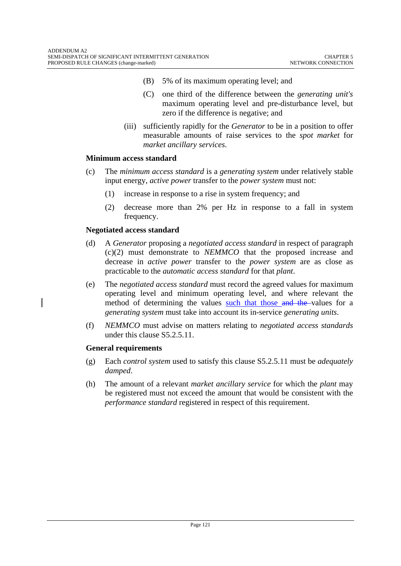- (B) 5% of its maximum operating level; and
- (C) one third of the difference between the *generating unit's*  maximum operating level and pre-disturbance level, but zero if the difference is negative; and
- (iii) sufficiently rapidly for the *Generator* to be in a position to offer measurable amounts of raise services to the *spot market* for *market ancillary services*.

#### **Minimum access standard**

- (c) The *minimum access standard* is a *generating system* under relatively stable input energy, *active power* transfer to the *power system* must not:
	- (1) increase in response to a rise in system frequency; and
	- (2) decrease more than 2% per Hz in response to a fall in system frequency.

#### **Negotiated access standard**

- (d) A *Generator* proposing a *negotiated access standard* in respect of paragraph (c)(2) must demonstrate to *NEMMCO* that the proposed increase and decrease in *active power* transfer to the *power system* are as close as practicable to the *automatic access standard* for that *plant*.
- (e) The *negotiated access standard* must record the agreed values for maximum operating level and minimum operating level, and where relevant the method of determining the values such that those and the values for a *generating system* must take into account its in-service *generating units*.
- (f) *NEMMCO* must advise on matters relating to *negotiated access standards*  under this clause S5.2.5.11.

## **General requirements**

- (g) Each *control system* used to satisfy this clause S5.2.5.11 must be *adequately damped*.
- (h) The amount of a relevant *market ancillary service* for which the *plant* may be registered must not exceed the amount that would be consistent with the *performance standard* registered in respect of this requirement.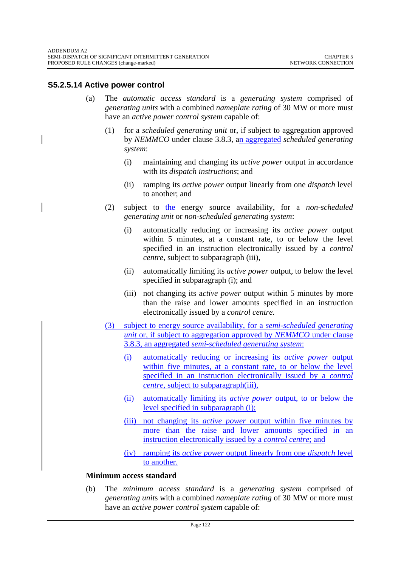## **S5.2.5.14 Active power control**

- (a) The *automatic access standard* is a *generating system* comprised of *generating units* with a combined *nameplate rating* of 30 MW or more must have an *active power control system* capable of:
	- (1) for a *scheduled generating unit* or, if subject to aggregation approved by *NEMMCO* under clause 3.8.3, an aggregated *scheduled generating system*:
		- (i) maintaining and changing its *active power* output in accordance with its *dispatch instructions*; and
		- (ii) ramping its *active power* output linearly from one *dispatch* level to another; and
	- (2) subject to the energy source availability, for a *non-scheduled generating unit* or *non-scheduled generating system*:
		- (i) automatically reducing or increasing its *active power* output within 5 minutes, at a constant rate, to or below the level specified in an instruction electronically issued by a *control centre*, subject to subparagraph (iii),
		- (ii) automatically limiting its *active power* output, to below the level specified in subparagraph (i); and
		- (iii) not changing its a*ctive power* output within 5 minutes by more than the raise and lower amounts specified in an instruction electronically issued by a *control centre*.
	- (3) subject to energy source availability, for a *semi-scheduled generating unit* or, if subject to aggregation approved by *NEMMCO* under clause 3.8.3, an aggregated *semi-scheduled generating system*:
		- (i) automatically reducing or increasing its *active power* output within five minutes, at a constant rate, to or below the level specified in an instruction electronically issued by a *control centre*, subject to subparagraph(iii),
		- (ii) automatically limiting its *active power* output, to or below the level specified in subparagraph (i);
		- (iii) not changing its *active power* output within five minutes by more than the raise and lower amounts specified in an instruction electronically issued by a *control centre*; and

(iv) ramping its *active power* output linearly from one *dispatch* level to another.

#### **Minimum access standard**

(b) The *minimum access standard* is a *generating system* comprised of *generating unit*s with a combined *nameplate rating* of 30 MW or more must have an *active power control system* capable of: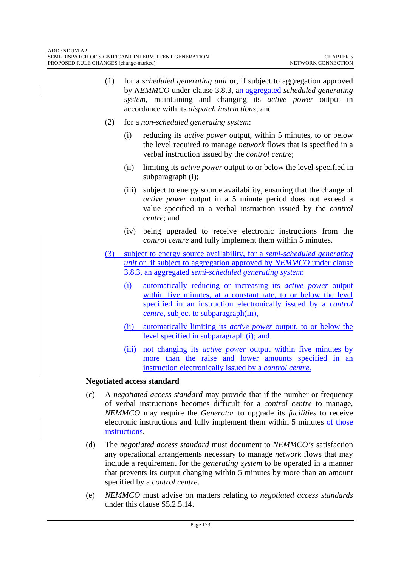(1) for a *scheduled generating unit* or, if subject to aggregation approved by *NEMMCO* under clause 3.8.3, an aggregated *scheduled generating system,* maintaining and changing its *active power* output in accordance with its *dispatch instructions*; and (2) for a *non-scheduled generating system*: (i) reducing its *active power* output, within 5 minutes, to or below the level required to manage *network* flows that is specified in a verbal instruction issued by the *control centre*; (ii) limiting its *active power* output to or below the level specified in subparagraph (i); (iii) subject to energy source availability, ensuring that the change of *active power* output in a 5 minute period does not exceed a value specified in a verbal instruction issued by the *control centre*; and (iv) being upgraded to receive electronic instructions from the *control centre* and fully implement them within 5 minutes. (3) subject to energy source availability, for a *semi-scheduled generating unit* or, if subject to aggregation approved by *NEMMCO* under clause 3.8.3, an aggregated *semi-scheduled generating system*: (i) automatically reducing or increasing its *active power* output within five minutes, at a constant rate, to or below the level specified in an instruction electronically issued by a *control centre*, subject to subparagraph(iii), (ii) automatically limiting its *active power* output, to or below the level specified in subparagraph (i); and (iii) not changing its *active power* output within five minutes by more than the raise and lower amounts specified in an

# **Negotiated access standard**

(c) A *negotiated access standard* may provide that if the number or frequency of verbal instructions becomes difficult for a *control centre* to manage, *NEMMCO* may require the *Generator* to upgrade its *facilities* to receive electronic instructions and fully implement them within 5 minutes-of those **instructions** 

instruction electronically issued by a *control centre*.

- (d) The *negotiated access standard* must document to *NEMMCO's* satisfaction any operational arrangements necessary to manage *network* flows that may include a requirement for the *generating system* to be operated in a manner that prevents its output changing within 5 minutes by more than an amount specified by a *control centre*.
- (e) *NEMMCO* must advise on matters relating to *negotiated access standards*  under this clause S5.2.5.14.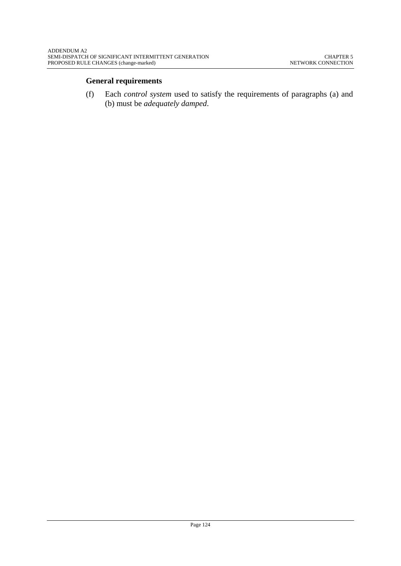## **General requirements**

(f) Each *control system* used to satisfy the requirements of paragraphs (a) and (b) must be *adequately damped*.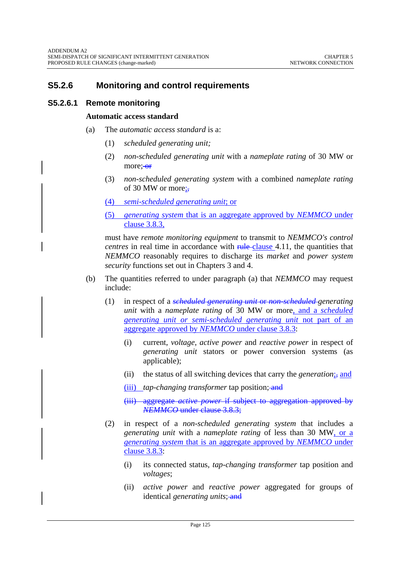# **S5.2.6 Monitoring and control requirements**

## **S5.2.6.1 Remote monitoring**

#### **Automatic access standard**

- (a) The *automatic access standard* is a:
	- (1) *scheduled generating unit;*
	- (2) *non-scheduled generating unit* with a *nameplate rating* of 30 MW or more; or
	- (3) *non-scheduled generating system* with a combined *nameplate rating*  of 30 MW or more: $\frac{1}{2}$
	- (4) *semi-scheduled generating unit*; or
	- (5) *generating system* that is an aggregate approved by *NEMMCO* under clause 3.8.3*,*

must have *remote monitoring equipment* to transmit to *NEMMCO's control centres* in real time in accordance with rule-clause 4.11, the quantities that *NEMMCO* reasonably requires to discharge its *market* and *power system security* functions set out in Chapters 3 and 4.

- (b) The quantities referred to under paragraph (a) that *NEMMCO* may request include:
	- (1) in respect of a *scheduled generating unit* or *non-scheduled generating unit* with a *nameplate rating* of 30 MW or more, and a *scheduled generating unit or semi-scheduled generating unit* not part of an aggregate approved by *NEMMCO* under clause 3.8.3:
		- (i) current, *voltage*, *active power* and *reactive power* in respect of *generating unit* stators or power conversion systems (as applicable);
		- (ii) the status of all switching devices that carry the *generation*;, and
		- (iii) *tap-changing transformer* tap position; and
		- (iii) aggregate *active power* if subject to aggregation approved by *NEMMCO* under clause 3.8.3;
	- (2) in respect of a *non-scheduled generating system* that includes a *generating unit* with a *nameplate rating* of less than 30 MW, or a *generating system* that is an aggregate approved by *NEMMCO* under clause 3.8.3:
		- (i) its connected status, *tap-changing transformer* tap position and *voltages*;
		- (ii) *active power* and *reactive power* aggregated for groups of identical *generating units*; and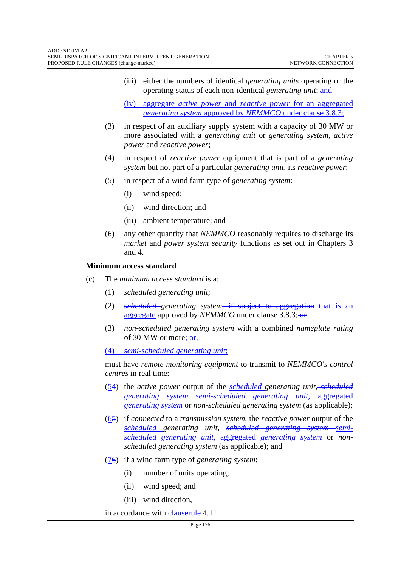- (iii) either the numbers of identical *generating units* operating or the operating status of each non-identical *generating unit*; and
- (iv) aggregate *active power* and *reactive power* for an aggregated *generating system* approved by *NEMMCO* under clause 3.8.3;
- (3) in respect of an auxiliary supply system with a capacity of 30 MW or more associated with a *generating unit* or *generating system*, *active power* and *reactive power*;
- (4) in respect of *reactive power* equipment that is part of a *generating system* but not part of a particular *generating unit*, its *reactive power*;
- (5) in respect of a wind farm type of *generating system*:
	- (i) wind speed;
	- (ii) wind direction; and
	- (iii) ambient temperature; and
- (6) any other quantity that *NEMMCO* reasonably requires to discharge its *market* and *power system security* functions as set out in Chapters 3 and 4.

#### **Minimum access standard**

- (c) The *minimum access standard* is a:
	- (1) *scheduled generating unit*;
	- (2) *scheduled generating system*, if subject to aggregation that is an aggregate approved by *NEMMCO* under clause 3.8.3; or
	- (3) *non-scheduled generating system* with a combined *nameplate rating*  of 30 MW or more; or,
	- (4) *semi-scheduled generating unit*;

must have *remote monitoring equipment* to transmit to *NEMMCO's control centres* in real time:

- (54) the *active power* output of the *scheduled generating unit*, *scheduled generating system semi-scheduled generating unit,* aggregated *generating system* or *non-scheduled generating system* (as applicable);
- (65) if *connected* to a *transmission system*, the *reactive power* output of the *scheduled generating unit*, *scheduled generating system semischeduled generating unit,* aggregated *generating system* or *nonscheduled generating system* (as applicable); and
- (76) if a wind farm type of *generating system*:
	- (i) number of units operating;
	- (ii) wind speed; and
	- (iii) wind direction,

in accordance with clauserule 4.11.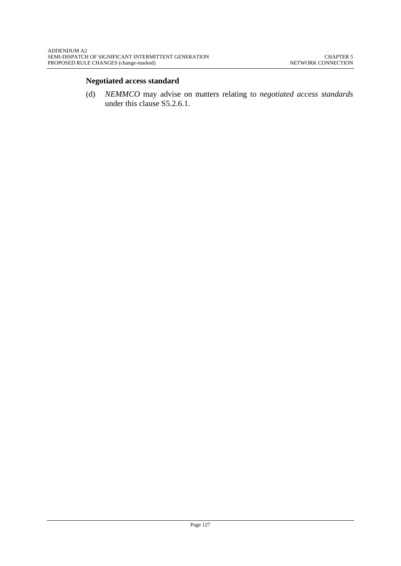## **Negotiated access standard**

(d) *NEMMCO* may advise on matters relating to *negotiated access standards*  under this clause S5.2.6.1.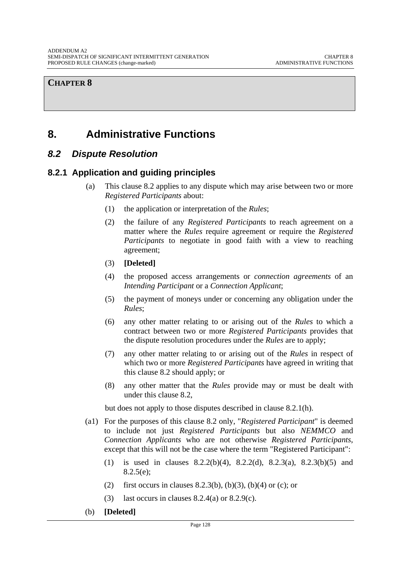# **CHAPTER 8**

# **8. Administrative Functions**

# *8.2 Dispute Resolution*

# **8.2.1 Application and guiding principles**

- (a) This clause 8.2 applies to any dispute which may arise between two or more *Registered Participants* about:
	- (1) the application or interpretation of the *Rules*;
	- (2) the failure of any *Registered Participants* to reach agreement on a matter where the *Rules* require agreement or require the *Registered Participants* to negotiate in good faith with a view to reaching agreement;
	- (3) **[Deleted]**
	- (4) the proposed access arrangements or *connection agreements* of an *Intending Participant* or a *Connection Applicant*;
	- (5) the payment of moneys under or concerning any obligation under the *Rules*;
	- (6) any other matter relating to or arising out of the *Rules* to which a contract between two or more *Registered Participants* provides that the dispute resolution procedures under the *Rules* are to apply;
	- (7) any other matter relating to or arising out of the *Rules* in respect of which two or more *Registered Participants* have agreed in writing that this clause 8.2 should apply; or
	- (8) any other matter that the *Rules* provide may or must be dealt with under this clause 8.2,

but does not apply to those disputes described in clause 8.2.1(h).

- (a1) For the purposes of this clause 8.2 only, "*Registered Participant*" is deemed to include not just *Registered Participants* but also *NEMMCO* and *Connection Applicants* who are not otherwise *Registered Participants*, except that this will not be the case where the term "Registered Participant":
	- (1) is used in clauses 8.2.2(b)(4), 8.2.2(d), 8.2.3(a), 8.2.3(b)(5) and 8.2.5(e);
	- (2) first occurs in clauses 8.2.3(b), (b)(3), (b)(4) or (c); or
	- (3) last occurs in clauses  $8.2.4(a)$  or  $8.2.9(c)$ .
- (b) **[Deleted]**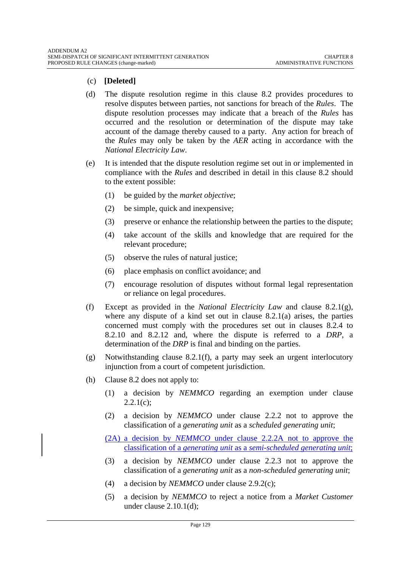#### (c) **[Deleted]**

- (d) The dispute resolution regime in this clause 8.2 provides procedures to resolve disputes between parties, not sanctions for breach of the *Rules*. The dispute resolution processes may indicate that a breach of the *Rules* has occurred and the resolution or determination of the dispute may take account of the damage thereby caused to a party. Any action for breach of the *Rules* may only be taken by the *AER* acting in accordance with the *National Electricity Law*.
- (e) It is intended that the dispute resolution regime set out in or implemented in compliance with the *Rules* and described in detail in this clause 8.2 should to the extent possible:
	- (1) be guided by the *market objective*;
	- (2) be simple, quick and inexpensive;
	- (3) preserve or enhance the relationship between the parties to the dispute;
	- (4) take account of the skills and knowledge that are required for the relevant procedure;
	- (5) observe the rules of natural justice;
	- (6) place emphasis on conflict avoidance; and
	- (7) encourage resolution of disputes without formal legal representation or reliance on legal procedures.
- (f) Except as provided in the *National Electricity Law* and clause 8.2.1(g), where any dispute of a kind set out in clause  $8.2.1(a)$  arises, the parties concerned must comply with the procedures set out in clauses 8.2.4 to 8.2.10 and 8.2.12 and, where the dispute is referred to a *DRP*, a determination of the *DRP* is final and binding on the parties.
- (g) Notwithstanding clause 8.2.1(f), a party may seek an urgent interlocutory injunction from a court of competent jurisdiction.
- (h) Clause 8.2 does not apply to:
	- (1) a decision by *NEMMCO* regarding an exemption under clause  $2.2.1(c);$
	- (2) a decision by *NEMMCO* under clause 2.2.2 not to approve the classification of a *generating unit* as a *scheduled generating unit*;
	- (2A) a decision by *NEMMCO* under clause 2.2.2A not to approve the classification of a *generating unit* as a *semi-scheduled generating unit*;
	- (3) a decision by *NEMMCO* under clause 2.2.3 not to approve the classification of a *generating unit* as a *non-scheduled generating unit*;
	- (4) a decision by *NEMMCO* under clause 2.9.2(c);
	- (5) a decision by *NEMMCO* to reject a notice from a *Market Customer* under clause 2.10.1(d);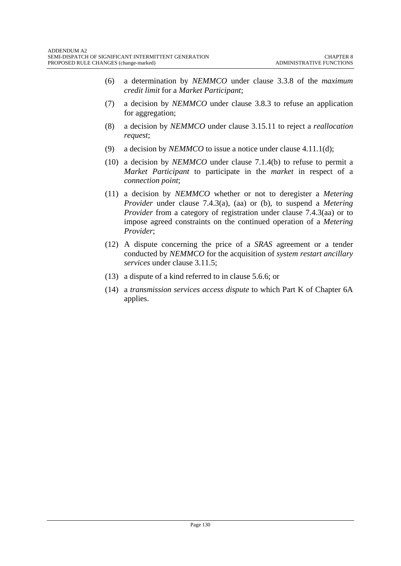- (6) a determination by *NEMMCO* under clause 3.3.8 of the *maximum credit limit* for a *Market Participant*;
- (7) a decision by *NEMMCO* under clause 3.8.3 to refuse an application for aggregation;
- (8) a decision by *NEMMCO* under clause 3.15.11 to reject a *reallocation request*;
- (9) a decision by *NEMMCO* to issue a notice under clause 4.11.1(d);
- (10) a decision by *NEMMCO* under clause 7.1.4(b) to refuse to permit a *Market Participant* to participate in the *market* in respect of a *connection point*;
- (11) a decision by *NEMMCO* whether or not to deregister a *Metering Provider* under clause 7.4.3(a), (aa) or (b), to suspend a *Metering Provider* from a category of registration under clause 7.4.3(aa) or to impose agreed constraints on the continued operation of a *Metering Provider*;
- (12) A dispute concerning the price of a *SRAS* agreement or a tender conducted by *NEMMCO* for the acquisition of *system restart ancillary services* under clause 3.11.5;
- (13) a dispute of a kind referred to in clause 5.6.6; or
- (14) a *transmission services access dispute* to which Part K of Chapter 6A applies.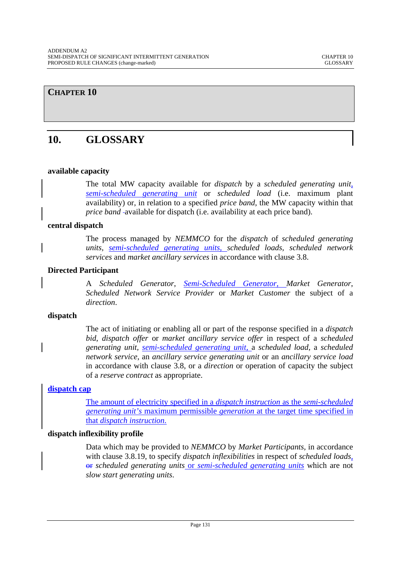## **CHAPTER 10**

# **10. GLOSSARY**

#### **available capacity**

The total MW capacity available for *dispatch* by a *scheduled generating unit*, *semi-scheduled generating unit* or *scheduled load* (i.e. maximum plant availability) or, in relation to a specified *price band*, the MW capacity within that *price band* -available for dispatch (i.e. availability at each price band).

#### **central dispatch**

The process managed by *NEMMCO* for the *dispatch* of *scheduled generating units, semi-scheduled generating units, scheduled loads, scheduled network services* and *market ancillary services* in accordance with clause 3.8.

#### **Directed Participant**

A *Scheduled Generator*, *Semi-Scheduled Generator, Market Generator*, *Scheduled Network Service Provider* or *Market Customer* the subject of a *direction*.

#### **dispatch**

The act of initiating or enabling all or part of the response specified in a *dispatch bid*, *dispatch offer* or *market ancillary service offer* in respect of a *scheduled generating unit, semi-scheduled generating unit,* a *scheduled load,* a *scheduled network service*, an *ancillary service generating unit* or an *ancillary service load* in accordance with clause 3.8, or a *direction* or operation of capacity the subject of a *reserve contract* as appropriate.

#### **dispatch cap**

The amount of electricity specified in a *dispatch instruction* as the *semi-scheduled generating unit's* maximum permissible *generation* at the target time specified in that *dispatch instruction*.

#### **dispatch inflexibility profile**

Data which may be provided to *NEMMCO* by *Market Participants,* in accordance with clause 3.8.19, to specify *dispatch inflexibilities* in respect of *scheduled loads,* or *scheduled generating units* or *semi-scheduled generating units* which are not *slow start generating units*.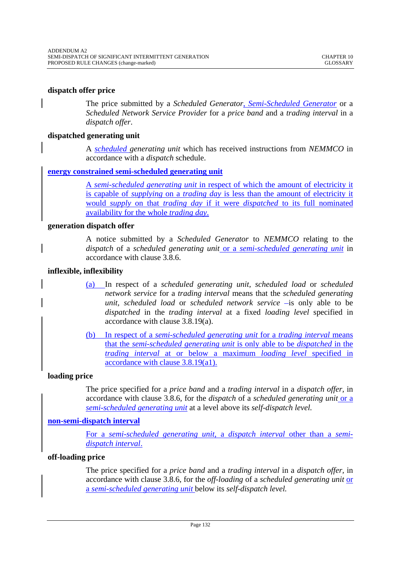#### **dispatch offer price**

The price submitted by a *Scheduled Generator*, *Semi-Scheduled Generator* or a *Scheduled Network Service Provider* for a *price band* and a *trading interval* in a *dispatch offer*.

#### **dispatched generating unit**

A *scheduled generating unit* which has received instructions from *NEMMCO* in accordance with a *dispatch* schedule.

#### **energy constrained semi-scheduled generating unit**

A *semi-scheduled generating unit* in respect of which the amount of electricity it is capable of *supplying* on a *trading day* is less than the amount of electricity it would *supply* on that *trading day* if it were *dispatched* to its full nominated availability for the whole *trading day*.

#### **generation dispatch offer**

A notice submitted by a *Scheduled Generator* to *NEMMCO* relating to the *dispatch* of a *scheduled generating unit* or a *semi-scheduled generating unit* in accordance with clause 3.8.6.

#### **inflexible, inflexibility**

- (a) In respect of a *scheduled generating unit, scheduled load* or *scheduled network service* for a *trading interval* means that the *scheduled generating unit, scheduled load* or *scheduled network service* -is only able to be *dispatched* in the *trading interval* at a fixed *loading level* specified in accordance with clause 3.8.19(a).
- (b) In respect of a *semi-scheduled generating unit* for a *trading interval* means that the *semi-scheduled generating unit* is only able to be *dispatched* in the *trading interval* at or below a maximum *loading level* specified in accordance with clause 3.8.19(a1).

#### **loading price**

The price specified for a *price band* and a *trading interval* in a *dispatch offer,* in accordance with clause 3.8.6, for the *dispatch* of a *scheduled generating unit* or a *semi-scheduled generating unit* at a level above its *self-dispatch level.* 

#### **non-semi-dispatch interval**

For a *semi-scheduled generating unit*, a *dispatch interval* other than a *semidispatch interval*.

#### **off-loading price**

The price specified for a *price band* and a *trading interval* in a *dispatch offer,* in accordance with clause 3.8.6, for the *off-loading* of a *scheduled generating unit* or a *semi-scheduled generating unit* below its *self-dispatch level.*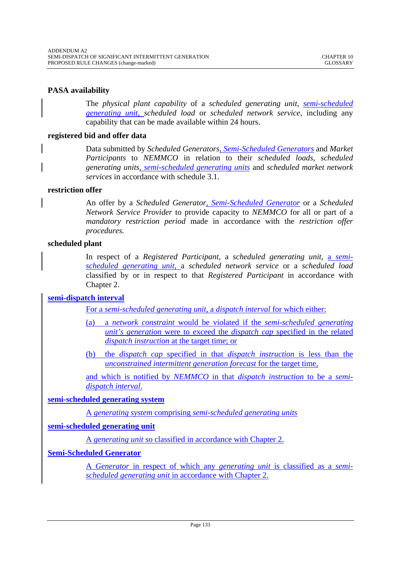## **PASA availability**

The *physical plant capability* of a *scheduled generating unit*, *semi-scheduled generating unit, scheduled load* or *scheduled network service*, including any capability that can be made available within 24 hours.

#### **registered bid and offer data**

Data submitted by *Scheduled Generators*, *Semi-Scheduled Generators* and *Market Participants* to *NEMMCO* in relation to their *scheduled loads, scheduled generating units, semi-scheduled generating units* and *scheduled market network services* in accordance with schedule 3.1.

## **restriction offer**

An offer by a *Scheduled Generator*, *Semi-Scheduled Generator* or a *Scheduled Network Service Provider* to provide capacity to *NEMMCO* for all or part of a *mandatory restriction period* made in accordance with the *restriction offer procedures.* 

## **scheduled plant**

In respect of a *Registered Participant,* a *scheduled generating unit*, a *semischeduled generating unit*, a *scheduled network service* or a *scheduled load* classified by or in respect to that *Registered Participant* in accordance with Chapter 2.

## **semi-dispatch interval**

For a *semi-scheduled generating unit*, a *dispatch interval* for which either:

- (a) a *network constraint* would be violated if the *semi-scheduled generating unit's generation* were to exceed the *dispatch cap* specified in the related *dispatch instruction* at the target time; or
- (b) the *dispatch cap* specified in that *dispatch instruction* is less than the *unconstrained intermittent generation forecast* for the target time,

and which is notified by *NEMMCO* in that *dispatch instruction* to be a *semidispatch interval*.

## **semi-scheduled generating system**

A *generating system* comprising *semi-scheduled generating units*

## **semi-scheduled generating unit**

A *generating unit* so classified in accordance with Chapter 2.

## **Semi-Scheduled Generator**

A *Generator* in respect of which any *generating unit* is classified as a *semischeduled generating unit* in accordance with Chapter 2.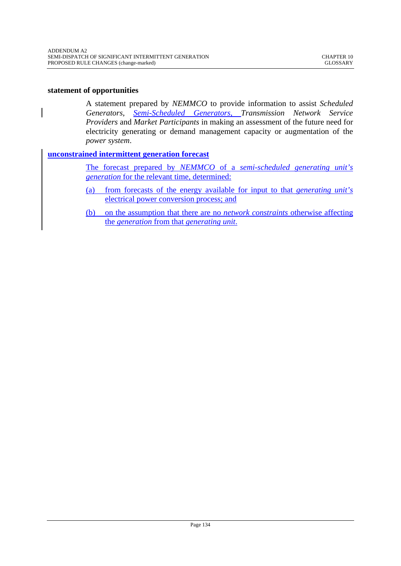#### **statement of opportunities**

A statement prepared by *NEMMCO* to provide information to assist *Scheduled Generators*, *Semi-Scheduled Generators*, *Transmission Network Service Providers* and *Market Participants* in making an assessment of the future need for electricity generating or demand management capacity or augmentation of the *power system*.

#### **unconstrained intermittent generation forecast**

The forecast prepared by *NEMMCO* of a *semi-scheduled generating unit's generation* for the relevant time, determined:

- (a) from forecasts of the energy available for input to that *generating unit's* electrical power conversion process; and
- (b) on the assumption that there are no *network constraints* otherwise affecting the *generation* from that *generating unit*.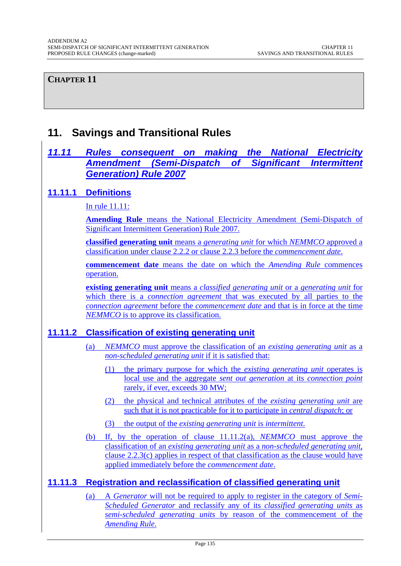**CHAPTER 11** 

# **11. Savings and Transitional Rules**

# *11.11 Rules consequent on making the National Electricity Amendment (Semi-Dispatch of Significant Intermittent Generation) Rule 2007*

# **11.11.1 Definitions**

In rule 11.11:

**Amending Rule** means the National Electricity Amendment (Semi-Dispatch of Significant Intermittent Generation) Rule 2007.

**classified generating unit** means a *generating unit* for which *NEMMCO* approved a classification under clause 2.2.2 or clause 2.2.3 before the *commencement date*.

**commencement date** means the date on which the *Amending Rule* commences operation.

**existing generating unit** means a *classified generating unit* or a *generating unit* for which there is a *connection agreement* that was executed by all parties to the *connection agreement* before the *commencement date* and that is in force at the time *NEMMCO* is to approve its classification.

# **11.11.2 Classification of existing generating unit**

- (a) *NEMMCO* must approve the classification of an *existing generating unit* as a *non-scheduled generating unit* if it is satisfied that:
	- (1) the primary purpose for which the *existing generating unit* operates is local use and the aggregate *sent out generation* at its *connection point* rarely, if ever, exceeds 30 MW;
	- (2) the physical and technical attributes of the *existing generating unit* are such that it is not practicable for it to participate in *central dispatch*; or
	- (3) the output of the *existing generating unit* is *intermittent*.
- (b) If, by the operation of clause 11.11.2(a), *NEMMCO* must approve the classification of an *existing generating unit* as a *non-scheduled generating unit*, clause 2.2.3(c) applies in respect of that classification as the clause would have applied immediately before the *commencement date*.

# **11.11.3 Registration and reclassification of classified generating unit**

(a) A *Generator* will not be required to apply to register in the category of *Semi-Scheduled Generator* and reclassify any of its *classified generating units* as *semi-scheduled generating units* by reason of the commencement of the *Amending Rule*.